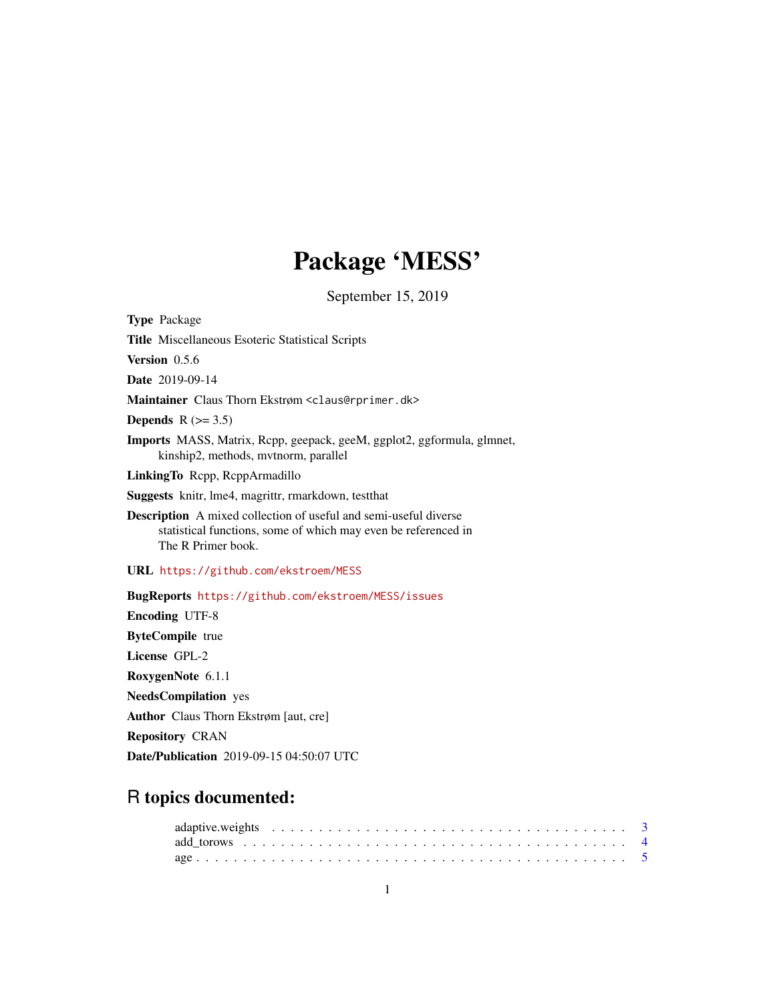# Package 'MESS'

September 15, 2019

<span id="page-0-0"></span>Type Package Title Miscellaneous Esoteric Statistical Scripts Version 0.5.6 Date 2019-09-14 Maintainer Claus Thorn Ekstrøm <claus@rprimer.dk> Depends  $R$  ( $>= 3.5$ ) Imports MASS, Matrix, Rcpp, geepack, geeM, ggplot2, ggformula, glmnet, kinship2, methods, mvtnorm, parallel LinkingTo Rcpp, RcppArmadillo Suggests knitr, lme4, magrittr, rmarkdown, testthat Description A mixed collection of useful and semi-useful diverse statistical functions, some of which may even be referenced in The R Primer book. URL <https://github.com/ekstroem/MESS> BugReports <https://github.com/ekstroem/MESS/issues> Encoding UTF-8 ByteCompile true License GPL-2 RoxygenNote 6.1.1 NeedsCompilation yes Author Claus Thorn Ekstrøm [aut, cre] Repository CRAN Date/Publication 2019-09-15 04:50:07 UTC

# R topics documented: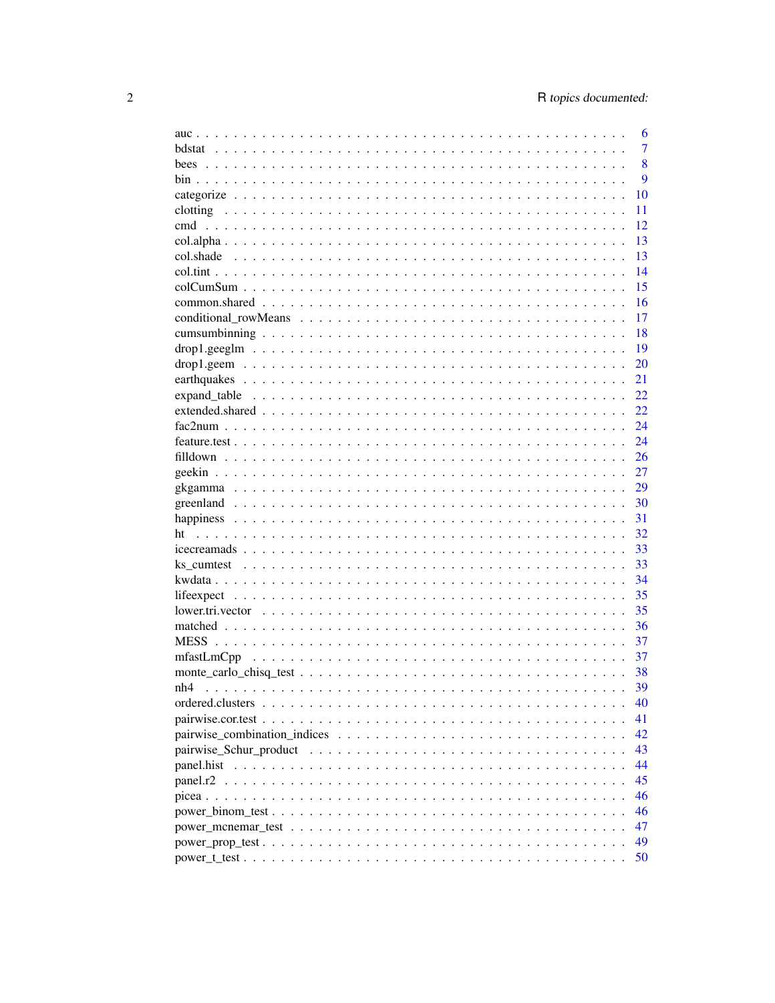|                                                                                                           | 6              |
|-----------------------------------------------------------------------------------------------------------|----------------|
| hdstat                                                                                                    | $\overline{7}$ |
|                                                                                                           | 8              |
|                                                                                                           | 9              |
|                                                                                                           | 10             |
|                                                                                                           | 11             |
|                                                                                                           | 12             |
|                                                                                                           | 13             |
|                                                                                                           | 13             |
|                                                                                                           | 14             |
|                                                                                                           | 15             |
|                                                                                                           | 16             |
|                                                                                                           | 17             |
|                                                                                                           | 18             |
|                                                                                                           | 19             |
|                                                                                                           | 20             |
|                                                                                                           | 21             |
| expand table $\ldots \ldots \ldots \ldots \ldots \ldots \ldots \ldots \ldots \ldots \ldots \ldots \ldots$ | 22             |
|                                                                                                           | 22             |
|                                                                                                           | 24             |
|                                                                                                           | 24             |
|                                                                                                           | 26             |
|                                                                                                           |                |
|                                                                                                           | 27             |
|                                                                                                           | 29             |
|                                                                                                           | 30             |
|                                                                                                           | 31             |
|                                                                                                           | 32             |
|                                                                                                           | 33             |
|                                                                                                           | 33             |
|                                                                                                           | 34             |
|                                                                                                           | 35             |
|                                                                                                           | 35             |
|                                                                                                           | 36             |
|                                                                                                           | 37             |
|                                                                                                           | 37             |
|                                                                                                           | 38             |
|                                                                                                           | 39             |
|                                                                                                           | 40             |
|                                                                                                           | 41             |
|                                                                                                           | 42             |
|                                                                                                           | 43             |
|                                                                                                           | 44             |
|                                                                                                           | 45             |
|                                                                                                           | 46             |
|                                                                                                           | 46             |
|                                                                                                           | 47             |
|                                                                                                           | 49             |
|                                                                                                           | 50             |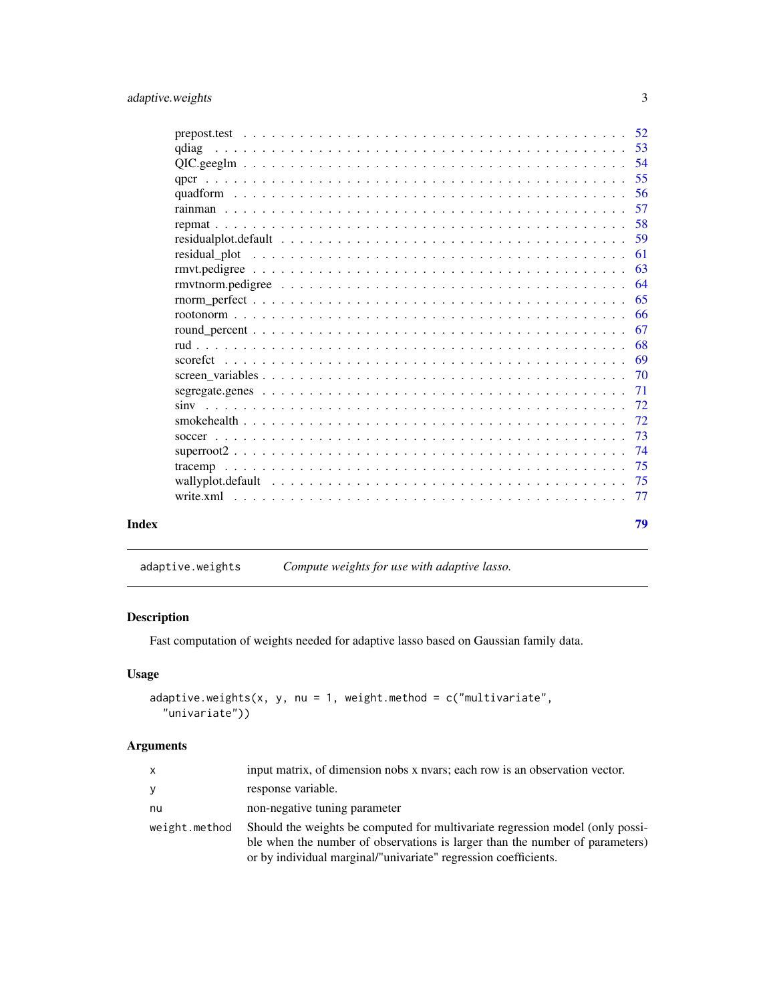<span id="page-2-0"></span>

| Index |       | 79  |
|-------|-------|-----|
|       |       | -77 |
|       |       | 75  |
|       |       | 75  |
|       |       | 74  |
|       |       | 73  |
|       |       | 72  |
|       |       | 72  |
|       |       | 71  |
|       |       | 70  |
|       |       |     |
|       |       | 68  |
|       |       | -67 |
|       |       | -66 |
|       |       | 65  |
|       |       | -64 |
|       |       | 63  |
|       |       | 61  |
|       |       | 59  |
|       |       | 58  |
|       |       | 57  |
|       |       | 56  |
|       |       | 55  |
|       |       | -54 |
|       | gdiag |     |
|       |       |     |

adaptive.weights *Compute weights for use with adaptive lasso.*

# Description

Fast computation of weights needed for adaptive lasso based on Gaussian family data.

# Usage

```
adaptive.weights(x, y, nu = 1, weight.method = c("multivariate","univariate"))
```
# Arguments

| X             | input matrix, of dimension nobs x nvars; each row is an observation vector.                                                                                   |
|---------------|---------------------------------------------------------------------------------------------------------------------------------------------------------------|
| У             | response variable.                                                                                                                                            |
| nu            | non-negative tuning parameter                                                                                                                                 |
| weight.method | Should the weights be computed for multivariate regression model (only possi-<br>ble when the number of observations is larger than the number of parameters) |
|               | or by individual marginal/"univariate" regression coefficients.                                                                                               |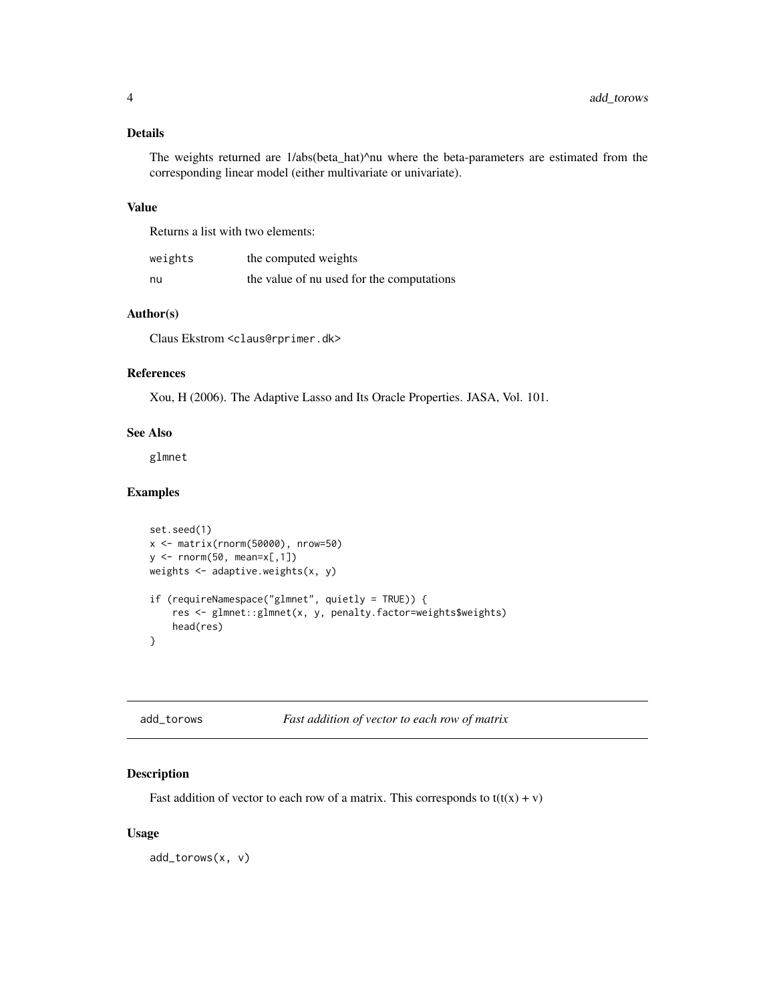# <span id="page-3-0"></span>Details

The weights returned are 1/abs(beta\_hat)^nu where the beta-parameters are estimated from the corresponding linear model (either multivariate or univariate).

#### Value

Returns a list with two elements:

| weights | the computed weights                      |
|---------|-------------------------------------------|
| nu      | the value of nu used for the computations |

# Author(s)

Claus Ekstrom <claus@rprimer.dk>

#### References

Xou, H (2006). The Adaptive Lasso and Its Oracle Properties. JASA, Vol. 101.

# See Also

glmnet

# Examples

```
set.seed(1)
x <- matrix(rnorm(50000), nrow=50)
y \leftarrow \text{norm}(50, \text{mean}=\times[, 1])weights <- adaptive.weights(x, y)
if (requireNamespace("glmnet", quietly = TRUE)) {
    res <- glmnet::glmnet(x, y, penalty.factor=weights$weights)
    head(res)
}
```

| add_torows | Fast addition of vector to each row of matrix |  |
|------------|-----------------------------------------------|--|
|------------|-----------------------------------------------|--|

# Description

Fast addition of vector to each row of a matrix. This corresponds to  $t(t(x) + v)$ 

#### Usage

add\_torows(x, v)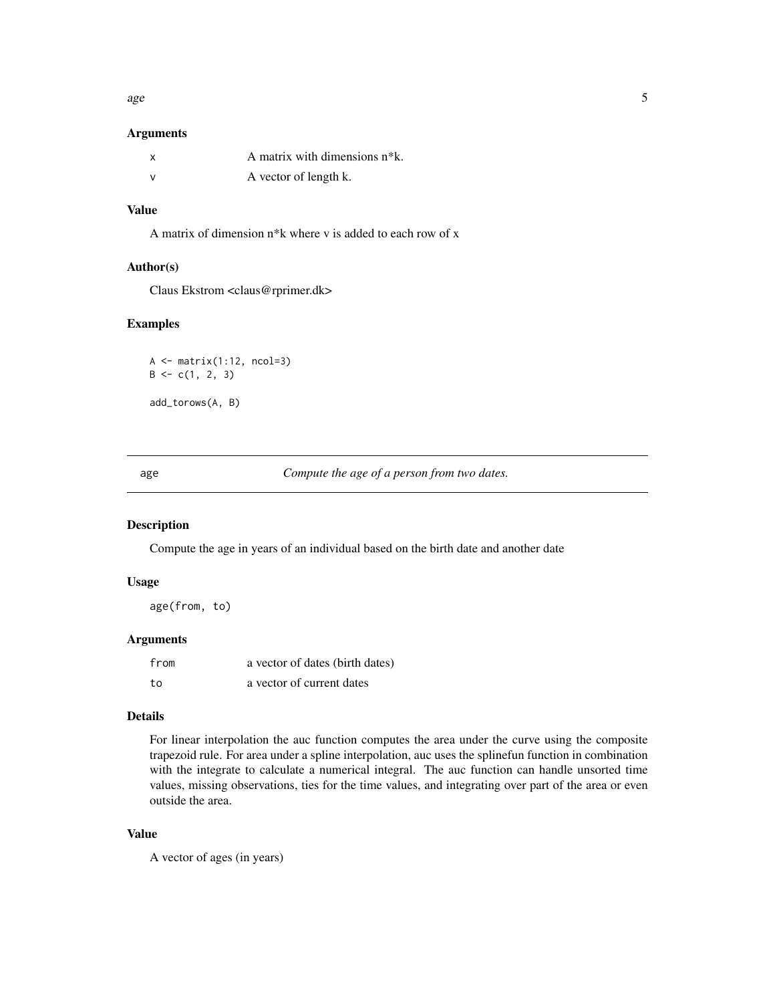<span id="page-4-0"></span>age  $\sim$  5

# Arguments

| A matrix with dimensions n <sup>*</sup> k. |
|--------------------------------------------|
| A vector of length k.                      |

# Value

A matrix of dimension n\*k where v is added to each row of x

# Author(s)

Claus Ekstrom <claus@rprimer.dk>

#### Examples

 $A \leftarrow matrix(1:12, ncol=3)$  $B \leftarrow c(1, 2, 3)$ add\_torows(A, B)

age *Compute the age of a person from two dates.*

#### Description

Compute the age in years of an individual based on the birth date and another date

#### Usage

age(from, to)

#### Arguments

| from | a vector of dates (birth dates) |
|------|---------------------------------|
| to   | a vector of current dates       |

#### Details

For linear interpolation the auc function computes the area under the curve using the composite trapezoid rule. For area under a spline interpolation, auc uses the splinefun function in combination with the integrate to calculate a numerical integral. The auc function can handle unsorted time values, missing observations, ties for the time values, and integrating over part of the area or even outside the area.

# Value

A vector of ages (in years)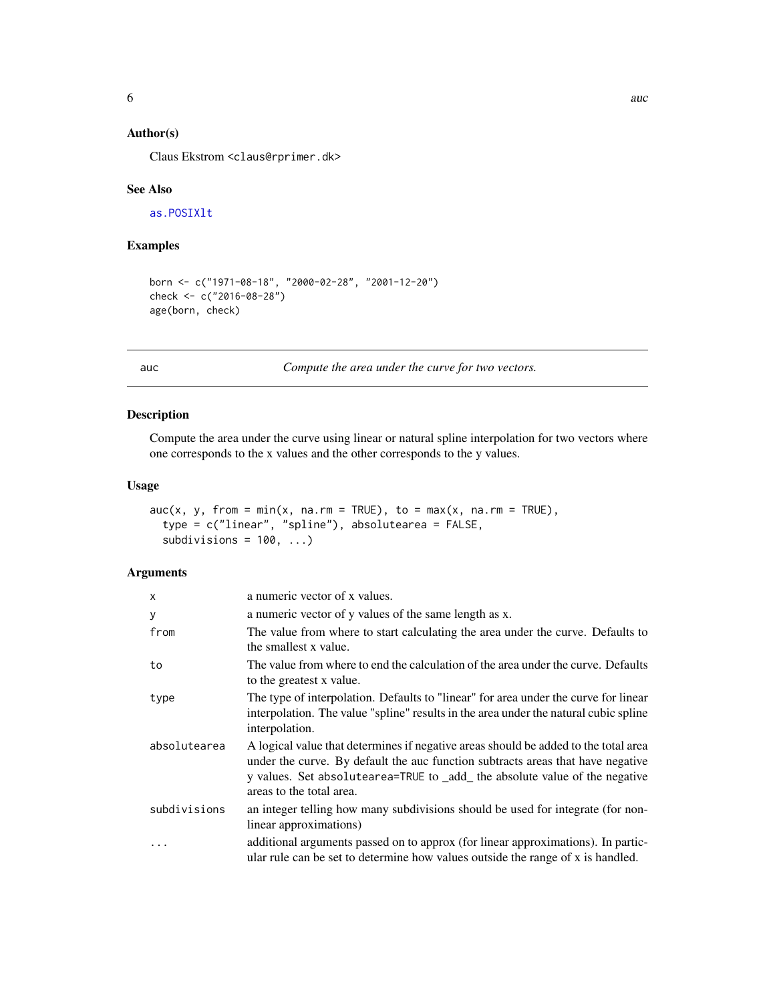# <span id="page-5-0"></span>Author(s)

Claus Ekstrom <claus@rprimer.dk>

#### See Also

[as.POSIXlt](#page-0-0)

# Examples

```
born <- c("1971-08-18", "2000-02-28", "2001-12-20")
check <- c("2016-08-28")
age(born, check)
```
auc *Compute the area under the curve for two vectors.*

# Description

Compute the area under the curve using linear or natural spline interpolation for two vectors where one corresponds to the x values and the other corresponds to the y values.

#### Usage

```
\text{auc}(x, y, \text{ from } = \text{min}(x, \text{ na.rm } = \text{TRUE}), \text{ to } = \text{max}(x, \text{ na.rm } = \text{TRUE}),type = c("linear", "spline"), absolutearea = FALSE,
   subdivisions = 100, ...)
```
# Arguments

| $\mathsf{x}$ | a numeric vector of x values.                                                                                                                                                                                                                                                     |
|--------------|-----------------------------------------------------------------------------------------------------------------------------------------------------------------------------------------------------------------------------------------------------------------------------------|
| y            | a numeric vector of y values of the same length as x.                                                                                                                                                                                                                             |
| from         | The value from where to start calculating the area under the curve. Defaults to<br>the smallest x value.                                                                                                                                                                          |
| to           | The value from where to end the calculation of the area under the curve. Defaults<br>to the greatest x value.                                                                                                                                                                     |
| type         | The type of interpolation. Defaults to "linear" for area under the curve for linear<br>interpolation. The value "spline" results in the area under the natural cubic spline<br>interpolation.                                                                                     |
| absolutearea | A logical value that determines if negative areas should be added to the total area<br>under the curve. By default the auc function subtracts areas that have negative<br>y values. Set absolutearea=TRUE to _add_ the absolute value of the negative<br>areas to the total area. |
| subdivisions | an integer telling how many subdivisions should be used for integrate (for non-<br>linear approximations)                                                                                                                                                                         |
| $\cdots$     | additional arguments passed on to approx (for linear approximations). In partic-<br>ular rule can be set to determine how values outside the range of x is handled.                                                                                                               |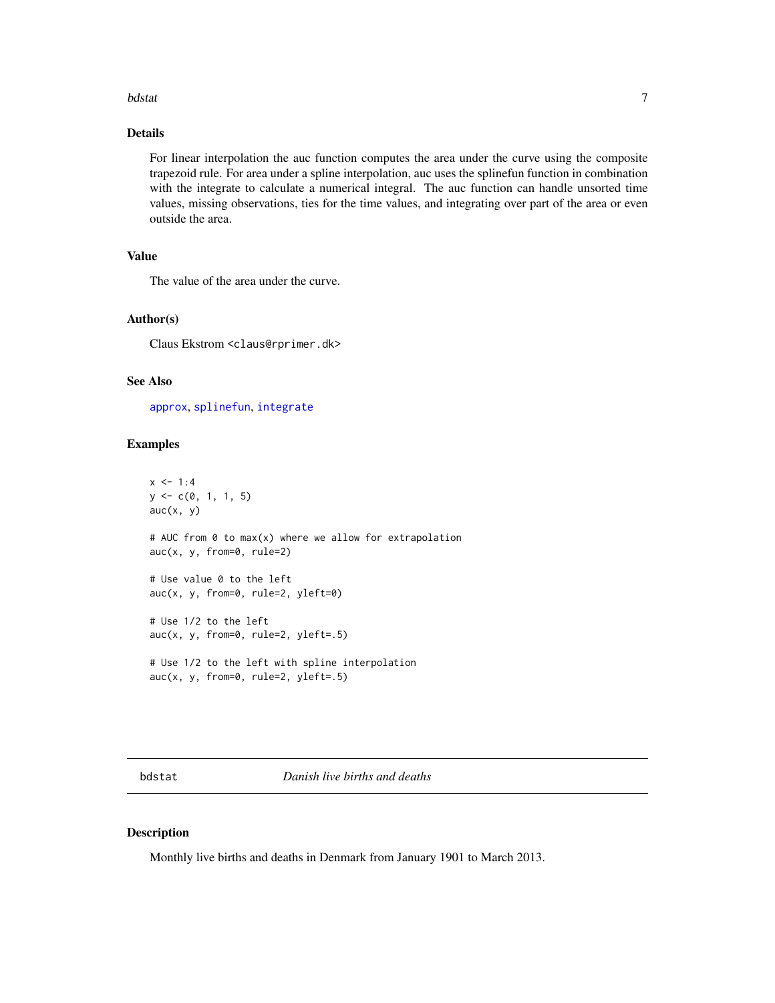#### <span id="page-6-0"></span>bdstat 7 apr 2012 i 1922 i 1922 i 1922 i 1922 i 1922 i 1922 i 1922 i 1922 i 1922 i 1922 i 1922 i 1922 i 1922 i

# Details

For linear interpolation the auc function computes the area under the curve using the composite trapezoid rule. For area under a spline interpolation, auc uses the splinefun function in combination with the integrate to calculate a numerical integral. The auc function can handle unsorted time values, missing observations, ties for the time values, and integrating over part of the area or even outside the area.

#### Value

The value of the area under the curve.

#### Author(s)

Claus Ekstrom <claus@rprimer.dk>

#### See Also

[approx](#page-0-0), [splinefun](#page-0-0), [integrate](#page-0-0)

#### Examples

```
x \le -1:4y \leq -c(0, 1, 1, 5)auc(x, y)# AUC from 0 to max(x) where we allow for extrapolation
auc(x, y, from=0, rule=2)# Use value 0 to the left
auc(x, y, from=0, rule=2, yleft=0)# Use 1/2 to the left
auc(x, y, from=0, rule=2, yleft=.5)
# Use 1/2 to the left with spline interpolation
auc(x, y, from=0, rule=2, yleft=0)
```
bdstat *Danish live births and deaths*

#### Description

Monthly live births and deaths in Denmark from January 1901 to March 2013.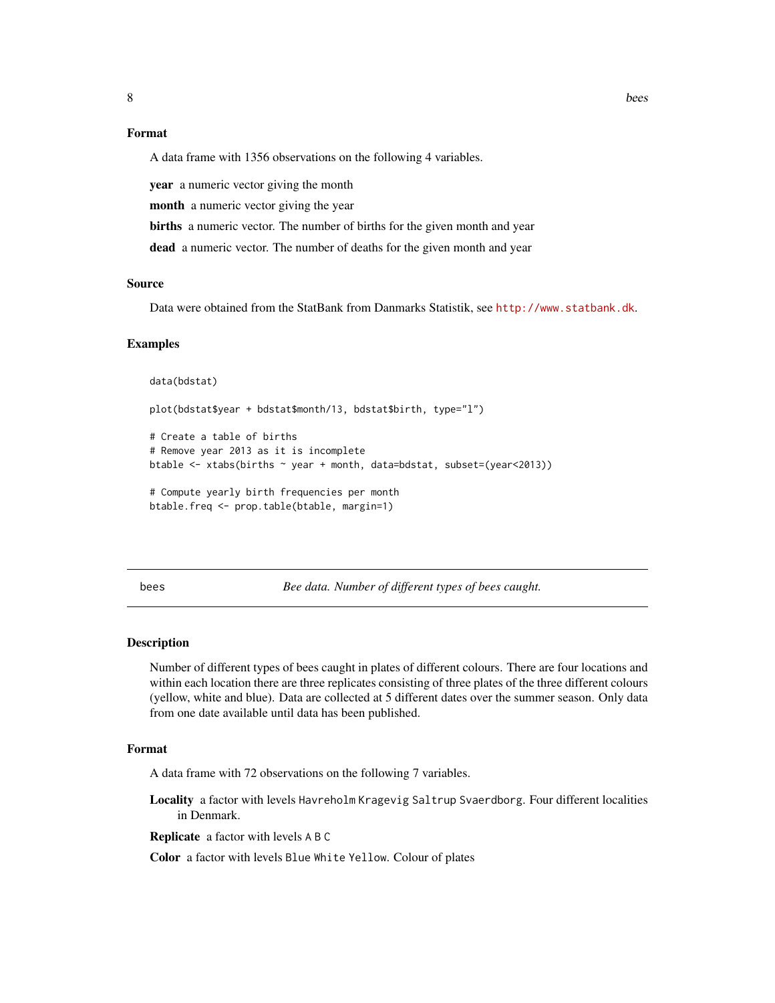# <span id="page-7-0"></span>Format

A data frame with 1356 observations on the following 4 variables.

year a numeric vector giving the month

month a numeric vector giving the year

births a numeric vector. The number of births for the given month and year

dead a numeric vector. The number of deaths for the given month and year

# Source

Data were obtained from the StatBank from Danmarks Statistik, see <http://www.statbank.dk>.

#### Examples

```
data(bdstat)
plot(bdstat$year + bdstat$month/13, bdstat$birth, type="l")
# Create a table of births
# Remove year 2013 as it is incomplete
btable <- xtabs(births ~ year + month, data=bdstat, subset=(year<2013))
# Compute yearly birth frequencies per month
btable.freq <- prop.table(btable, margin=1)
```
bees *Bee data. Number of different types of bees caught.*

#### Description

Number of different types of bees caught in plates of different colours. There are four locations and within each location there are three replicates consisting of three plates of the three different colours (yellow, white and blue). Data are collected at 5 different dates over the summer season. Only data from one date available until data has been published.

# Format

A data frame with 72 observations on the following 7 variables.

Locality a factor with levels Havreholm Kragevig Saltrup Svaerdborg. Four different localities in Denmark.

Replicate a factor with levels A B C

Color a factor with levels Blue White Yellow. Colour of plates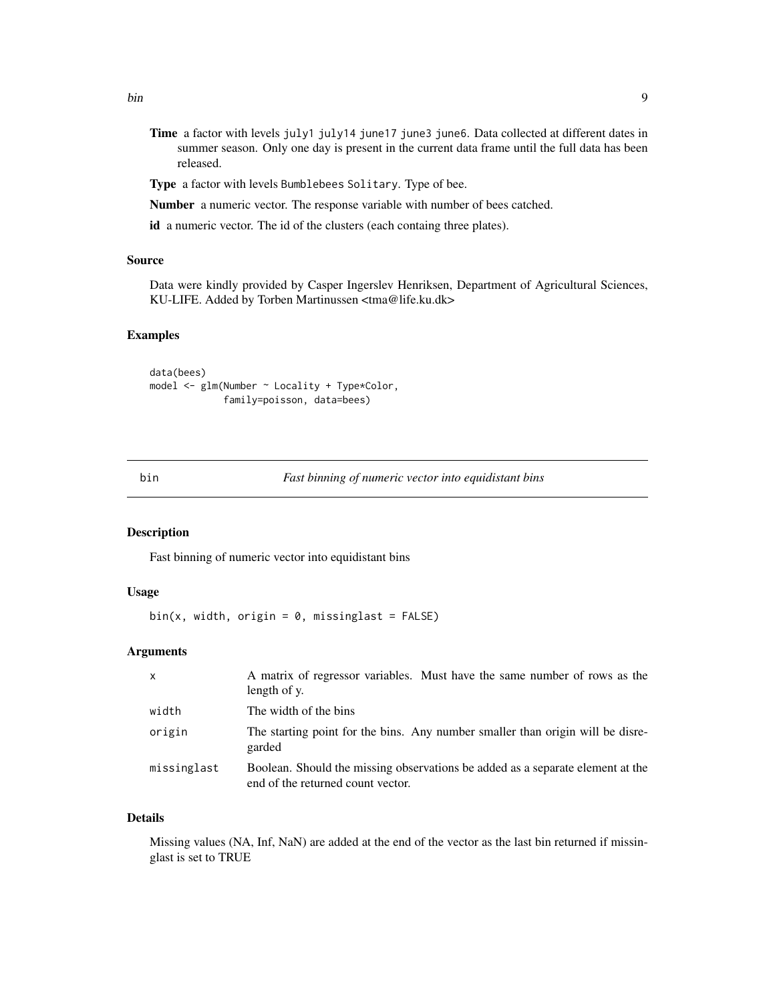- <span id="page-8-0"></span>Time a factor with levels july1 july14 june17 june3 june6. Data collected at different dates in summer season. Only one day is present in the current data frame until the full data has been released.
- Type a factor with levels Bumblebees Solitary. Type of bee.

Number a numeric vector. The response variable with number of bees catched.

id a numeric vector. The id of the clusters (each containg three plates).

# Source

Data were kindly provided by Casper Ingerslev Henriksen, Department of Agricultural Sciences, KU-LIFE. Added by Torben Martinussen <tma@life.ku.dk>

# Examples

```
data(bees)
model <- glm(Number ~ Locality + Type*Color,
             family=poisson, data=bees)
```
bin *Fast binning of numeric vector into equidistant bins*

#### Description

Fast binning of numeric vector into equidistant bins

# Usage

 $bin(x, width, origin = 0, missinglast = FALSE)$ 

#### Arguments

| $\mathsf{x}$ | A matrix of regressor variables. Must have the same number of rows as the<br>length of y.                           |
|--------------|---------------------------------------------------------------------------------------------------------------------|
| width        | The width of the bins                                                                                               |
| origin       | The starting point for the bins. Any number smaller than origin will be disre-<br>garded                            |
| missinglast  | Boolean. Should the missing observations be added as a separate element at the<br>end of the returned count vector. |

# Details

Missing values (NA, Inf, NaN) are added at the end of the vector as the last bin returned if missinglast is set to TRUE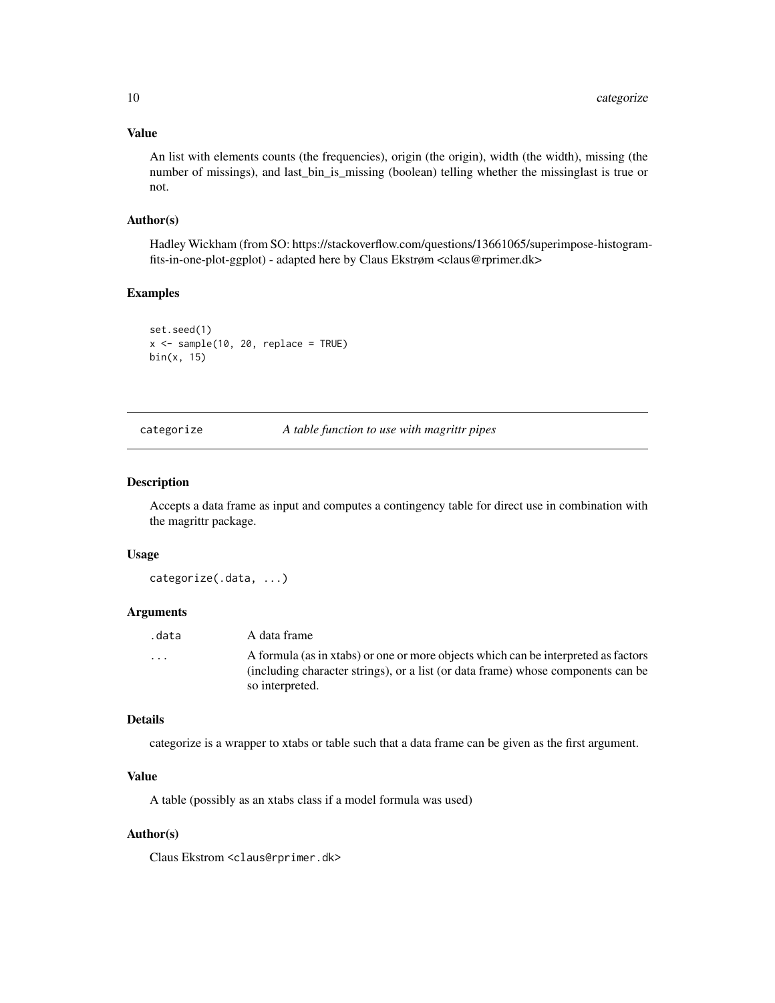#### Value

An list with elements counts (the frequencies), origin (the origin), width (the width), missing (the number of missings), and last\_bin\_is\_missing (boolean) telling whether the missinglast is true or not.

#### Author(s)

Hadley Wickham (from SO: https://stackoverflow.com/questions/13661065/superimpose-histogramfits-in-one-plot-ggplot) - adapted here by Claus Ekstrøm <claus@rprimer.dk>

#### Examples

```
set.seed(1)
x < - sample(10, 20, replace = TRUE)
bin(x, 15)
```
#### categorize *A table function to use with magrittr pipes*

#### Description

Accepts a data frame as input and computes a contingency table for direct use in combination with the magrittr package.

#### Usage

categorize(.data, ...)

# Arguments

| .data                   | A data frame                                                                                                                                                           |
|-------------------------|------------------------------------------------------------------------------------------------------------------------------------------------------------------------|
| $\cdot$ $\cdot$ $\cdot$ | A formula (as in xtabs) or one or more objects which can be interpreted as factors<br>(including character strings), or a list (or data frame) whose components can be |
|                         | so interpreted.                                                                                                                                                        |

#### Details

categorize is a wrapper to xtabs or table such that a data frame can be given as the first argument.

# Value

A table (possibly as an xtabs class if a model formula was used)

#### Author(s)

Claus Ekstrom <claus@rprimer.dk>

<span id="page-9-0"></span>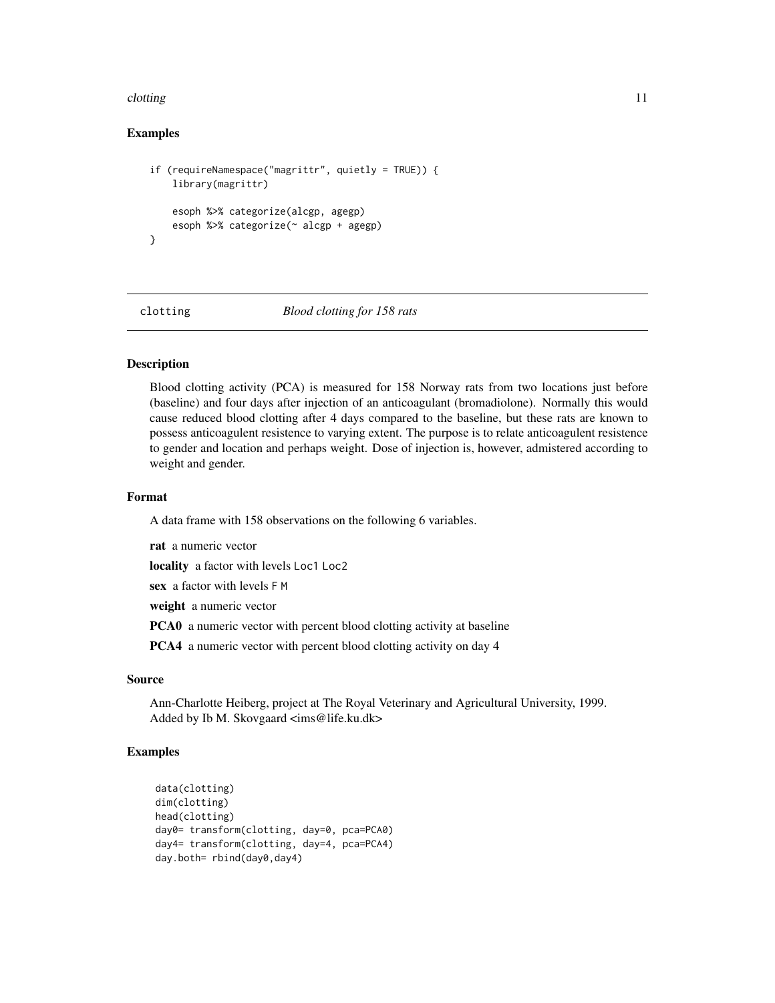#### <span id="page-10-0"></span>clotting the contract of the contract of the contract of the contract of the contract of the contract of the contract of the contract of the contract of the contract of the contract of the contract of the contract of the c

# Examples

```
if (requireNamespace("magrittr", quietly = TRUE)) {
    library(magrittr)
    esoph %>% categorize(alcgp, agegp)
    esoph %>% categorize(~ alcgp + agegp)
}
```
clotting *Blood clotting for 158 rats*

# Description

Blood clotting activity (PCA) is measured for 158 Norway rats from two locations just before (baseline) and four days after injection of an anticoagulant (bromadiolone). Normally this would cause reduced blood clotting after 4 days compared to the baseline, but these rats are known to possess anticoagulent resistence to varying extent. The purpose is to relate anticoagulent resistence to gender and location and perhaps weight. Dose of injection is, however, admistered according to weight and gender.

# Format

A data frame with 158 observations on the following 6 variables.

rat a numeric vector

locality a factor with levels Loc1 Loc2

sex a factor with levels F M

weight a numeric vector

PCA0 a numeric vector with percent blood clotting activity at baseline

PCA4 a numeric vector with percent blood clotting activity on day 4

#### Source

Ann-Charlotte Heiberg, project at The Royal Veterinary and Agricultural University, 1999. Added by Ib M. Skovgaard <ims@life.ku.dk>

```
data(clotting)
dim(clotting)
head(clotting)
day0= transform(clotting, day=0, pca=PCA0)
day4= transform(clotting, day=4, pca=PCA4)
day.both= rbind(day0,day4)
```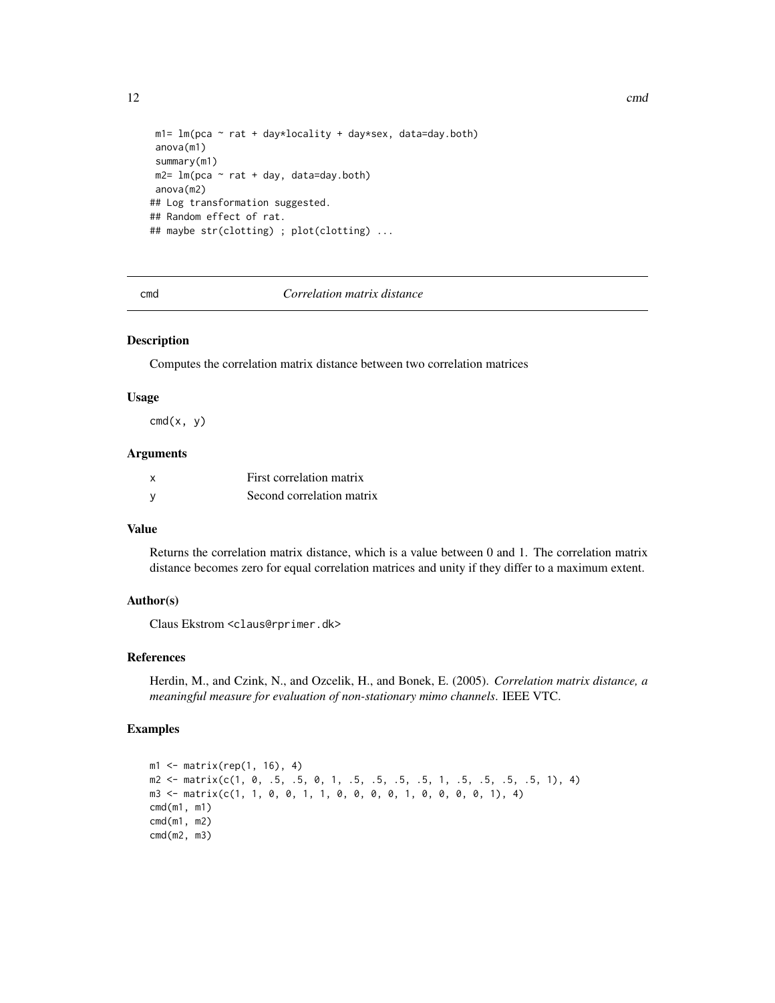```
m1 = Im(pca ~ rat + day*locality + day*sex, data=day.both)anova(m1)
summary(m1)
m2= lm(pca \sim rat + day, data=day.both)
anova(m2)
## Log transformation suggested.
## Random effect of rat.
## maybe str(clotting) ; plot(clotting) ...
```
#### cmd *Correlation matrix distance*

#### Description

Computes the correlation matrix distance between two correlation matrices

#### Usage

 $cmd(x, y)$ 

#### Arguments

| x | First correlation matrix  |
|---|---------------------------|
| у | Second correlation matrix |

# Value

Returns the correlation matrix distance, which is a value between 0 and 1. The correlation matrix distance becomes zero for equal correlation matrices and unity if they differ to a maximum extent.

# Author(s)

Claus Ekstrom <claus@rprimer.dk>

# References

Herdin, M., and Czink, N., and Ozcelik, H., and Bonek, E. (2005). *Correlation matrix distance, a meaningful measure for evaluation of non-stationary mimo channels*. IEEE VTC.

# Examples

```
m1 <- matrix(rep(1, 16), 4)
m2 <- matrix(c(1, 0, .5, .5, 0, 1, .5, .5, .5, .5, 1, .5, .5, .5, .5, 1), 4)
m3 <- matrix(c(1, 1, 0, 0, 1, 1, 0, 0, 0, 0, 1, 0, 0, 0, 0, 1), 4)
cmd(m1, m1)
cmd(m1, m2)
cmd(m2, m3)
```
<span id="page-11-0"></span>12 cmd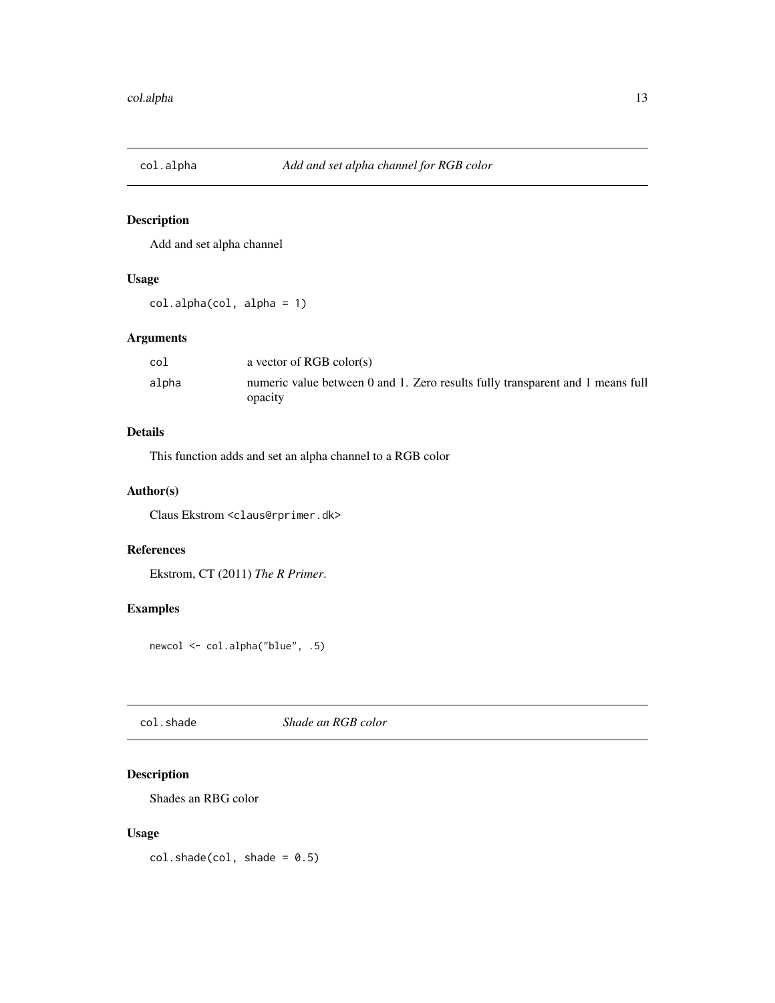<span id="page-12-0"></span>

Add and set alpha channel

# Usage

col.alpha(col, alpha = 1)

# Arguments

| col   | a vector of RGB color(s)                                                       |
|-------|--------------------------------------------------------------------------------|
| alpha | numeric value between 0 and 1. Zero results fully transparent and 1 means full |
|       | opacity                                                                        |

# Details

This function adds and set an alpha channel to a RGB color

# Author(s)

Claus Ekstrom <claus@rprimer.dk>

# References

Ekstrom, CT (2011) *The R Primer*.

# Examples

newcol <- col.alpha("blue", .5)

col.shade *Shade an RGB color*

# Description

Shades an RBG color

# Usage

 $col.shape(col, shade = 0.5)$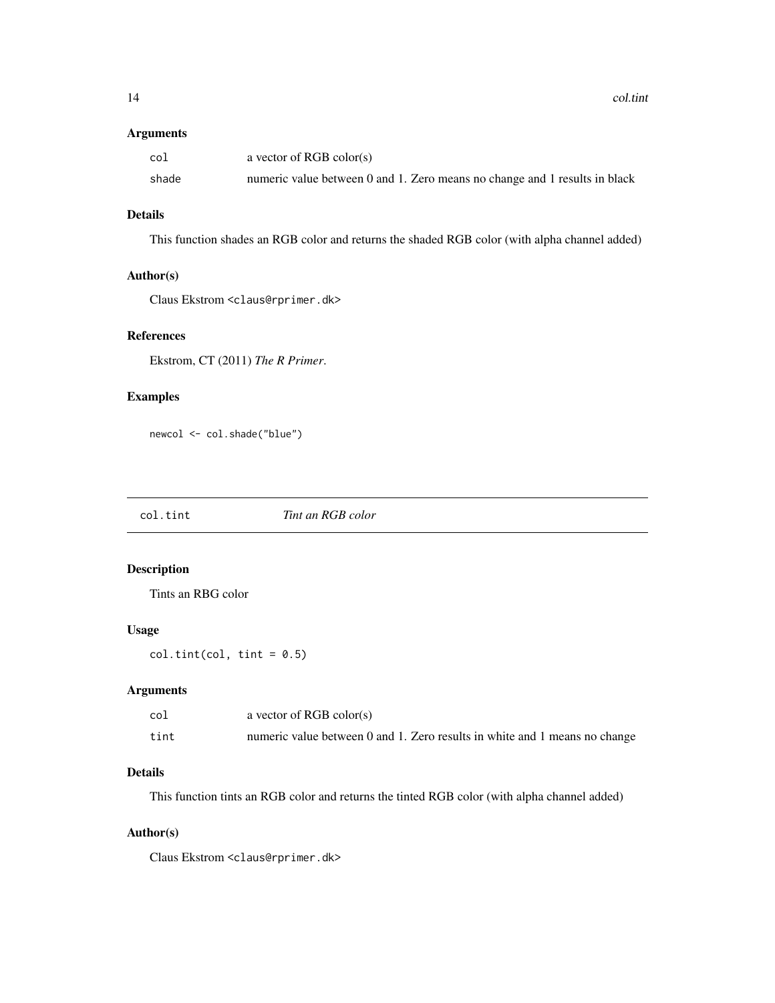<span id="page-13-0"></span>14 col.tint

#### Arguments

| col   | a vector of RGB color(s)                                                   |
|-------|----------------------------------------------------------------------------|
| shade | numeric value between 0 and 1. Zero means no change and 1 results in black |

# Details

This function shades an RGB color and returns the shaded RGB color (with alpha channel added)

# Author(s)

Claus Ekstrom <claus@rprimer.dk>

# References

Ekstrom, CT (2011) *The R Primer*.

# Examples

newcol <- col.shade("blue")

col.tint *Tint an RGB color*

# Description

Tints an RBG color

# Usage

 $col.tint(col, tint = 0.5)$ 

# Arguments

| co]  | a vector of RGB color(s)                                                   |
|------|----------------------------------------------------------------------------|
| tint | numeric value between 0 and 1. Zero results in white and 1 means no change |

# Details

This function tints an RGB color and returns the tinted RGB color (with alpha channel added)

# Author(s)

Claus Ekstrom <claus@rprimer.dk>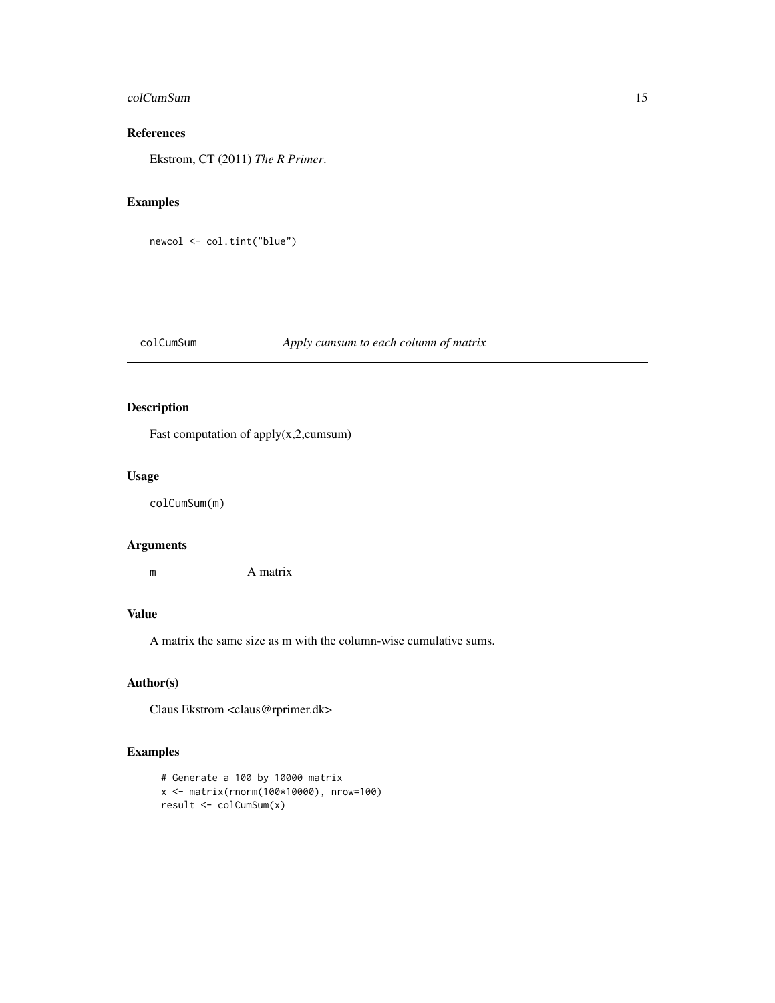# <span id="page-14-0"></span>colCumSum 15

# References

Ekstrom, CT (2011) *The R Primer*.

# Examples

```
newcol <- col.tint("blue")
```
# colCumSum *Apply cumsum to each column of matrix*

# Description

Fast computation of apply(x,2,cumsum)

#### Usage

colCumSum(m)

#### Arguments

m A matrix

# Value

A matrix the same size as m with the column-wise cumulative sums.

# Author(s)

Claus Ekstrom <claus@rprimer.dk>

```
# Generate a 100 by 10000 matrix
x <- matrix(rnorm(100*10000), nrow=100)
result <- colCumSum(x)
```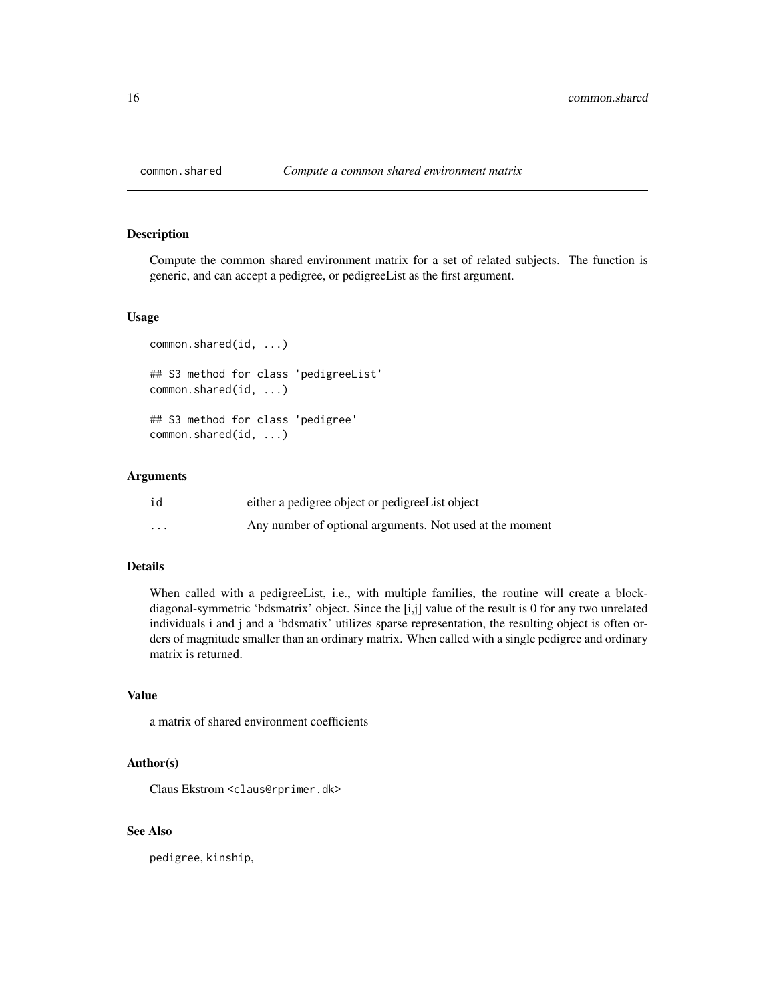<span id="page-15-0"></span>

Compute the common shared environment matrix for a set of related subjects. The function is generic, and can accept a pedigree, or pedigreeList as the first argument.

#### Usage

```
common.shared(id, ...)
## S3 method for class 'pedigreeList'
common.shared(id, ...)
## S3 method for class 'pedigree'
common.shared(id, ...)
```
# Arguments

| id       | either a pedigree object or pedigree List object         |  |
|----------|----------------------------------------------------------|--|
| $\cdots$ | Any number of optional arguments. Not used at the moment |  |

# Details

When called with a pedigreeList, i.e., with multiple families, the routine will create a blockdiagonal-symmetric 'bdsmatrix' object. Since the [i,j] value of the result is 0 for any two unrelated individuals i and j and a 'bdsmatix' utilizes sparse representation, the resulting object is often orders of magnitude smaller than an ordinary matrix. When called with a single pedigree and ordinary matrix is returned.

#### Value

a matrix of shared environment coefficients

#### Author(s)

Claus Ekstrom <claus@rprimer.dk>

# See Also

pedigree, kinship,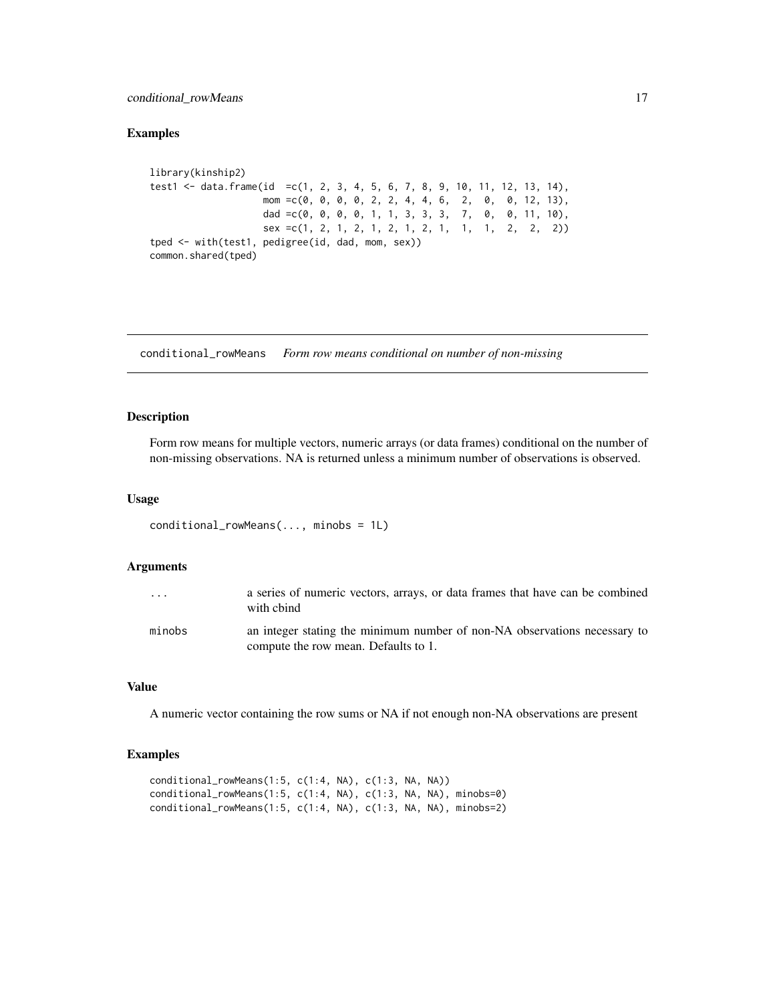# <span id="page-16-0"></span>conditional\_rowMeans 17

#### Examples

```
library(kinship2)
test1 <- data.frame(id =c(1, 2, 3, 4, 5, 6, 7, 8, 9, 10, 11, 12, 13, 14),
                    mom =c(0, 0, 0, 0, 2, 2, 4, 4, 6, 2, 0, 0, 12, 13),
                    dad =c(0, 0, 0, 0, 1, 1, 3, 3, 3, 7, 0, 0, 11, 10),
                   sex =c(1, 2, 1, 2, 1, 2, 1, 2, 1, 1, 1, 2, 2, 2))
tped <- with(test1, pedigree(id, dad, mom, sex))
common.shared(tped)
```
conditional\_rowMeans *Form row means conditional on number of non-missing*

# Description

Form row means for multiple vectors, numeric arrays (or data frames) conditional on the number of non-missing observations. NA is returned unless a minimum number of observations is observed.

#### Usage

```
conditional_rowMeans(..., minobs = 1L)
```
#### Arguments

| $\cdot$ $\cdot$ $\cdot$ | a series of numeric vectors, arrays, or data frames that have can be combined<br>with chind                       |
|-------------------------|-------------------------------------------------------------------------------------------------------------------|
| minobs                  | an integer stating the minimum number of non-NA observations necessary to<br>compute the row mean. Defaults to 1. |

#### Value

A numeric vector containing the row sums or NA if not enough non-NA observations are present

```
conditional_rowMeans(1:5, c(1:4, NA), c(1:3, NA, NA))
conditional_rowMeans(1:5, c(1:4, NA), c(1:3, NA, NA), minobs=0)
conditional_rowMeans(1:5, c(1:4, NA), c(1:3, NA, NA), minobs=2)
```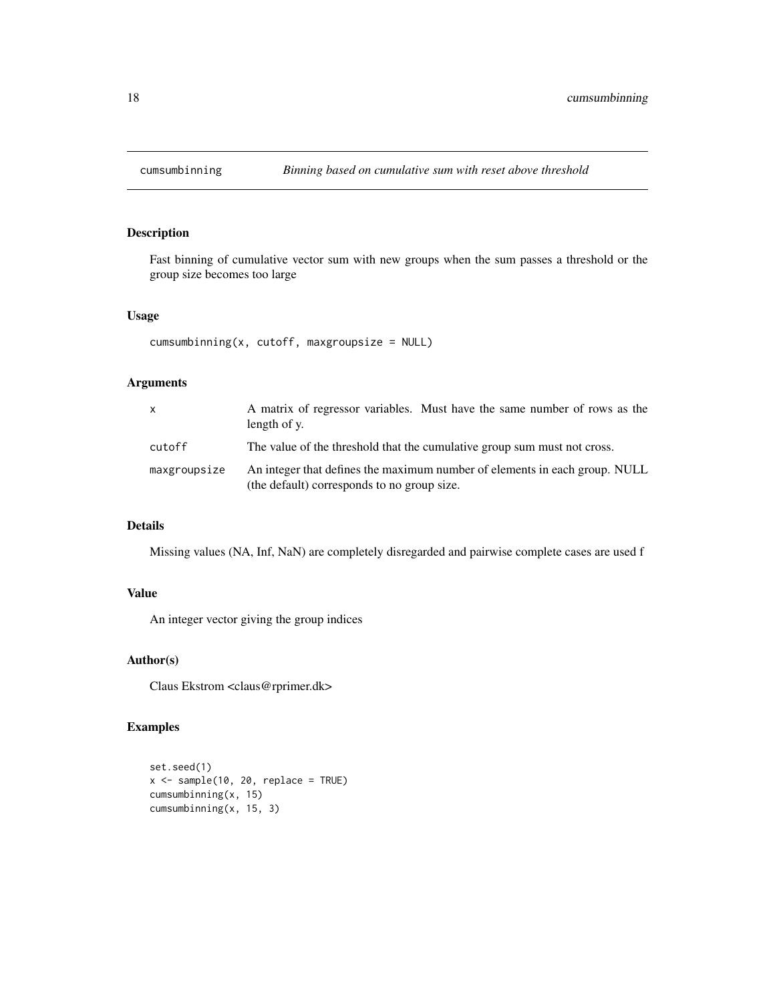<span id="page-17-0"></span>

Fast binning of cumulative vector sum with new groups when the sum passes a threshold or the group size becomes too large

#### Usage

```
cumsumbinning(x, cutoff, maxgroupsize = NULL)
```
# Arguments

| $\mathsf{x}$ | A matrix of regressor variables. Must have the same number of rows as the<br>length of y.                                 |  |
|--------------|---------------------------------------------------------------------------------------------------------------------------|--|
| cutoff       | The value of the threshold that the cumulative group sum must not cross.                                                  |  |
| maxgroupsize | An integer that defines the maximum number of elements in each group. NULL<br>(the default) corresponds to no group size. |  |

#### Details

Missing values (NA, Inf, NaN) are completely disregarded and pairwise complete cases are used f

# Value

An integer vector giving the group indices

# Author(s)

Claus Ekstrom <claus@rprimer.dk>

```
set.seed(1)
x \le - sample(10, 20, replace = TRUE)
cumsumbinning(x, 15)
cumsumbinning(x, 15, 3)
```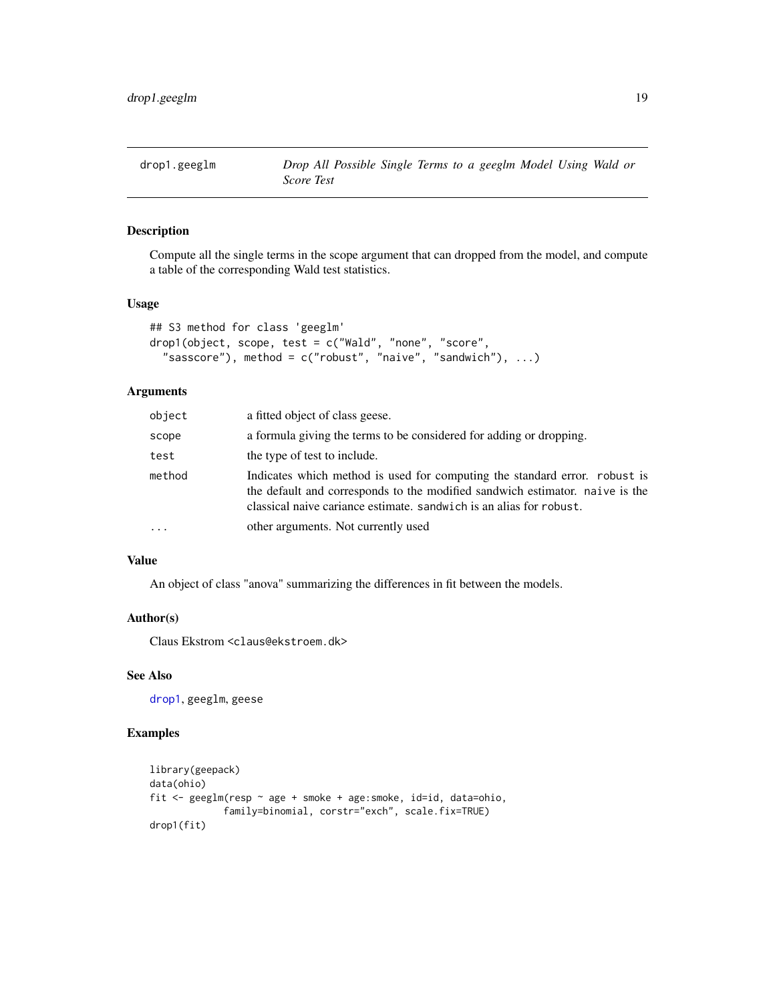<span id="page-18-0"></span>

Compute all the single terms in the scope argument that can dropped from the model, and compute a table of the corresponding Wald test statistics.

#### Usage

```
## S3 method for class 'geeglm'
drop1(object, scope, test = c("Wald", "none", "score",
  "sasscore"), method = c("robust", "naive", "sandwich"), ...
```
# Arguments

| object | a fitted object of class geese.                                                                                                                                                                                                   |
|--------|-----------------------------------------------------------------------------------------------------------------------------------------------------------------------------------------------------------------------------------|
| scope  | a formula giving the terms to be considered for adding or dropping.                                                                                                                                                               |
| test   | the type of test to include.                                                                                                                                                                                                      |
| method | Indicates which method is used for computing the standard error. robust is<br>the default and corresponds to the modified sandwich estimator, naive is the<br>classical naive cariance estimate. sandwich is an alias for robust. |
| .      | other arguments. Not currently used                                                                                                                                                                                               |
|        |                                                                                                                                                                                                                                   |

# Value

An object of class "anova" summarizing the differences in fit between the models.

#### Author(s)

Claus Ekstrom <claus@ekstroem.dk>

# See Also

[drop1](#page-0-0), geeglm, geese

```
library(geepack)
data(ohio)
fit <- geeglm(resp ~ age + smoke + age:smoke, id=id, data=ohio,
             family=binomial, corstr="exch", scale.fix=TRUE)
drop1(fit)
```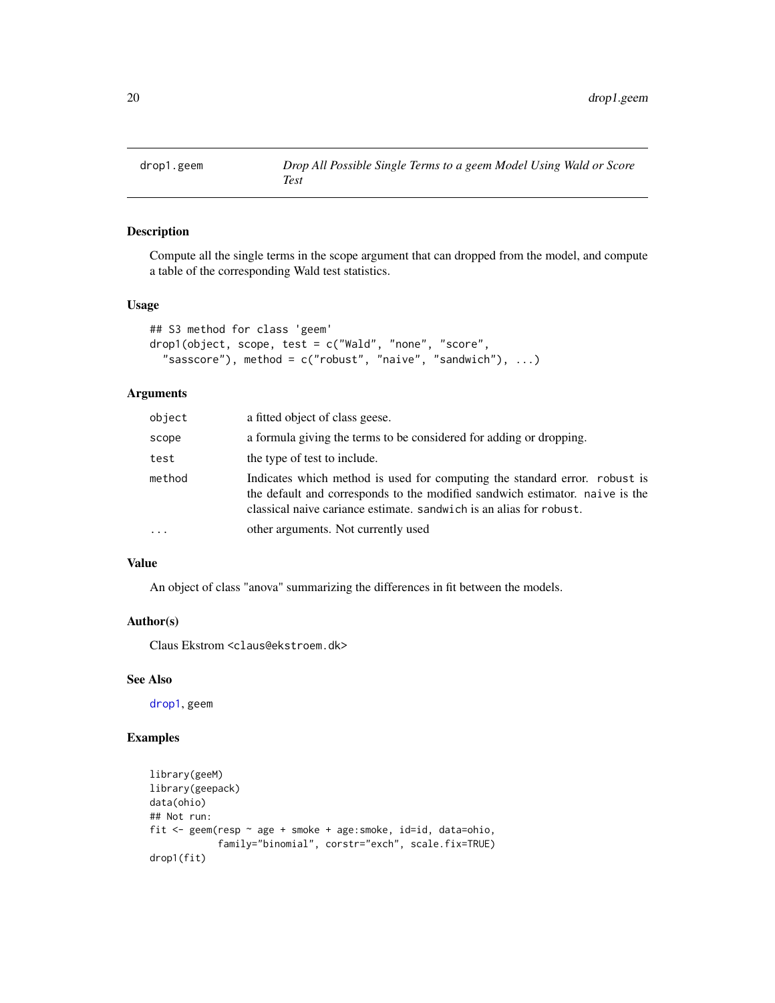<span id="page-19-0"></span>

Compute all the single terms in the scope argument that can dropped from the model, and compute a table of the corresponding Wald test statistics.

#### Usage

```
## S3 method for class 'geem'
drop1(object, scope, test = c("Wald", "none", "score",
  "sasscore"), method = c("robust", "naive", "sandwich"), ...)
```
#### Arguments

| object | a fitted object of class geese.                                                                                                                                                                                                   |
|--------|-----------------------------------------------------------------------------------------------------------------------------------------------------------------------------------------------------------------------------------|
| scope  | a formula giving the terms to be considered for adding or dropping.                                                                                                                                                               |
| test   | the type of test to include.                                                                                                                                                                                                      |
| method | Indicates which method is used for computing the standard error. robust is<br>the default and corresponds to the modified sandwich estimator, naive is the<br>classical naive cariance estimate, sandwich is an alias for robust. |
| .      | other arguments. Not currently used                                                                                                                                                                                               |
|        |                                                                                                                                                                                                                                   |

# Value

An object of class "anova" summarizing the differences in fit between the models.

#### Author(s)

Claus Ekstrom <claus@ekstroem.dk>

# See Also

[drop1](#page-0-0), geem

```
library(geeM)
library(geepack)
data(ohio)
## Not run:
fit <- geem(resp ~ age + smoke + age:smoke, id=id, data=ohio,
            family="binomial", corstr="exch", scale.fix=TRUE)
drop1(fit)
```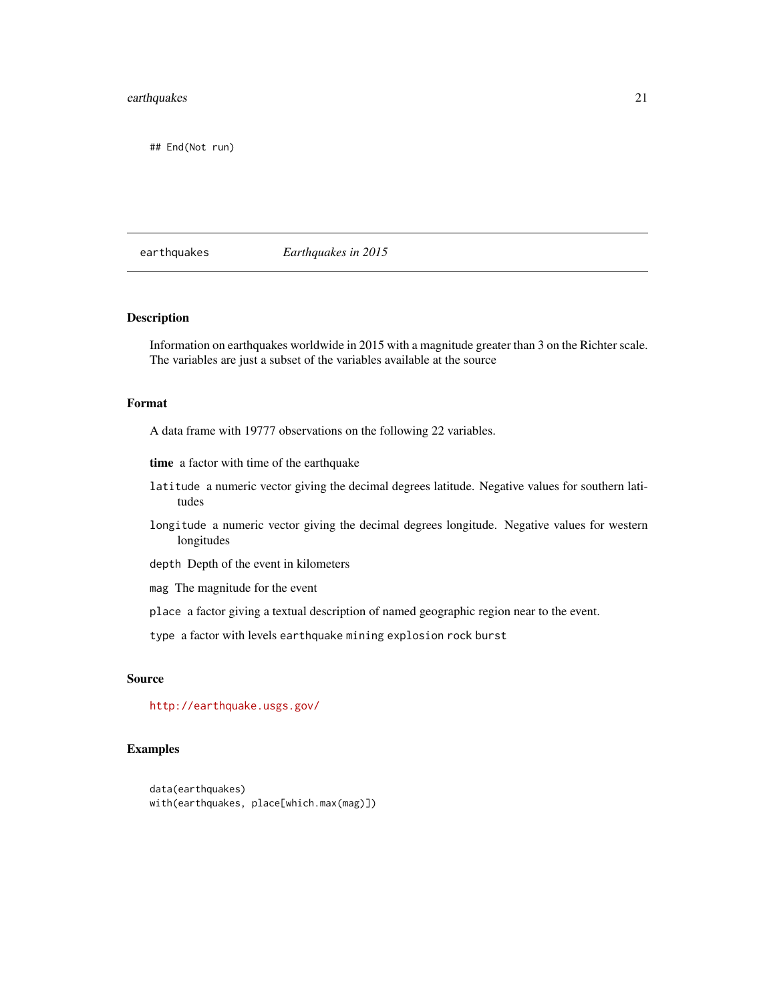# <span id="page-20-0"></span>earthquakes 21

## End(Not run)

# earthquakes *Earthquakes in 2015*

#### Description

Information on earthquakes worldwide in 2015 with a magnitude greater than 3 on the Richter scale. The variables are just a subset of the variables available at the source

#### Format

A data frame with 19777 observations on the following 22 variables.

- time a factor with time of the earthquake
- latitude a numeric vector giving the decimal degrees latitude. Negative values for southern latitudes
- longitude a numeric vector giving the decimal degrees longitude. Negative values for western longitudes
- depth Depth of the event in kilometers
- mag The magnitude for the event
- place a factor giving a textual description of named geographic region near to the event.

type a factor with levels earthquake mining explosion rock burst

#### Source

<http://earthquake.usgs.gov/>

```
data(earthquakes)
with(earthquakes, place[which.max(mag)])
```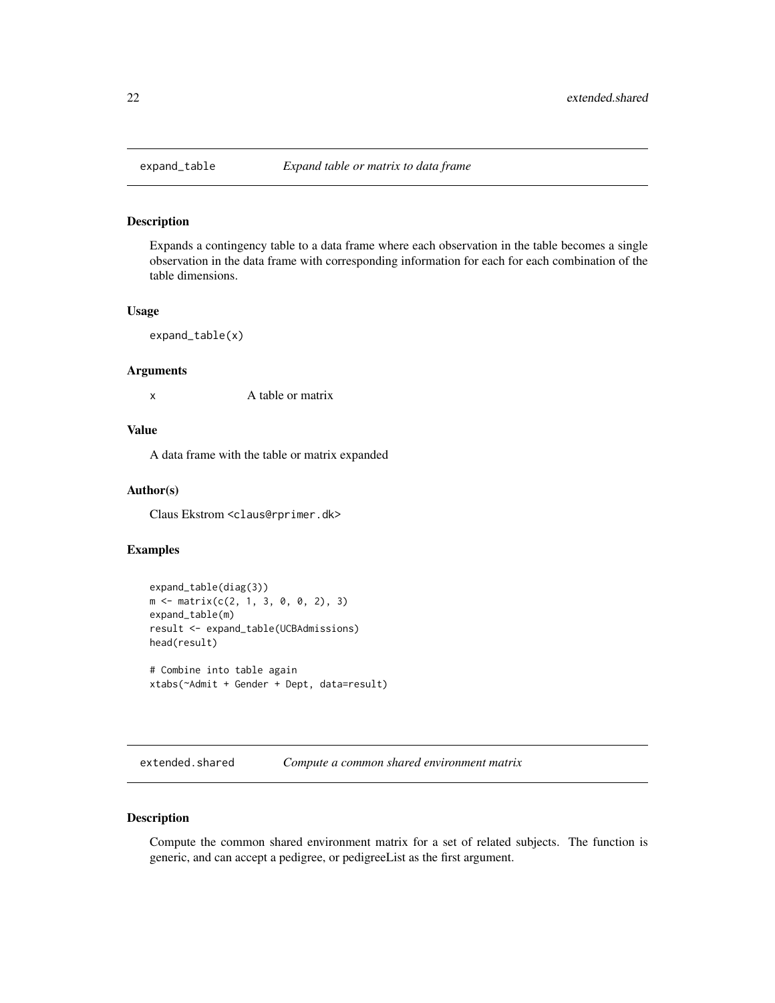<span id="page-21-0"></span>

Expands a contingency table to a data frame where each observation in the table becomes a single observation in the data frame with corresponding information for each for each combination of the table dimensions.

#### Usage

expand\_table(x)

#### Arguments

x A table or matrix

# Value

A data frame with the table or matrix expanded

# Author(s)

Claus Ekstrom <claus@rprimer.dk>

# Examples

```
expand_table(diag(3))
m \le - matrix(c(2, 1, 3, 0, 0, 2), 3)
expand_table(m)
result <- expand_table(UCBAdmissions)
head(result)
# Combine into table again
xtabs(~Admit + Gender + Dept, data=result)
```
extended.shared *Compute a common shared environment matrix*

#### Description

Compute the common shared environment matrix for a set of related subjects. The function is generic, and can accept a pedigree, or pedigreeList as the first argument.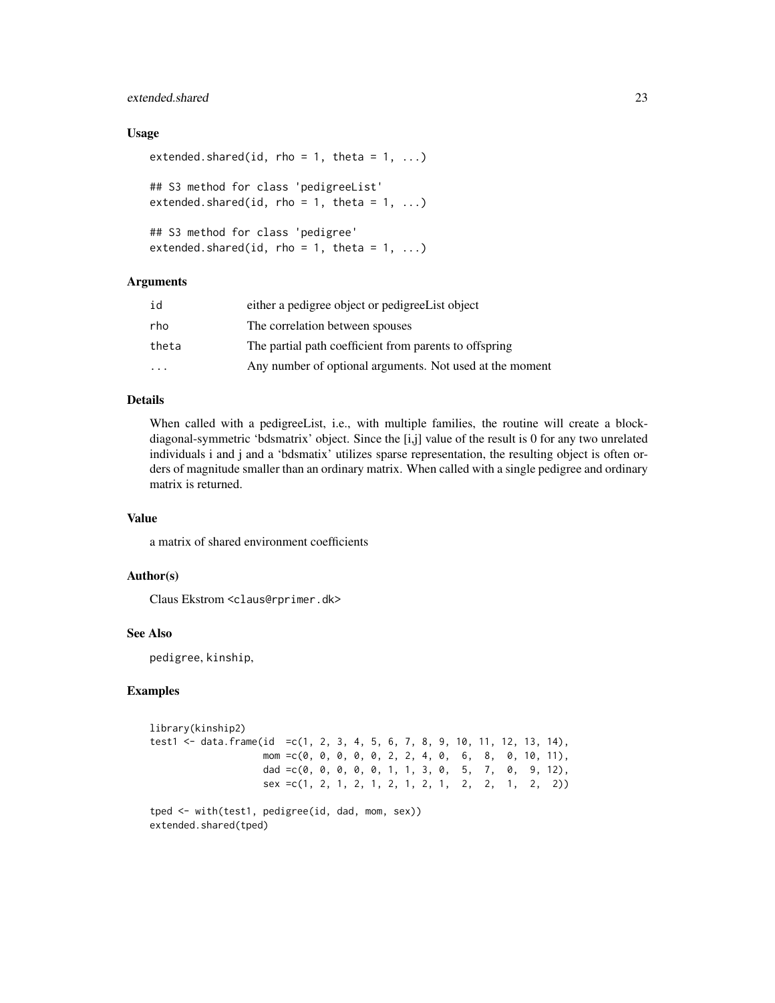# extended.shared 23

#### Usage

```
extended.shared(id, rho = 1, theta = 1, ...)
## S3 method for class 'pedigreeList'
extended.shared(id, rho = 1, theta = 1, ...)
## S3 method for class 'pedigree'
extended.shared(id, rho = 1, theta = 1, ...)
```
#### Arguments

| id                      | either a pedigree object or pedigree List object         |  |
|-------------------------|----------------------------------------------------------|--|
| rho                     | The correlation between spouses                          |  |
| theta                   | The partial path coefficient from parents to offspring   |  |
| $\cdot$ $\cdot$ $\cdot$ | Any number of optional arguments. Not used at the moment |  |

#### Details

When called with a pedigreeList, i.e., with multiple families, the routine will create a blockdiagonal-symmetric 'bdsmatrix' object. Since the [i,j] value of the result is 0 for any two unrelated individuals i and j and a 'bdsmatix' utilizes sparse representation, the resulting object is often orders of magnitude smaller than an ordinary matrix. When called with a single pedigree and ordinary matrix is returned.

#### Value

a matrix of shared environment coefficients

#### Author(s)

Claus Ekstrom <claus@rprimer.dk>

# See Also

pedigree, kinship,

#### Examples

```
library(kinship2)
test1 <- data.frame(id =c(1, 2, 3, 4, 5, 6, 7, 8, 9, 10, 11, 12, 13, 14),
                   mom =c(0, 0, 0, 0, 0, 2, 2, 4, 0, 6, 8, 0, 10, 11),
                   dad =c(0, 0, 0, 0, 0, 1, 1, 3, 0, 5, 7, 0, 9, 12),
                   sex =c(1, 2, 1, 2, 1, 2, 1, 2, 1, 2, 2, 1, 2, 2))
tped <- with(test1, pedigree(id, dad, mom, sex))
```
extended.shared(tped)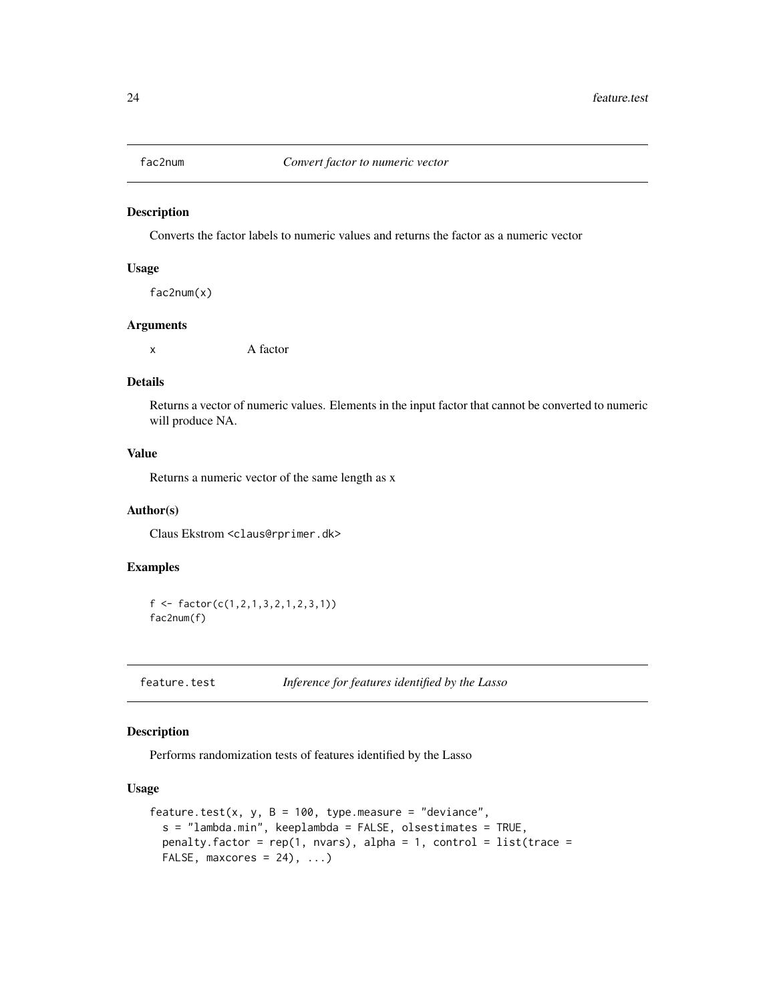<span id="page-23-0"></span>

Converts the factor labels to numeric values and returns the factor as a numeric vector

#### Usage

fac2num(x)

#### Arguments

x A factor

# Details

Returns a vector of numeric values. Elements in the input factor that cannot be converted to numeric will produce NA.

# Value

Returns a numeric vector of the same length as x

#### Author(s)

Claus Ekstrom <claus@rprimer.dk>

# Examples

f <- factor(c(1,2,1,3,2,1,2,3,1)) fac2num(f)

feature.test *Inference for features identified by the Lasso*

# Description

Performs randomization tests of features identified by the Lasso

# Usage

```
feature.test(x, y, B = 100, type.measure = "deviance",
  s = "lambda.min", keeplambda = FALSE, olsestimates = TRUE,
 penalty.factor = rep(1, nvars), alpha = 1, control = list(trace =
 FALSE, maxcores = 24), ...)
```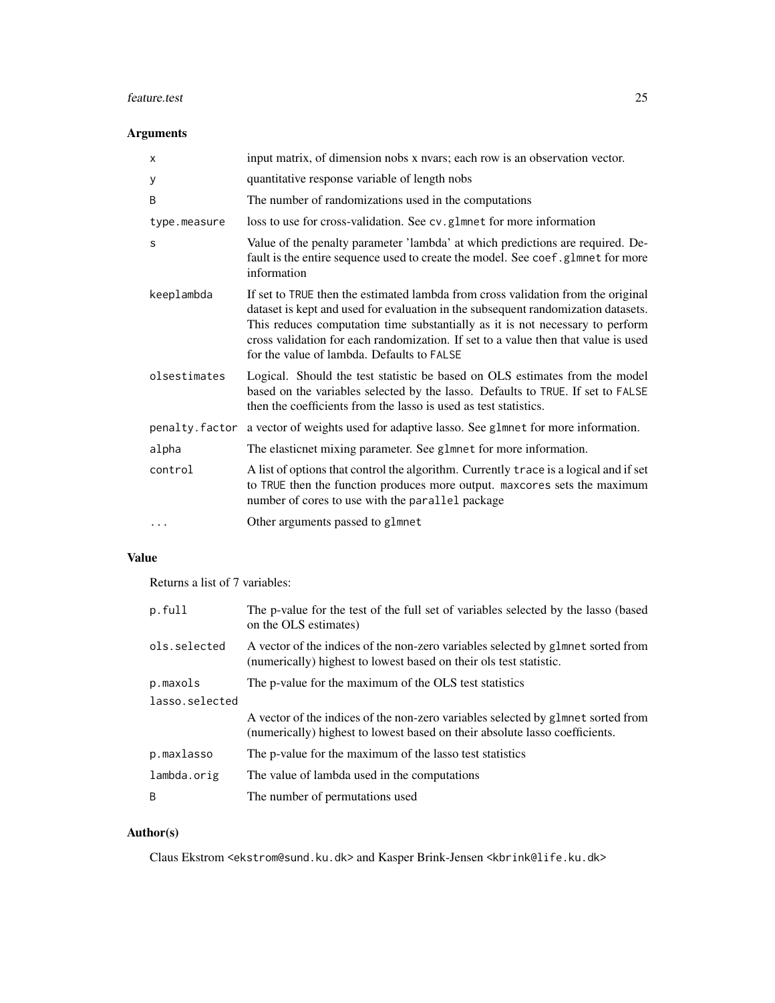#### feature.test 25

# Arguments

| х            | input matrix, of dimension nobs x nvars; each row is an observation vector.                                                                                                                                                                                                                                                                                                                |  |
|--------------|--------------------------------------------------------------------------------------------------------------------------------------------------------------------------------------------------------------------------------------------------------------------------------------------------------------------------------------------------------------------------------------------|--|
| У            | quantitative response variable of length nobs                                                                                                                                                                                                                                                                                                                                              |  |
| B            | The number of randomizations used in the computations                                                                                                                                                                                                                                                                                                                                      |  |
| type.measure | loss to use for cross-validation. See cv.g1mnet for more information                                                                                                                                                                                                                                                                                                                       |  |
| S            | Value of the penalty parameter 'lambda' at which predictions are required. De-<br>fault is the entire sequence used to create the model. See coef.glmnet for more<br>information                                                                                                                                                                                                           |  |
| keeplambda   | If set to TRUE then the estimated lambda from cross validation from the original<br>dataset is kept and used for evaluation in the subsequent randomization datasets.<br>This reduces computation time substantially as it is not necessary to perform<br>cross validation for each randomization. If set to a value then that value is used<br>for the value of lambda. Defaults to FALSE |  |
| olsestimates | Logical. Should the test statistic be based on OLS estimates from the model<br>based on the variables selected by the lasso. Defaults to TRUE. If set to FALSE<br>then the coefficients from the lasso is used as test statistics.                                                                                                                                                         |  |
|              | penalty. factor a vector of weights used for adaptive lasso. See glmnet for more information.                                                                                                                                                                                                                                                                                              |  |
| alpha        | The elasticnet mixing parameter. See glmnet for more information.                                                                                                                                                                                                                                                                                                                          |  |
| control      | A list of options that control the algorithm. Currently trace is a logical and if set<br>to TRUE then the function produces more output. maxcores sets the maximum<br>number of cores to use with the parallel package                                                                                                                                                                     |  |
|              | Other arguments passed to glmnet                                                                                                                                                                                                                                                                                                                                                           |  |

# Value

Returns a list of 7 variables:

| p.full         | The p-value for the test of the full set of variables selected by the lasso (based<br>on the OLS estimates)                                                     |  |
|----------------|-----------------------------------------------------------------------------------------------------------------------------------------------------------------|--|
| ols.selected   | A vector of the indices of the non-zero variables selected by glmnet sorted from<br>(numerically) highest to lowest based on their ols test statistic.          |  |
| p.maxols       | The p-value for the maximum of the OLS test statistics                                                                                                          |  |
| lasso.selected |                                                                                                                                                                 |  |
|                | A vector of the indices of the non-zero variables selected by glmnet sorted from<br>(numerically) highest to lowest based on their absolute lasso coefficients. |  |
| p.maxlasso     | The p-value for the maximum of the lasso test statistics                                                                                                        |  |
| lambda.orig    | The value of lambda used in the computations                                                                                                                    |  |
| B              | The number of permutations used                                                                                                                                 |  |

# Author(s)

Claus Ekstrom <ekstrom@sund.ku.dk> and Kasper Brink-Jensen <kbrink@life.ku.dk>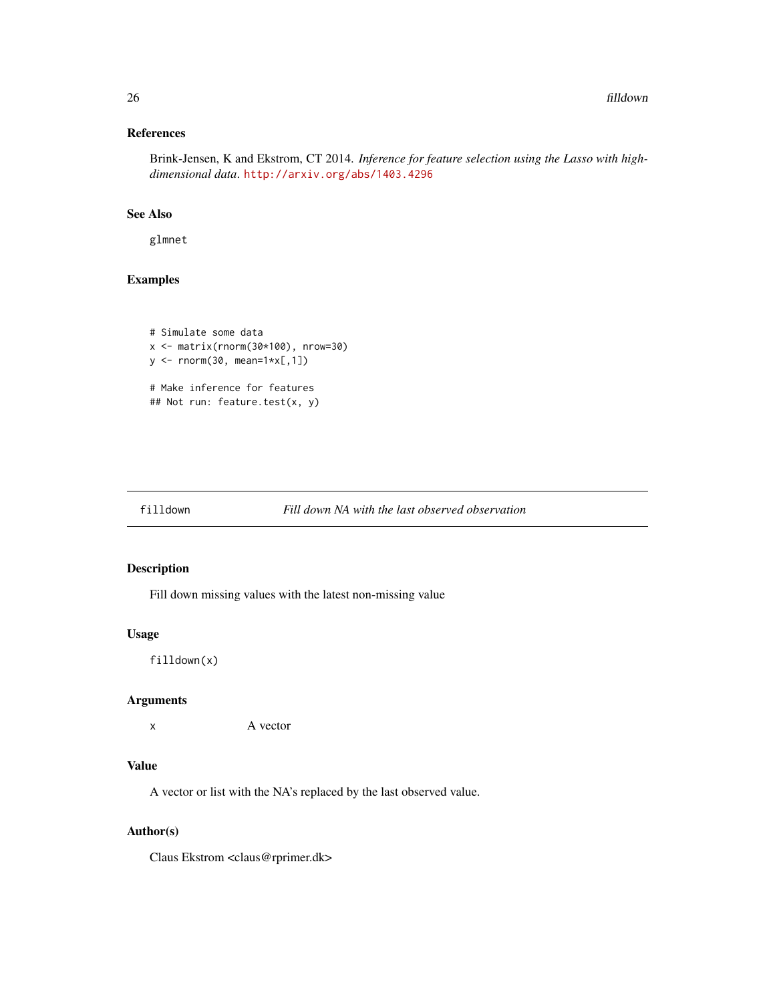# <span id="page-25-0"></span>References

Brink-Jensen, K and Ekstrom, CT 2014. *Inference for feature selection using the Lasso with highdimensional data*. <http://arxiv.org/abs/1403.4296>

#### See Also

glmnet

# Examples

```
# Simulate some data
x <- matrix(rnorm(30*100), nrow=30)
y \le - rnorm(30, mean=1*x[,1])
# Make inference for features
## Not run: feature.test(x, y)
```
# filldown *Fill down NA with the last observed observation*

# Description

Fill down missing values with the latest non-missing value

#### Usage

```
filldown(x)
```
# Arguments

```
x A vector
```
# Value

A vector or list with the NA's replaced by the last observed value.

#### Author(s)

Claus Ekstrom <claus@rprimer.dk>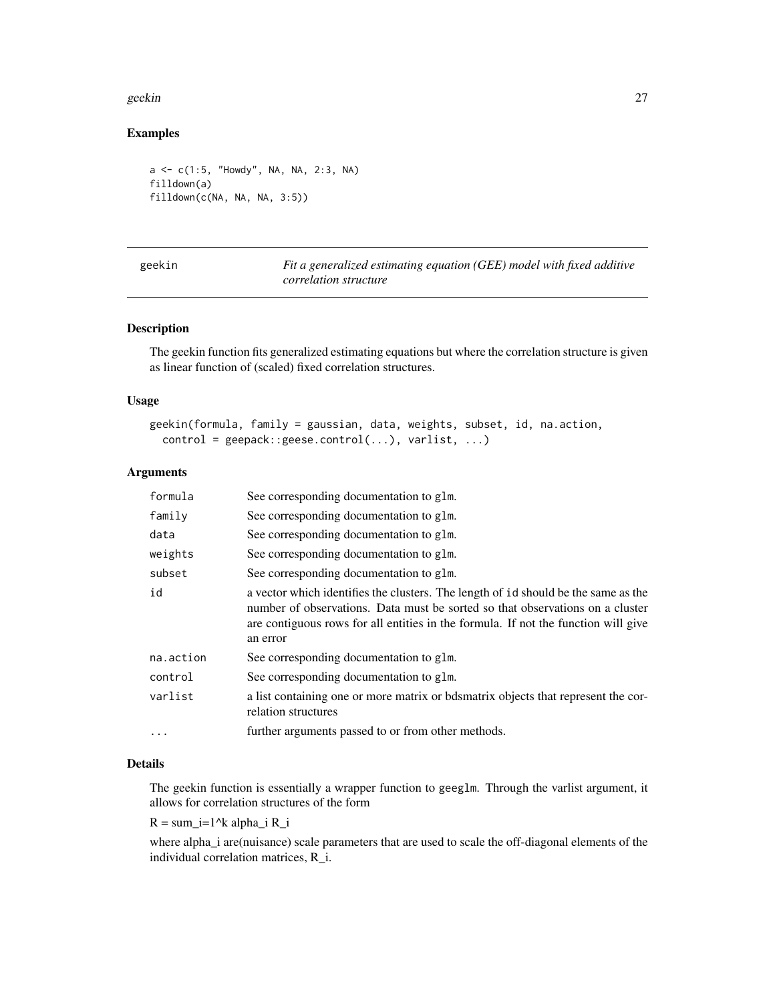#### <span id="page-26-0"></span>geekin 27

# Examples

```
a <- c(1:5, "Howdy", NA, NA, 2:3, NA)
filldown(a)
filldown(c(NA, NA, NA, 3:5))
```

| geekin |  |
|--------|--|
|        |  |
|        |  |

Fit a generalized estimating equation (GEE) model with fixed additive *correlation structure*

# Description

The geekin function fits generalized estimating equations but where the correlation structure is given as linear function of (scaled) fixed correlation structures.

# Usage

```
geekin(formula, family = gaussian, data, weights, subset, id, na.action,
  control = geepack::geese.contrib(...), variables,...)
```
# Arguments

| formula   | See corresponding documentation to glm.                                                                                                                                                                                                                                |
|-----------|------------------------------------------------------------------------------------------------------------------------------------------------------------------------------------------------------------------------------------------------------------------------|
| family    | See corresponding documentation to glm.                                                                                                                                                                                                                                |
| data      | See corresponding documentation to glm.                                                                                                                                                                                                                                |
| weights   | See corresponding documentation to glm.                                                                                                                                                                                                                                |
| subset    | See corresponding documentation to glm.                                                                                                                                                                                                                                |
| id        | a vector which identifies the clusters. The length of identified be the same as the<br>number of observations. Data must be sorted so that observations on a cluster<br>are contiguous rows for all entities in the formula. If not the function will give<br>an error |
| na.action | See corresponding documentation to glm.                                                                                                                                                                                                                                |
| control   | See corresponding documentation to glm.                                                                                                                                                                                                                                |
| varlist   | a list containing one or more matrix or bdsmatrix objects that represent the cor-<br>relation structures                                                                                                                                                               |
| $\cdots$  | further arguments passed to or from other methods.                                                                                                                                                                                                                     |

#### Details

The geekin function is essentially a wrapper function to geeglm. Through the varlist argument, it allows for correlation structures of the form

 $R = sum_i=1^k$  alpha\_i  $R_i$ 

where alpha\_i are(nuisance) scale parameters that are used to scale the off-diagonal elements of the individual correlation matrices, R\_i.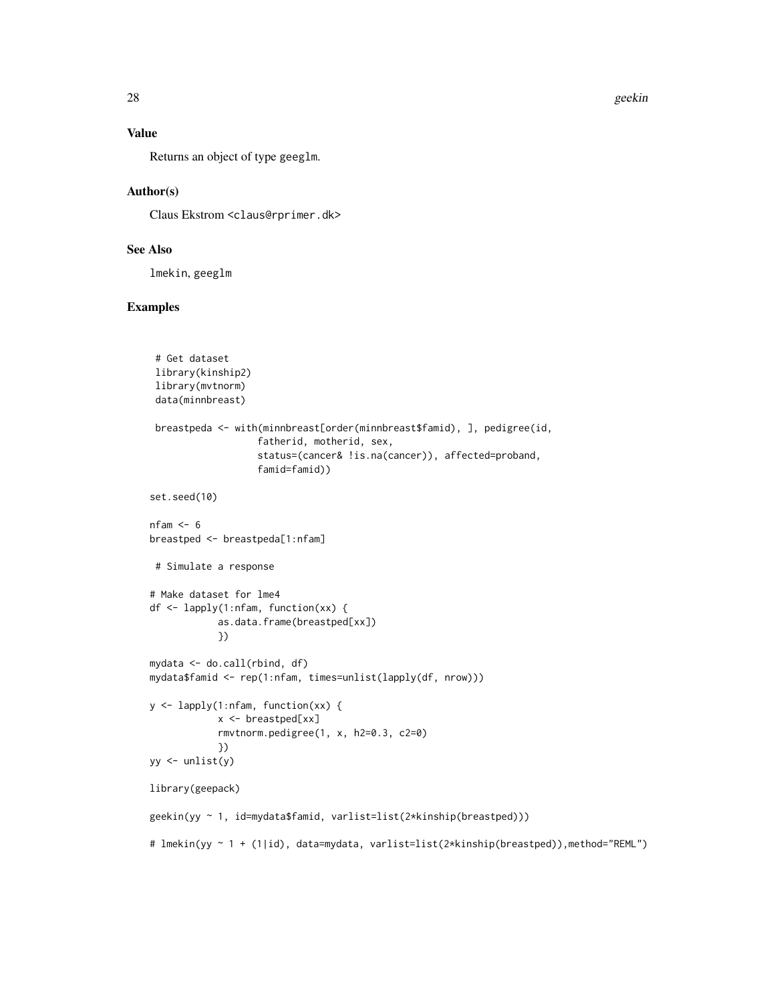# Value

Returns an object of type geeglm.

#### Author(s)

Claus Ekstrom <claus@rprimer.dk>

# See Also

lmekin, geeglm

```
# Get dataset
 library(kinship2)
 library(mvtnorm)
 data(minnbreast)
 breastpeda <- with(minnbreast[order(minnbreast$famid), ], pedigree(id,
                   fatherid, motherid, sex,
                   status=(cancer& !is.na(cancer)), affected=proband,
                   famid=famid))
set.seed(10)
nfam <-6breastped <- breastpeda[1:nfam]
 # Simulate a response
# Make dataset for lme4
df <- lapply(1:nfam, function(xx) {
            as.data.frame(breastped[xx])
            })
mydata <- do.call(rbind, df)
mydata$famid <- rep(1:nfam, times=unlist(lapply(df, nrow)))
y <- lapply(1:nfam, function(xx) {
            x <- breastped[xx]
            rmvtnorm.pedigree(1, x, h2=0.3, c2=0)
            })
yy <- unlist(y)
library(geepack)
geekin(yy ~ 1, id=mydata$famid, varlist=list(2*kinship(breastped)))
# lmekin(yy ~ 1 + (1|id), data=mydata, varlist=list(2*kinship(breastped)),method="REML")
```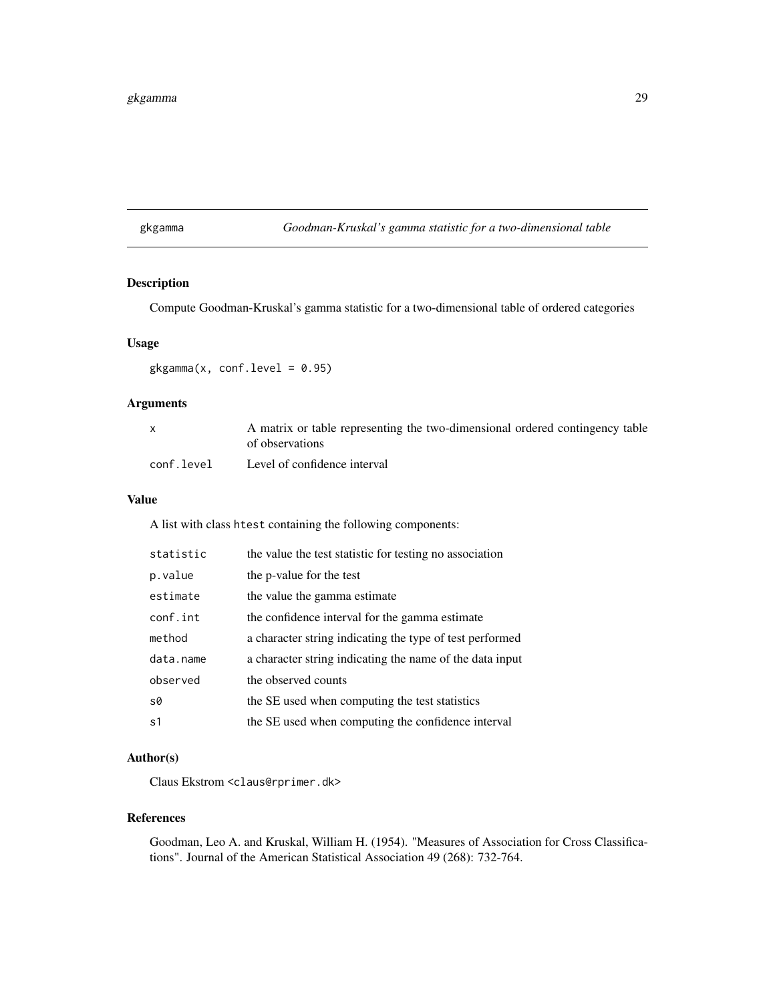#### <span id="page-28-0"></span>gkgamma 29

gkgamma *Goodman-Kruskal's gamma statistic for a two-dimensional table*

# Description

Compute Goodman-Kruskal's gamma statistic for a two-dimensional table of ordered categories

#### Usage

 $gkgamma(x, conf.level = 0.95)$ 

# Arguments

|            | A matrix or table representing the two-dimensional ordered contingency table<br>of observations |
|------------|-------------------------------------------------------------------------------------------------|
|            |                                                                                                 |
| conf.level | Level of confidence interval                                                                    |

#### Value

A list with class htest containing the following components:

| statistic      | the value the test statistic for testing no association  |
|----------------|----------------------------------------------------------|
| p.value        | the p-value for the test                                 |
| estimate       | the value the gamma estimate                             |
| conf.int       | the confidence interval for the gamma estimate           |
| method         | a character string indicating the type of test performed |
| data.name      | a character string indicating the name of the data input |
| observed       | the observed counts                                      |
| S <sup>0</sup> | the SE used when computing the test statistics           |
| s1             | the SE used when computing the confidence interval       |

# Author(s)

Claus Ekstrom <claus@rprimer.dk>

# References

Goodman, Leo A. and Kruskal, William H. (1954). "Measures of Association for Cross Classifications". Journal of the American Statistical Association 49 (268): 732-764.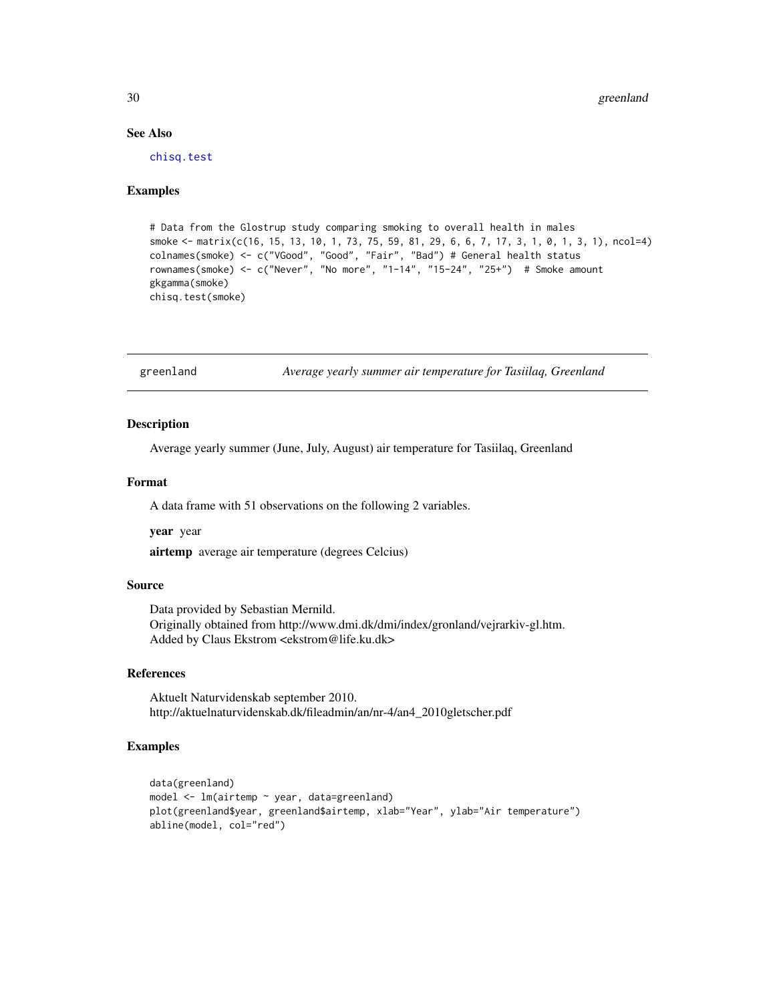# See Also

[chisq.test](#page-0-0)

#### Examples

```
# Data from the Glostrup study comparing smoking to overall health in males
smoke <- matrix(c(16, 15, 13, 10, 1, 73, 75, 59, 81, 29, 6, 6, 7, 17, 3, 1, 0, 1, 3, 1), ncol=4)
colnames(smoke) <- c("VGood", "Good", "Fair", "Bad") # General health status
rownames(smoke) <- c("Never", "No more", "1-14", "15-24", "25+") # Smoke amount
gkgamma(smoke)
chisq.test(smoke)
```
greenland *Average yearly summer air temperature for Tasiilaq, Greenland*

#### Description

Average yearly summer (June, July, August) air temperature for Tasiilaq, Greenland

#### Format

A data frame with 51 observations on the following 2 variables.

year year

airtemp average air temperature (degrees Celcius)

# Source

Data provided by Sebastian Mernild. Originally obtained from http://www.dmi.dk/dmi/index/gronland/vejrarkiv-gl.htm. Added by Claus Ekstrom <ekstrom@life.ku.dk>

#### References

Aktuelt Naturvidenskab september 2010. http://aktuelnaturvidenskab.dk/fileadmin/an/nr-4/an4\_2010gletscher.pdf

```
data(greenland)
model <- lm(airtemp ~ year, data=greenland)
plot(greenland$year, greenland$airtemp, xlab="Year", ylab="Air temperature")
abline(model, col="red")
```
<span id="page-29-0"></span>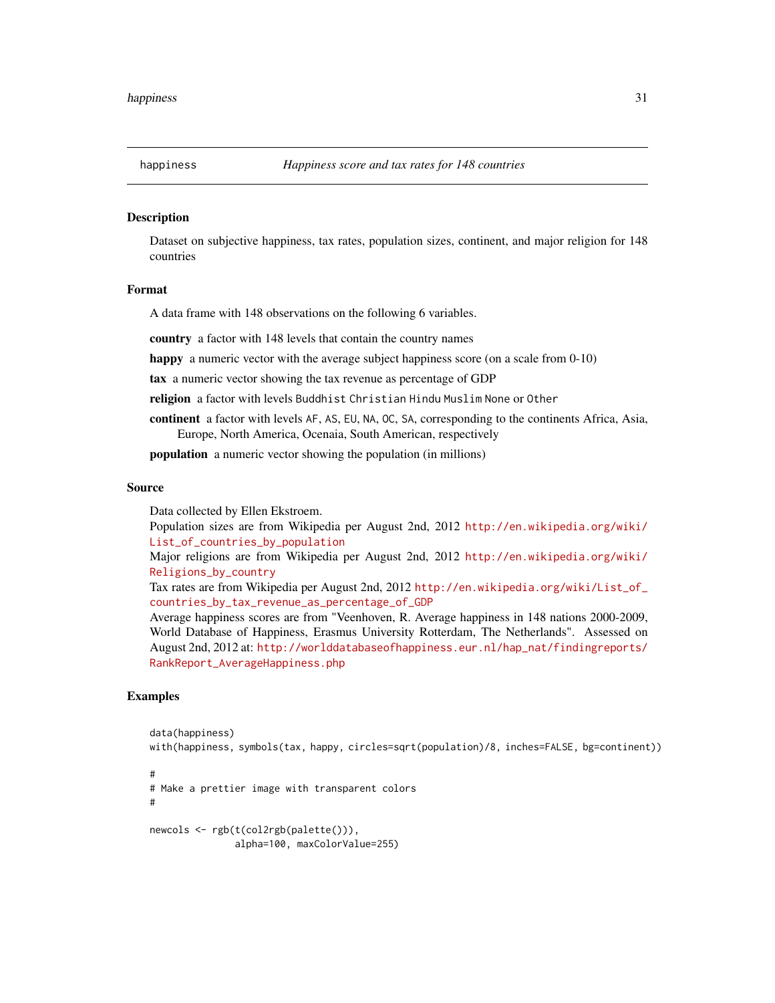<span id="page-30-0"></span>

Dataset on subjective happiness, tax rates, population sizes, continent, and major religion for 148 countries

#### Format

A data frame with 148 observations on the following 6 variables.

country a factor with 148 levels that contain the country names

happy a numeric vector with the average subject happiness score (on a scale from 0-10)

tax a numeric vector showing the tax revenue as percentage of GDP

religion a factor with levels Buddhist Christian Hindu Muslim None or Other

continent a factor with levels AF, AS, EU, NA, OC, SA, corresponding to the continents Africa, Asia, Europe, North America, Ocenaia, South American, respectively

population a numeric vector showing the population (in millions)

#### Source

Data collected by Ellen Ekstroem.

Population sizes are from Wikipedia per August 2nd, 2012 [http://en.wikipedia.org/wiki/](http://en.wikipedia.org/wiki/List_of_countries_by_population) [List\\_of\\_countries\\_by\\_population](http://en.wikipedia.org/wiki/List_of_countries_by_population)

Major religions are from Wikipedia per August 2nd, 2012 [http://en.wikipedia.org/wiki/](http://en.wikipedia.org/wiki/Religions_by_country) [Religions\\_by\\_country](http://en.wikipedia.org/wiki/Religions_by_country)

Tax rates are from Wikipedia per August 2nd, 2012 [http://en.wikipedia.org/wiki/List\\_of\\_](http://en.wikipedia.org/wiki/List_of_countries_by_tax_revenue_as_percentage_of_GDP) [countries\\_by\\_tax\\_revenue\\_as\\_percentage\\_of\\_GDP](http://en.wikipedia.org/wiki/List_of_countries_by_tax_revenue_as_percentage_of_GDP)

Average happiness scores are from "Veenhoven, R. Average happiness in 148 nations 2000-2009, World Database of Happiness, Erasmus University Rotterdam, The Netherlands". Assessed on August 2nd, 2012 at: [http://worlddatabaseofhappiness.eur.nl/hap\\_nat/findingreports/](http://worlddatabaseofhappiness.eur.nl/hap_nat/findingreports/RankReport_AverageHappiness.php) [RankReport\\_AverageHappiness.php](http://worlddatabaseofhappiness.eur.nl/hap_nat/findingreports/RankReport_AverageHappiness.php)

```
data(happiness)
with(happiness, symbols(tax, happy, circles=sqrt(population)/8, inches=FALSE, bg=continent))
#
# Make a prettier image with transparent colors
#
newcols <- rgb(t(col2rgb(palette())),
               alpha=100, maxColorValue=255)
```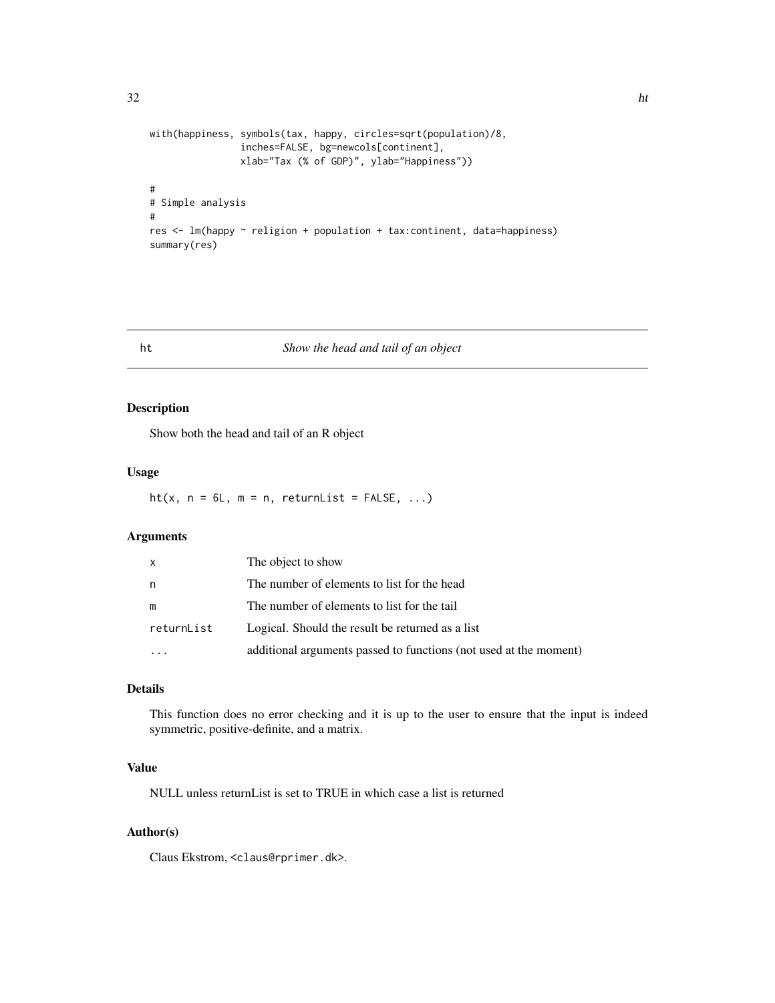```
32 html
```

```
with(happiness, symbols(tax, happy, circles=sqrt(population)/8,
                inches=FALSE, bg=newcols[continent],
                xlab="Tax (% of GDP)", ylab="Happiness"))
#
# Simple analysis
#
res <- lm(happy ~ religion + population + tax:continent, data=happiness)
summary(res)
```
# ht *Show the head and tail of an object*

# Description

Show both the head and tail of an R object

#### Usage

ht(x,  $n = 6L$ ,  $m = n$ , returnList = FALSE, ...)

# Arguments

| x          | The object to show                                                |
|------------|-------------------------------------------------------------------|
| n          | The number of elements to list for the head                       |
| m          | The number of elements to list for the tail                       |
| returnList | Logical. Should the result be returned as a list                  |
| $\ddotsc$  | additional arguments passed to functions (not used at the moment) |
|            |                                                                   |

# Details

This function does no error checking and it is up to the user to ensure that the input is indeed symmetric, positive-definite, and a matrix.

# Value

NULL unless returnList is set to TRUE in which case a list is returned

#### Author(s)

Claus Ekstrom, <claus@rprimer.dk>.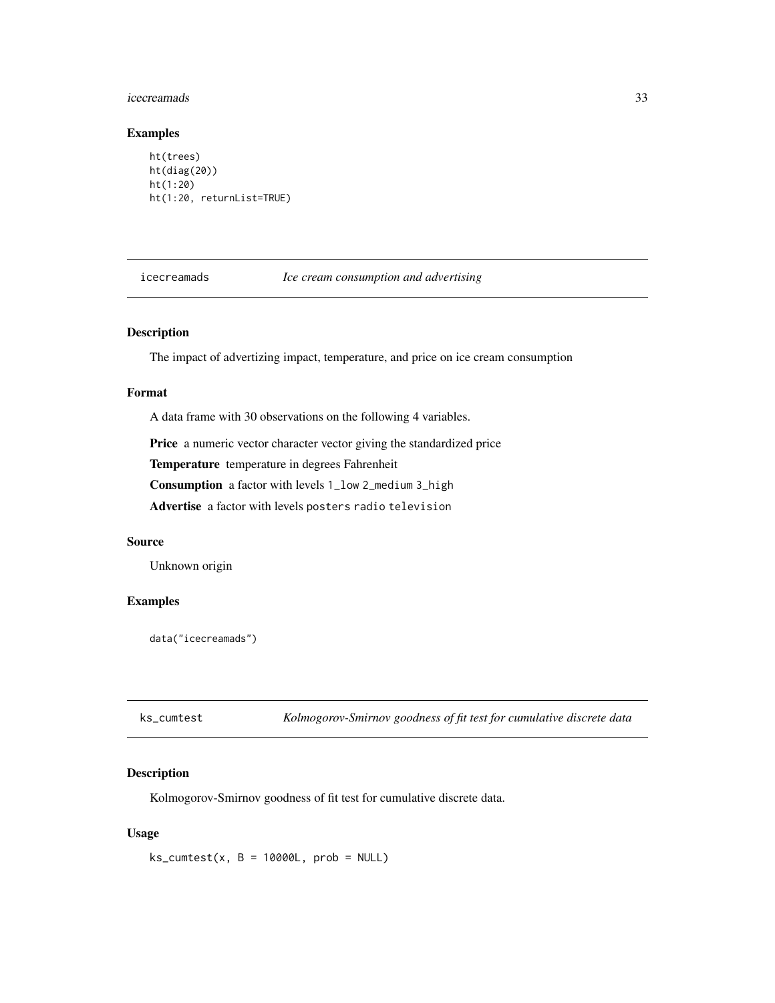#### <span id="page-32-0"></span>icecreamads 33

#### Examples

```
ht(trees)
ht(diag(20))
ht(1:20)
ht(1:20, returnList=TRUE)
```
icecreamads *Ice cream consumption and advertising*

# Description

The impact of advertizing impact, temperature, and price on ice cream consumption

### Format

A data frame with 30 observations on the following 4 variables.

Price a numeric vector character vector giving the standardized price

Temperature temperature in degrees Fahrenheit

Consumption a factor with levels 1\_low 2\_medium 3\_high

Advertise a factor with levels posters radio television

#### Source

Unknown origin

#### Examples

data("icecreamads")

| ks_cumtest |  |  | Kolmogorov-Smirnov goodness of fit test for cumulative discrete data |
|------------|--|--|----------------------------------------------------------------------|
|------------|--|--|----------------------------------------------------------------------|

# Description

Kolmogorov-Smirnov goodness of fit test for cumulative discrete data.

#### Usage

 $ks\_cumtest(x, B = 10000L, prob = NULL)$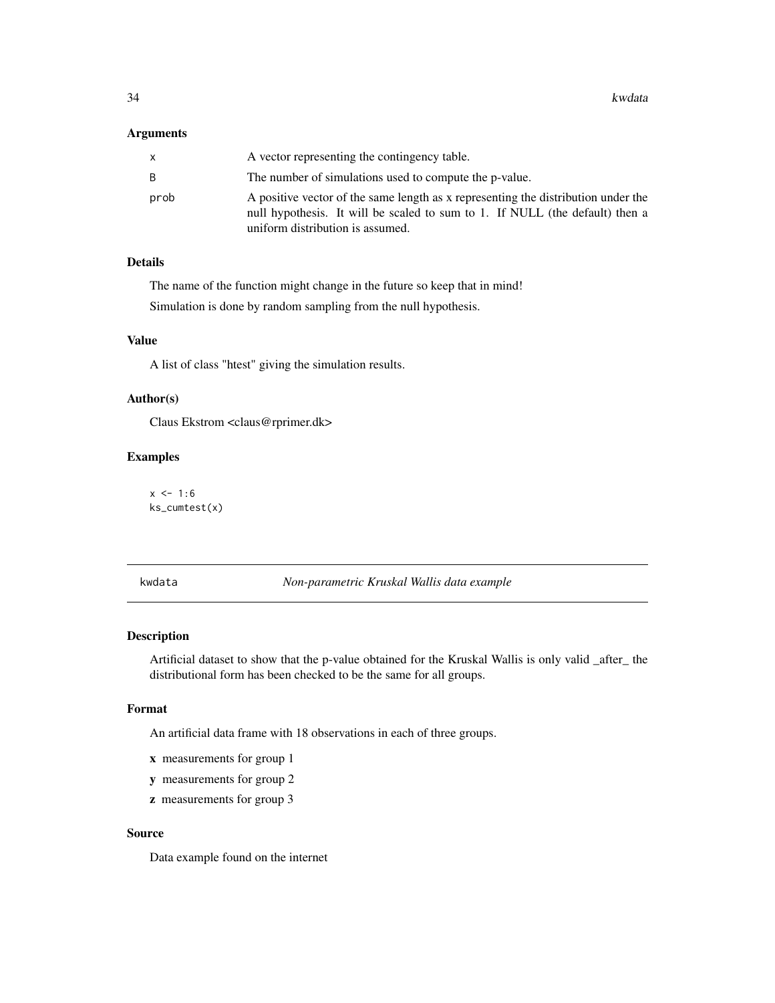#### <span id="page-33-0"></span>Arguments

|      | A vector representing the contingency table.                                                                                                                                                          |
|------|-------------------------------------------------------------------------------------------------------------------------------------------------------------------------------------------------------|
|      | The number of simulations used to compute the p-value.                                                                                                                                                |
| prob | A positive vector of the same length as x representing the distribution under the<br>null hypothesis. It will be scaled to sum to 1. If NULL (the default) then a<br>uniform distribution is assumed. |

# Details

The name of the function might change in the future so keep that in mind! Simulation is done by random sampling from the null hypothesis.

#### Value

A list of class "htest" giving the simulation results.

# Author(s)

Claus Ekstrom <claus@rprimer.dk>

#### Examples

 $x < -1:6$ ks\_cumtest(x)

kwdata *Non-parametric Kruskal Wallis data example*

# Description

Artificial dataset to show that the p-value obtained for the Kruskal Wallis is only valid \_after\_ the distributional form has been checked to be the same for all groups.

# Format

An artificial data frame with 18 observations in each of three groups.

- x measurements for group 1
- y measurements for group 2
- z measurements for group 3

# Source

Data example found on the internet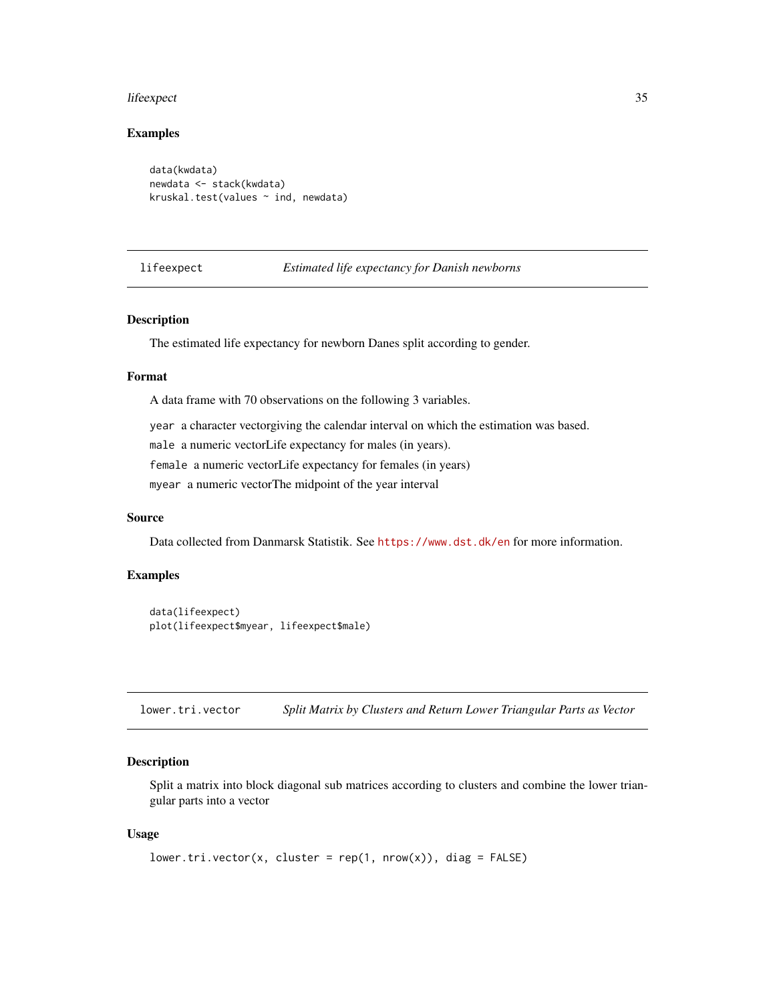#### <span id="page-34-0"></span>lifeexpect 35

# Examples

```
data(kwdata)
newdata <- stack(kwdata)
kruskal.test(values ~ ind, newdata)
```
lifeexpect *Estimated life expectancy for Danish newborns*

#### Description

The estimated life expectancy for newborn Danes split according to gender.

#### Format

A data frame with 70 observations on the following 3 variables.

year a character vectorgiving the calendar interval on which the estimation was based.

male a numeric vectorLife expectancy for males (in years).

female a numeric vectorLife expectancy for females (in years)

myear a numeric vectorThe midpoint of the year interval

#### Source

Data collected from Danmarsk Statistik. See <https://www.dst.dk/en> for more information.

#### Examples

```
data(lifeexpect)
plot(lifeexpect$myear, lifeexpect$male)
```
lower.tri.vector *Split Matrix by Clusters and Return Lower Triangular Parts as Vector*

#### Description

Split a matrix into block diagonal sub matrices according to clusters and combine the lower triangular parts into a vector

#### Usage

```
lower.tri.vector(x, cluster = rep(1, nrow(x)), diag = FALSE)
```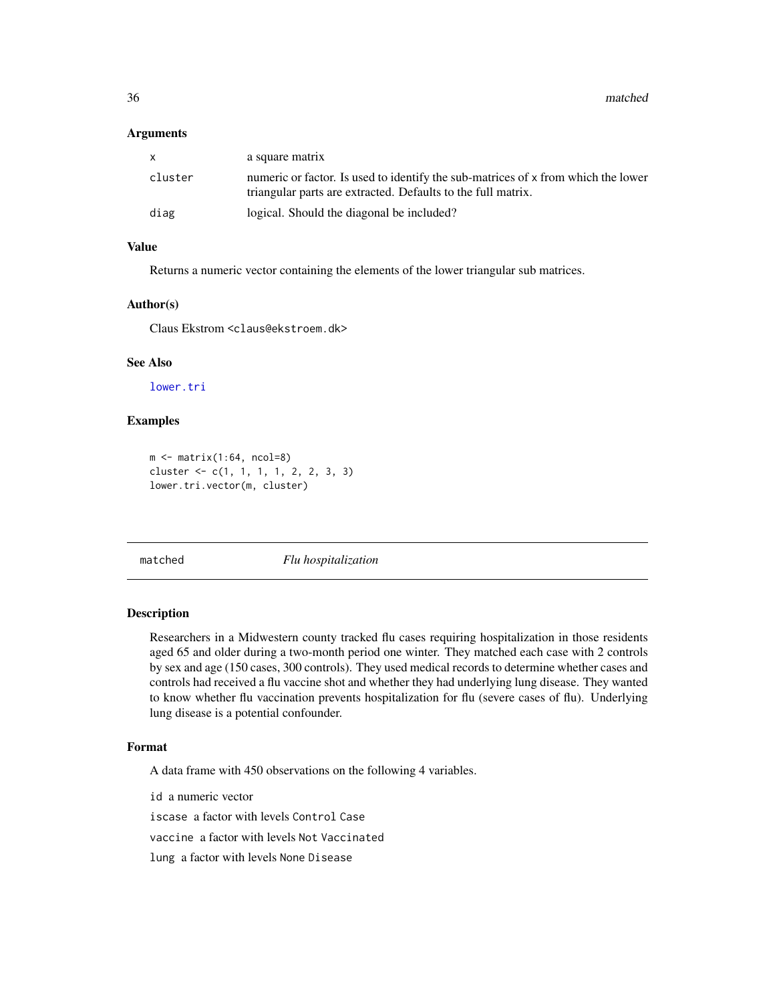<span id="page-35-0"></span>36 matched

#### **Arguments**

| $\mathsf{x}$ | a square matrix                                                                                                                                   |
|--------------|---------------------------------------------------------------------------------------------------------------------------------------------------|
| cluster      | numeric or factor. Is used to identify the sub-matrices of x from which the lower<br>triangular parts are extracted. Defaults to the full matrix. |
| diag         | logical. Should the diagonal be included?                                                                                                         |

# Value

Returns a numeric vector containing the elements of the lower triangular sub matrices.

#### Author(s)

Claus Ekstrom <claus@ekstroem.dk>

# See Also

[lower.tri](#page-0-0)

#### Examples

```
m \leftarrow matrix(1:64, ncol=8)cluster <- c(1, 1, 1, 1, 2, 2, 3, 3)
lower.tri.vector(m, cluster)
```
matched *Flu hospitalization*

# Description

Researchers in a Midwestern county tracked flu cases requiring hospitalization in those residents aged 65 and older during a two-month period one winter. They matched each case with 2 controls by sex and age (150 cases, 300 controls). They used medical records to determine whether cases and controls had received a flu vaccine shot and whether they had underlying lung disease. They wanted to know whether flu vaccination prevents hospitalization for flu (severe cases of flu). Underlying lung disease is a potential confounder.

# Format

A data frame with 450 observations on the following 4 variables.

id a numeric vector

iscase a factor with levels Control Case

vaccine a factor with levels Not Vaccinated

lung a factor with levels None Disease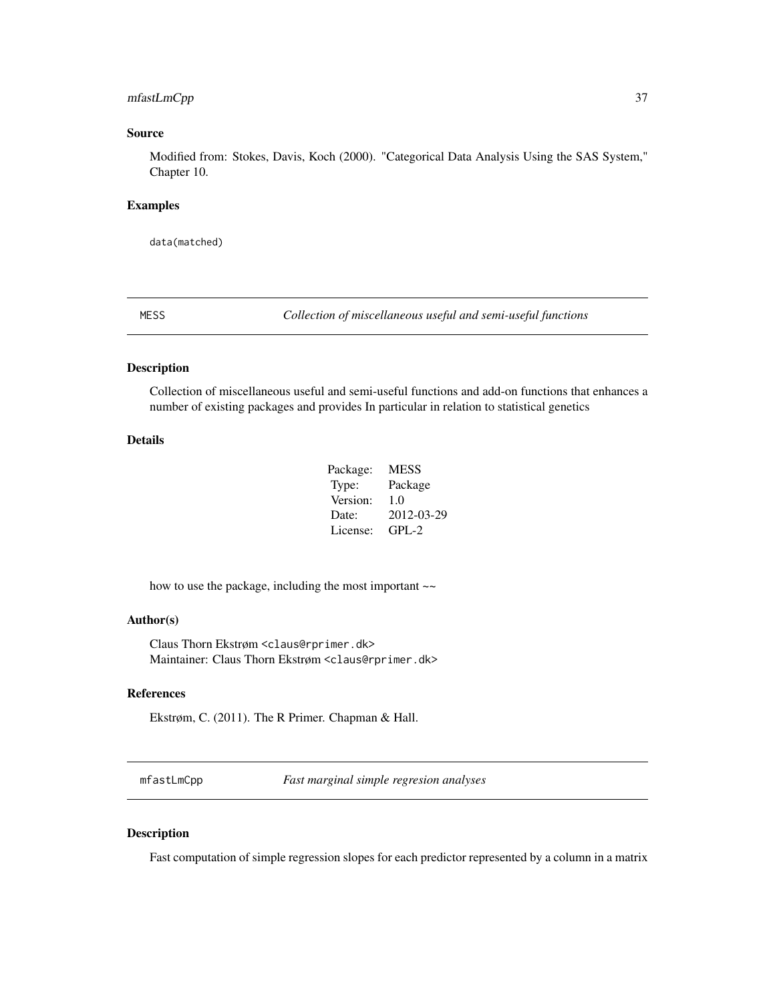# mfastLmCpp 37

# Source

Modified from: Stokes, Davis, Koch (2000). "Categorical Data Analysis Using the SAS System," Chapter 10.

## Examples

data(matched)

MESS *Collection of miscellaneous useful and semi-useful functions*

# Description

Collection of miscellaneous useful and semi-useful functions and add-on functions that enhances a number of existing packages and provides In particular in relation to statistical genetics

# Details

| Package: | <b>MESS</b> |
|----------|-------------|
| Type:    | Package     |
| Version: | 1.0         |
| Date:    | 2012-03-29  |
| License: | $GPI - 2$   |

how to use the package, including the most important  $\sim$ 

# Author(s)

Claus Thorn Ekstrøm <claus@rprimer.dk> Maintainer: Claus Thorn Ekstrøm <claus@rprimer.dk>

## References

Ekstrøm, C. (2011). The R Primer. Chapman & Hall.

mfastLmCpp *Fast marginal simple regresion analyses*

## Description

Fast computation of simple regression slopes for each predictor represented by a column in a matrix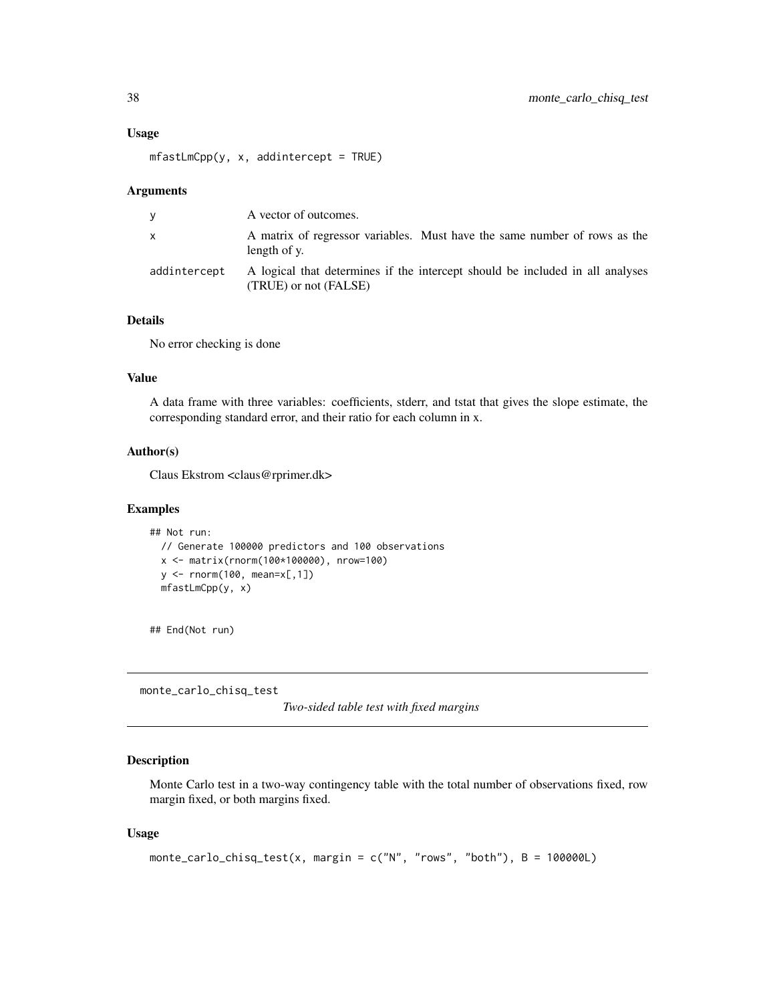#### Usage

```
mfastLmCpp(y, x, additiontercept = TRUE)
```
#### Arguments

| V            | A vector of outcomes.                                                                                  |
|--------------|--------------------------------------------------------------------------------------------------------|
| x.           | A matrix of regressor variables. Must have the same number of rows as the<br>length of y.              |
| addintercept | A logical that determines if the intercept should be included in all analyses<br>(TRUE) or not (FALSE) |

# Details

No error checking is done

## Value

A data frame with three variables: coefficients, stderr, and tstat that gives the slope estimate, the corresponding standard error, and their ratio for each column in x.

# Author(s)

Claus Ekstrom <claus@rprimer.dk>

## Examples

```
## Not run:
 // Generate 100000 predictors and 100 observations
 x <- matrix(rnorm(100*100000), nrow=100)
 y <- rnorm(100, mean=x[,1])
 mfastLmCpp(y, x)
```
## End(Not run)

monte\_carlo\_chisq\_test

*Two-sided table test with fixed margins*

# Description

Monte Carlo test in a two-way contingency table with the total number of observations fixed, row margin fixed, or both margins fixed.

## Usage

```
monte_carlo_chisq_test(x, margin = c("N", "rows", "both"), B = 100000L)
```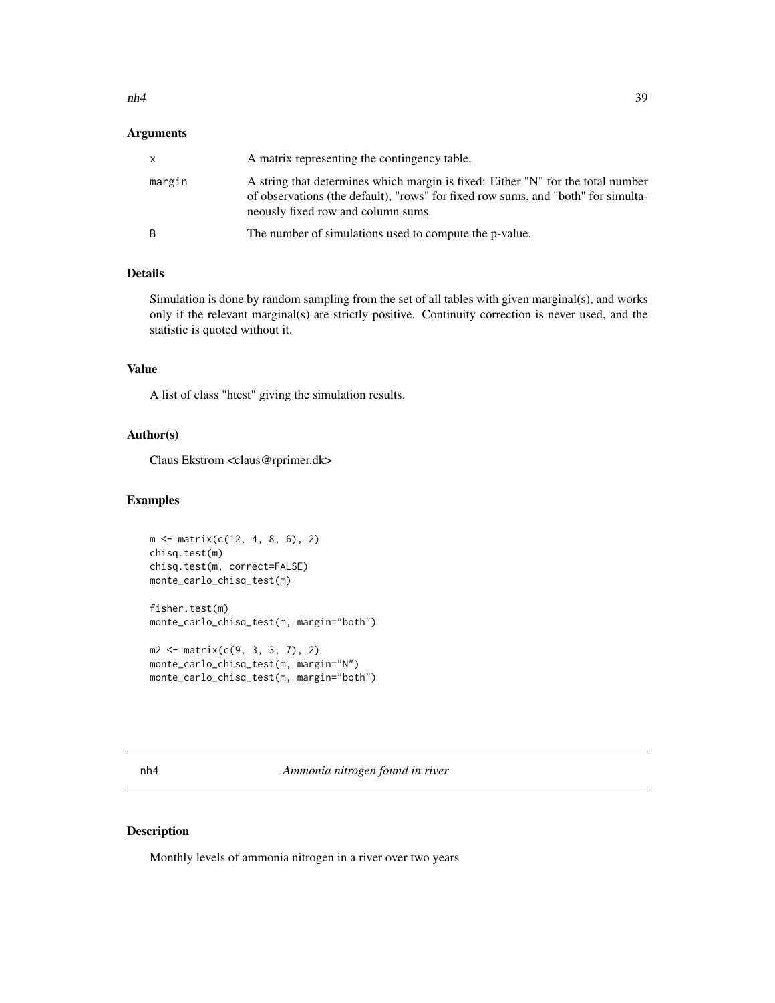#### $nh4$  39

## Arguments

| X            | A matrix representing the contingency table.                                                                                                                                                               |
|--------------|------------------------------------------------------------------------------------------------------------------------------------------------------------------------------------------------------------|
| margin       | A string that determines which margin is fixed: Either "N" for the total number<br>of observations (the default), "rows" for fixed row sums, and "both" for simulta-<br>neously fixed row and column sums. |
| <sub>B</sub> | The number of simulations used to compute the p-value.                                                                                                                                                     |

# Details

Simulation is done by random sampling from the set of all tables with given marginal(s), and works only if the relevant marginal(s) are strictly positive. Continuity correction is never used, and the statistic is quoted without it.

# Value

A list of class "htest" giving the simulation results.

## Author(s)

Claus Ekstrom <claus@rprimer.dk>

# Examples

```
m <- matrix(c(12, 4, 8, 6), 2)
chisq.test(m)
chisq.test(m, correct=FALSE)
monte_carlo_chisq_test(m)
fisher.test(m)
monte_carlo_chisq_test(m, margin="both")
m2 <- matrix(c(9, 3, 3, 7), 2)
```

```
monte_carlo_chisq_test(m, margin="N")
monte_carlo_chisq_test(m, margin="both")
```
#### Description

Monthly levels of ammonia nitrogen in a river over two years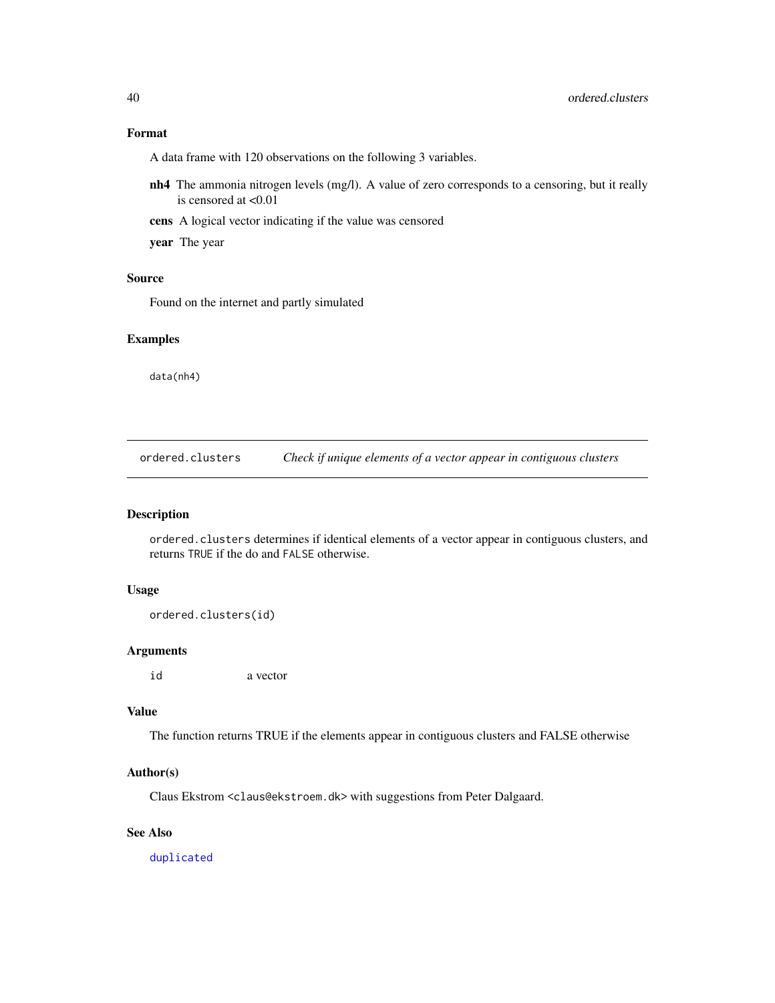# Format

A data frame with 120 observations on the following 3 variables.

- nh4 The ammonia nitrogen levels (mg/l). A value of zero corresponds to a censoring, but it really is censored at <0.01
- cens A logical vector indicating if the value was censored

year The year

# Source

Found on the internet and partly simulated

## Examples

data(nh4)

ordered.clusters *Check if unique elements of a vector appear in contiguous clusters*

# Description

ordered.clusters determines if identical elements of a vector appear in contiguous clusters, and returns TRUE if the do and FALSE otherwise.

# Usage

```
ordered.clusters(id)
```
## Arguments

id a vector

## Value

The function returns TRUE if the elements appear in contiguous clusters and FALSE otherwise

## Author(s)

Claus Ekstrom <claus@ekstroem.dk> with suggestions from Peter Dalgaard.

### See Also

[duplicated](#page-0-0)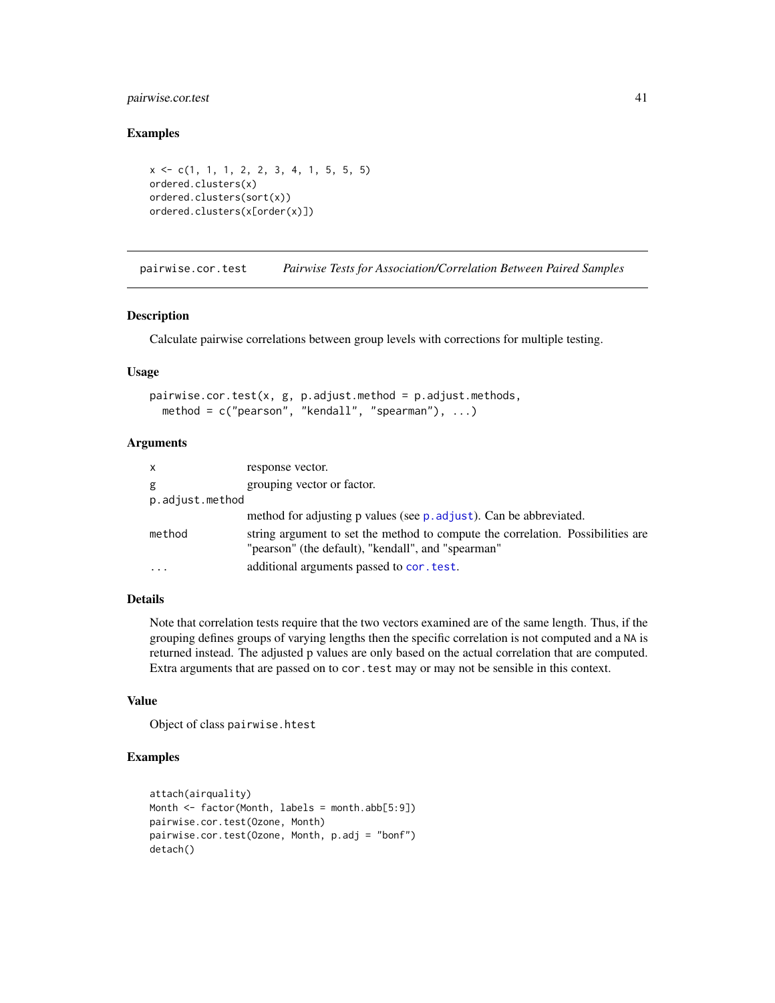# pairwise.cor.test 41

#### Examples

```
x <- c(1, 1, 1, 2, 2, 3, 4, 1, 5, 5, 5)
ordered.clusters(x)
ordered.clusters(sort(x))
ordered.clusters(x[order(x)])
```
pairwise.cor.test *Pairwise Tests for Association/Correlation Between Paired Samples*

## Description

Calculate pairwise correlations between group levels with corrections for multiple testing.

#### Usage

```
pairwise.cor.test(x, g, p.adjust.method = p.adjust.methods,
 method = c("pearson", "kendall", "spearman"), ...)
```
## Arguments

| $\mathsf{x}$    | response vector.                                                                                                                      |
|-----------------|---------------------------------------------------------------------------------------------------------------------------------------|
| g               | grouping vector or factor.                                                                                                            |
| p.adjust.method |                                                                                                                                       |
|                 | method for adjusting p values (see p. adjust). Can be abbreviated.                                                                    |
| method          | string argument to set the method to compute the correlation. Possibilities are<br>"pearson" (the default), "kendall", and "spearman" |
|                 | additional arguments passed to cor. test.                                                                                             |

# Details

Note that correlation tests require that the two vectors examined are of the same length. Thus, if the grouping defines groups of varying lengths then the specific correlation is not computed and a NA is returned instead. The adjusted p values are only based on the actual correlation that are computed. Extra arguments that are passed on to cor.test may or may not be sensible in this context.

# Value

Object of class pairwise.htest

```
attach(airquality)
Month <- factor(Month, labels = month.abb[5:9])
pairwise.cor.test(Ozone, Month)
pairwise.cor.test(Ozone, Month, p.adj = "bonf")
detach()
```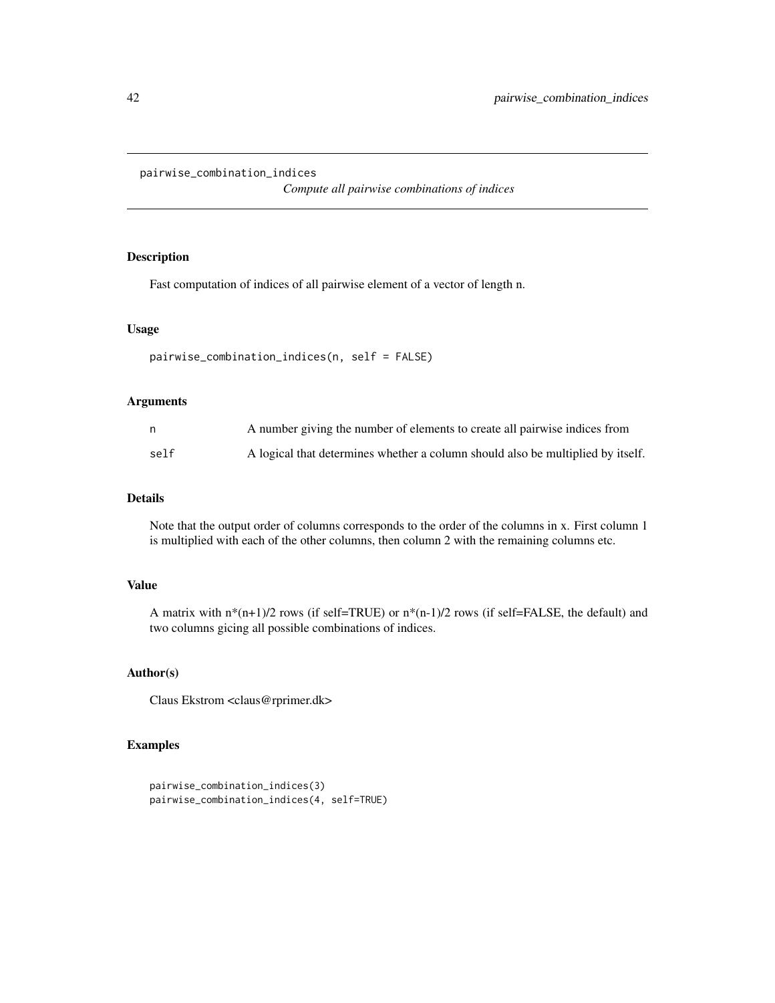```
pairwise_combination_indices
```
*Compute all pairwise combinations of indices*

# Description

Fast computation of indices of all pairwise element of a vector of length n.

## Usage

```
pairwise_combination_indices(n, self = FALSE)
```
### Arguments

| n,   | A number giving the number of elements to create all pairwise indices from      |
|------|---------------------------------------------------------------------------------|
| self | A logical that determines whether a column should also be multiplied by itself. |

#### Details

Note that the output order of columns corresponds to the order of the columns in x. First column 1 is multiplied with each of the other columns, then column 2 with the remaining columns etc.

# Value

A matrix with  $n*(n+1)/2$  rows (if self=TRUE) or  $n*(n-1)/2$  rows (if self=FALSE, the default) and two columns gicing all possible combinations of indices.

# Author(s)

Claus Ekstrom <claus@rprimer.dk>

```
pairwise_combination_indices(3)
pairwise_combination_indices(4, self=TRUE)
```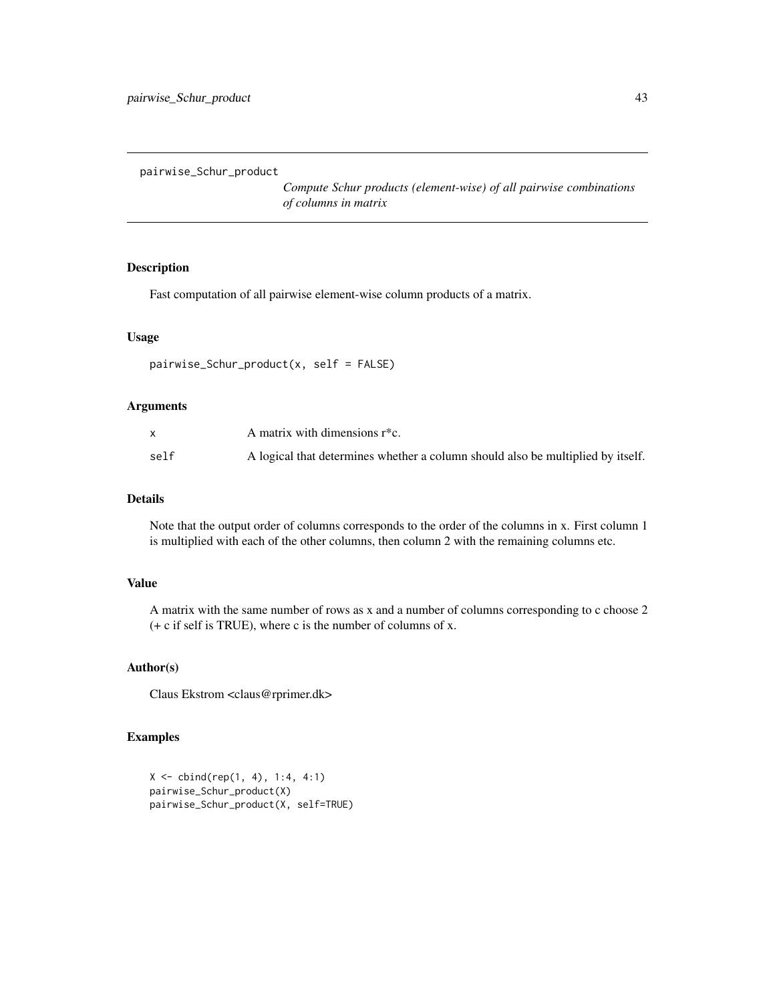pairwise\_Schur\_product

*Compute Schur products (element-wise) of all pairwise combinations of columns in matrix*

## Description

Fast computation of all pairwise element-wise column products of a matrix.

#### Usage

```
pairwise_Schur_product(x, self = FALSE)
```
# Arguments

|      | A matrix with dimensions $r$ <sup>*</sup> c.                                    |
|------|---------------------------------------------------------------------------------|
| self | A logical that determines whether a column should also be multiplied by itself. |

## Details

Note that the output order of columns corresponds to the order of the columns in x. First column 1 is multiplied with each of the other columns, then column 2 with the remaining columns etc.

# Value

A matrix with the same number of rows as x and a number of columns corresponding to c choose 2 (+ c if self is TRUE), where c is the number of columns of x.

# Author(s)

Claus Ekstrom <claus@rprimer.dk>

```
X \leftarrow \text{cbind}(\text{rep}(1, 4), 1:4, 4:1)pairwise_Schur_product(X)
pairwise_Schur_product(X, self=TRUE)
```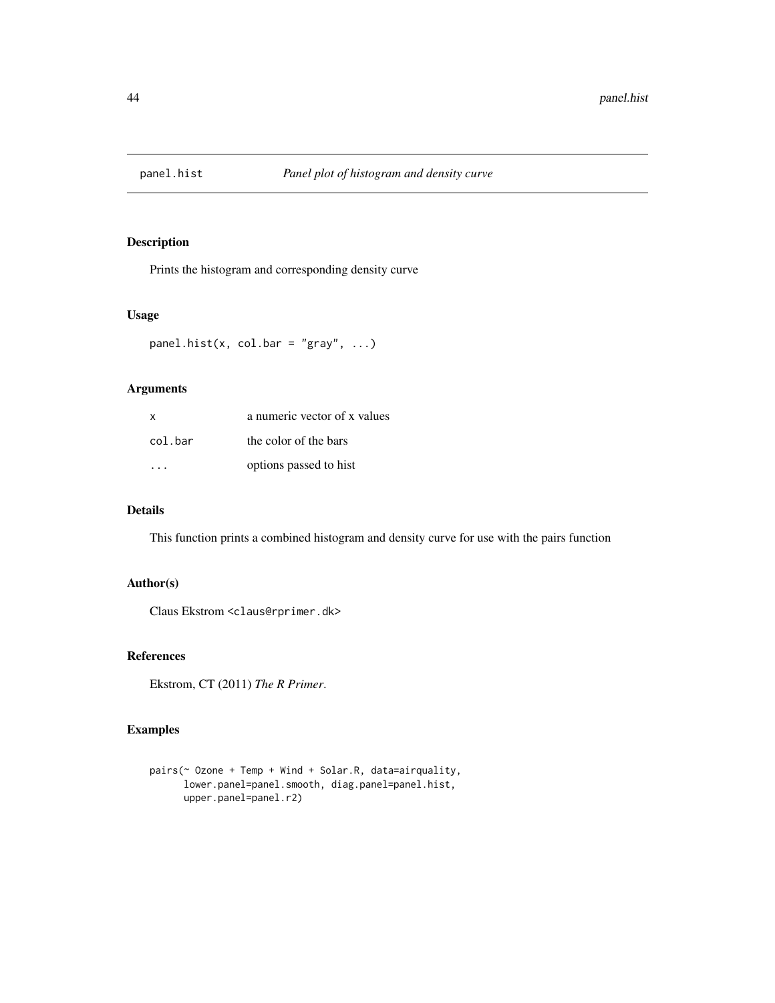Prints the histogram and corresponding density curve

## Usage

```
panel.hist(x, col.bar = "gray", \dots)
```
# Arguments

| $\mathsf{x}$ | a numeric vector of x values |
|--------------|------------------------------|
| col.bar      | the color of the bars        |
|              | options passed to hist       |

# Details

This function prints a combined histogram and density curve for use with the pairs function

## Author(s)

Claus Ekstrom <claus@rprimer.dk>

# References

Ekstrom, CT (2011) *The R Primer*.

```
pairs(~ Ozone + Temp + Wind + Solar.R, data=airquality,
     lower.panel=panel.smooth, diag.panel=panel.hist,
     upper.panel=panel.r2)
```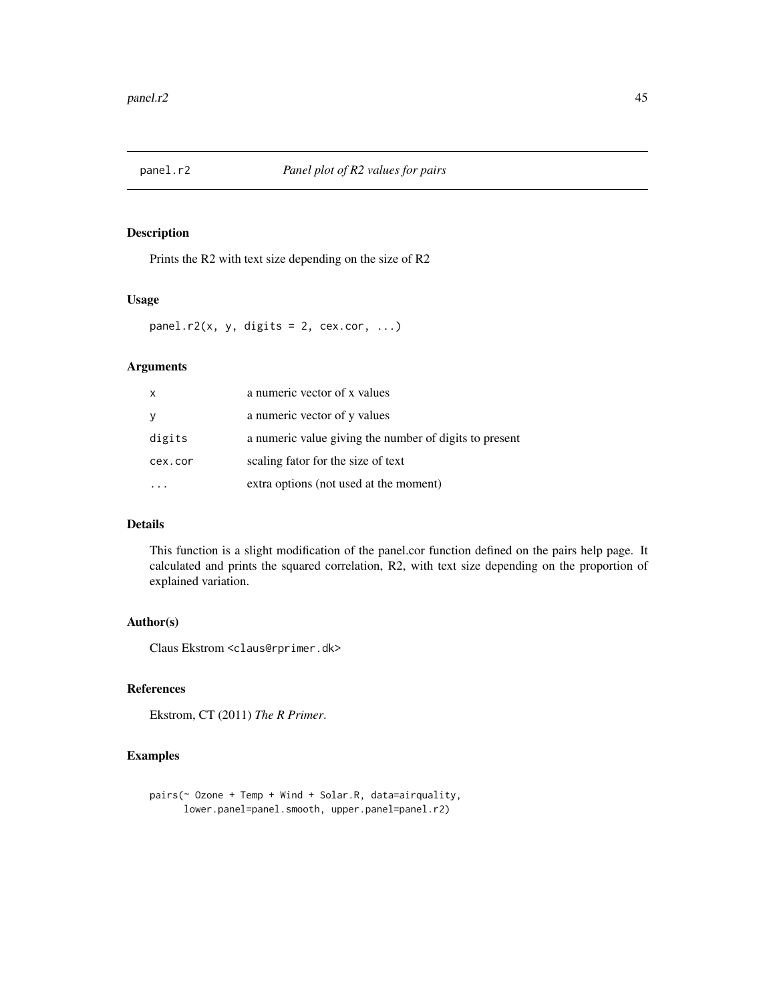Prints the R2 with text size depending on the size of R2

## Usage

panel.r2(x, y, digits = 2, cex.cor, ...)

# Arguments

| x       | a numeric vector of x values                           |
|---------|--------------------------------------------------------|
| У       | a numeric vector of y values                           |
| digits  | a numeric value giving the number of digits to present |
| cex.cor | scaling fator for the size of text                     |
|         | extra options (not used at the moment)                 |

## Details

This function is a slight modification of the panel.cor function defined on the pairs help page. It calculated and prints the squared correlation, R2, with text size depending on the proportion of explained variation.

# Author(s)

Claus Ekstrom <claus@rprimer.dk>

# References

Ekstrom, CT (2011) *The R Primer*.

```
pairs(~ Ozone + Temp + Wind + Solar.R, data=airquality,
     lower.panel=panel.smooth, upper.panel=panel.r2)
```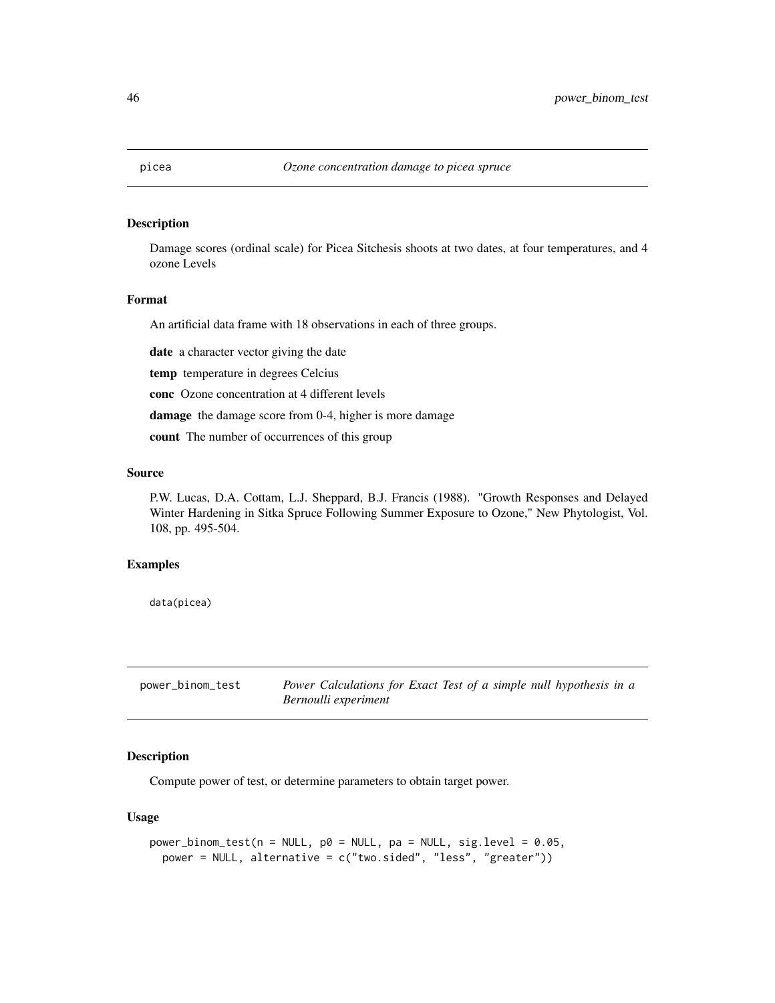Damage scores (ordinal scale) for Picea Sitchesis shoots at two dates, at four temperatures, and 4 ozone Levels

## Format

An artificial data frame with 18 observations in each of three groups.

date a character vector giving the date

temp temperature in degrees Celcius

conc Ozone concentration at 4 different levels

damage the damage score from 0-4, higher is more damage

count The number of occurrences of this group

#### Source

P.W. Lucas, D.A. Cottam, L.J. Sheppard, B.J. Francis (1988). "Growth Responses and Delayed Winter Hardening in Sitka Spruce Following Summer Exposure to Ozone," New Phytologist, Vol. 108, pp. 495-504.

#### Examples

data(picea)

power\_binom\_test *Power Calculations for Exact Test of a simple null hypothesis in a Bernoulli experiment*

# Description

Compute power of test, or determine parameters to obtain target power.

## Usage

```
power\_binom_test(n = NULL, p0 = NULL, pa = NULL, sig. level = 0.05,power = NULL, alternative = c("two.sided", "less", "greater"))
```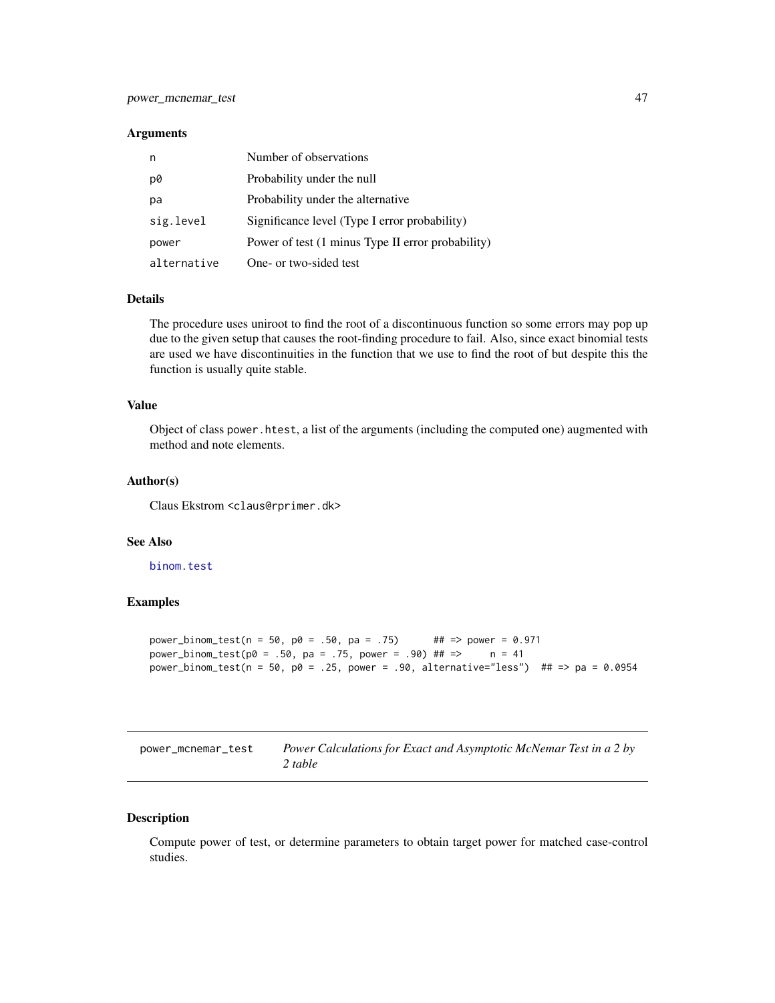#### Arguments

| n           | Number of observations                            |
|-------------|---------------------------------------------------|
| p0          | Probability under the null                        |
| рa          | Probability under the alternative                 |
| sig.level   | Significance level (Type I error probability)     |
| power       | Power of test (1 minus Type II error probability) |
| alternative | One- or two-sided test                            |

## Details

The procedure uses uniroot to find the root of a discontinuous function so some errors may pop up due to the given setup that causes the root-finding procedure to fail. Also, since exact binomial tests are used we have discontinuities in the function that we use to find the root of but despite this the function is usually quite stable.

## Value

Object of class power.htest, a list of the arguments (including the computed one) augmented with method and note elements.

#### Author(s)

Claus Ekstrom <claus@rprimer.dk>

## See Also

[binom.test](#page-0-0)

## Examples

```
power_binom_test(n = 50, p0 = .50, pa = .75) ## => power = 0.971
power_binom_test(p0 = .50, pa = .75, power = .90) ## => n = 41power_binom_test(n = 50, p0 = .25, power = .90, alternative="less") ## => pa = 0.0954
```

| power_mcnemar_test | Power Calculations for Exact and Asymptotic McNemar Test in a 2 by |
|--------------------|--------------------------------------------------------------------|
|                    | 2 table                                                            |

# Description

Compute power of test, or determine parameters to obtain target power for matched case-control studies.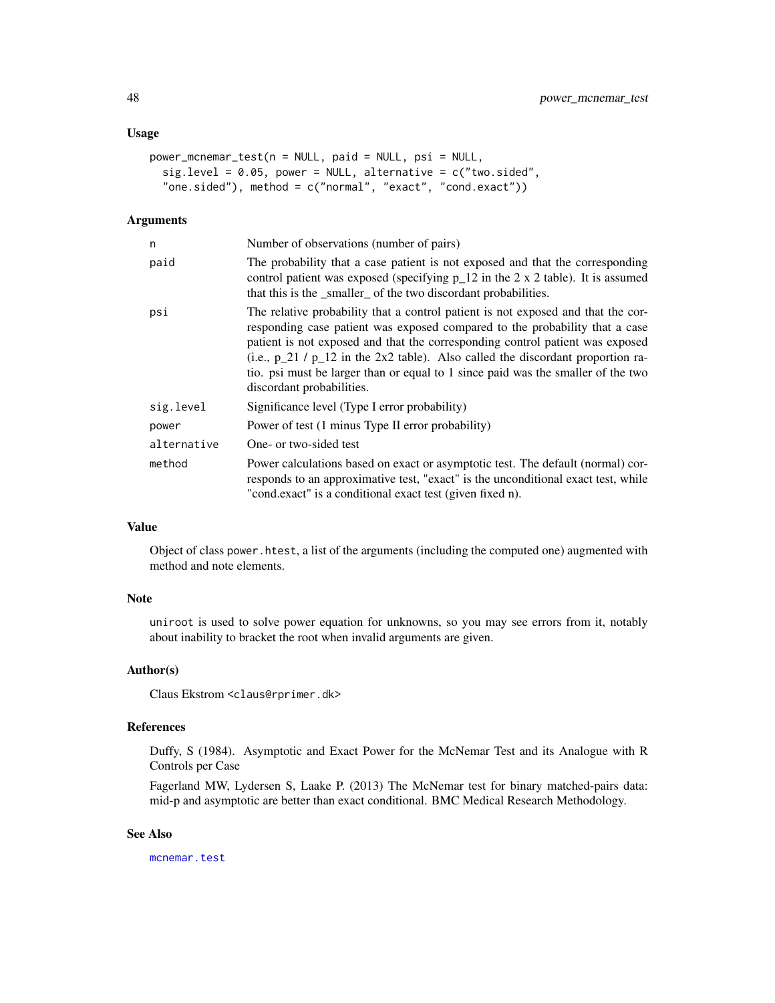#### Usage

```
power_mcnemar_test(n = NULL, paid = NULL, psi = NULL,
  sig. level = 0.05, power = NULL, alternative = c("two. sided","one.sided"), method = c("normal", "exact", "cond.exact"))
```
## Arguments

| n           | Number of observations (number of pairs)                                                                                                                                                                                                                                                                                                                                                                                                                 |
|-------------|----------------------------------------------------------------------------------------------------------------------------------------------------------------------------------------------------------------------------------------------------------------------------------------------------------------------------------------------------------------------------------------------------------------------------------------------------------|
| paid        | The probability that a case patient is not exposed and that the corresponding<br>control patient was exposed (specifying $p_12$ in the 2 x 2 table). It is assumed<br>that this is the _smaller_ of the two discordant probabilities.                                                                                                                                                                                                                    |
| psi         | The relative probability that a control patient is not exposed and that the cor-<br>responding case patient was exposed compared to the probability that a case<br>patient is not exposed and that the corresponding control patient was exposed<br>(i.e., $p_2 1 / p_1 2$ in the 2x2 table). Also called the discordant proportion ra-<br>tio. psi must be larger than or equal to 1 since paid was the smaller of the two<br>discordant probabilities. |
| sig.level   | Significance level (Type I error probability)                                                                                                                                                                                                                                                                                                                                                                                                            |
| power       | Power of test (1 minus Type II error probability)                                                                                                                                                                                                                                                                                                                                                                                                        |
| alternative | One- or two-sided test                                                                                                                                                                                                                                                                                                                                                                                                                                   |
| method      | Power calculations based on exact or asymptotic test. The default (normal) cor-<br>responds to an approximative test, "exact" is the unconditional exact test, while<br>"cond.exact" is a conditional exact test (given fixed n).                                                                                                                                                                                                                        |

#### Value

Object of class power.htest, a list of the arguments (including the computed one) augmented with method and note elements.

# Note

uniroot is used to solve power equation for unknowns, so you may see errors from it, notably about inability to bracket the root when invalid arguments are given.

# Author(s)

Claus Ekstrom <claus@rprimer.dk>

## References

Duffy, S (1984). Asymptotic and Exact Power for the McNemar Test and its Analogue with R Controls per Case

Fagerland MW, Lydersen S, Laake P. (2013) The McNemar test for binary matched-pairs data: mid-p and asymptotic are better than exact conditional. BMC Medical Research Methodology.

## See Also

[mcnemar.test](#page-0-0)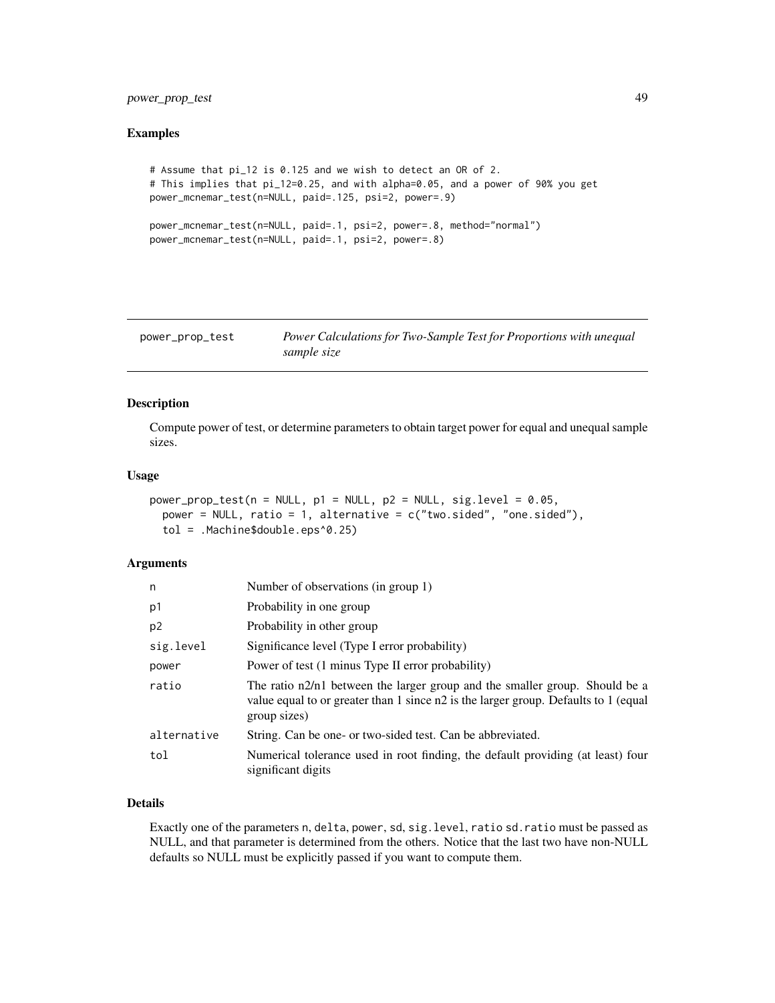# power\_prop\_test 49

#### Examples

```
# Assume that pi_12 is 0.125 and we wish to detect an OR of 2.
# This implies that pi_12=0.25, and with alpha=0.05, and a power of 90% you get
power_mcnemar_test(n=NULL, paid=.125, psi=2, power=.9)
power_mcnemar_test(n=NULL, paid=.1, psi=2, power=.8, method="normal")
power_mcnemar_test(n=NULL, paid=.1, psi=2, power=.8)
```
<span id="page-48-0"></span>

| power_prop_test | Power Calculations for Two-Sample Test for Proportions with unequal |
|-----------------|---------------------------------------------------------------------|
|                 | sample size                                                         |

# Description

Compute power of test, or determine parameters to obtain target power for equal and unequal sample sizes.

#### Usage

```
power\_prop\_test(n = NULL, p1 = NULL, p2 = NULL, sig. level = 0.05,power = NULL, ratio = 1, alternative = c("two.sided", "one.sided"),
  tol = .Machine$double.eps^0.25)
```
# Arguments

| n              | Number of observations (in group 1)                                                                                                                                                |
|----------------|------------------------------------------------------------------------------------------------------------------------------------------------------------------------------------|
| p1             | Probability in one group                                                                                                                                                           |
| p <sub>2</sub> | Probability in other group                                                                                                                                                         |
| sig.level      | Significance level (Type I error probability)                                                                                                                                      |
| power          | Power of test (1 minus Type II error probability)                                                                                                                                  |
| ratio          | The ratio n2/n1 between the larger group and the smaller group. Should be a<br>value equal to or greater than 1 since n2 is the larger group. Defaults to 1 (equal<br>group sizes) |
| alternative    | String. Can be one- or two-sided test. Can be abbreviated.                                                                                                                         |
| tol            | Numerical tolerance used in root finding, the default providing (at least) four<br>significant digits                                                                              |

# Details

Exactly one of the parameters n, delta, power, sd, sig.level, ratio sd.ratio must be passed as NULL, and that parameter is determined from the others. Notice that the last two have non-NULL defaults so NULL must be explicitly passed if you want to compute them.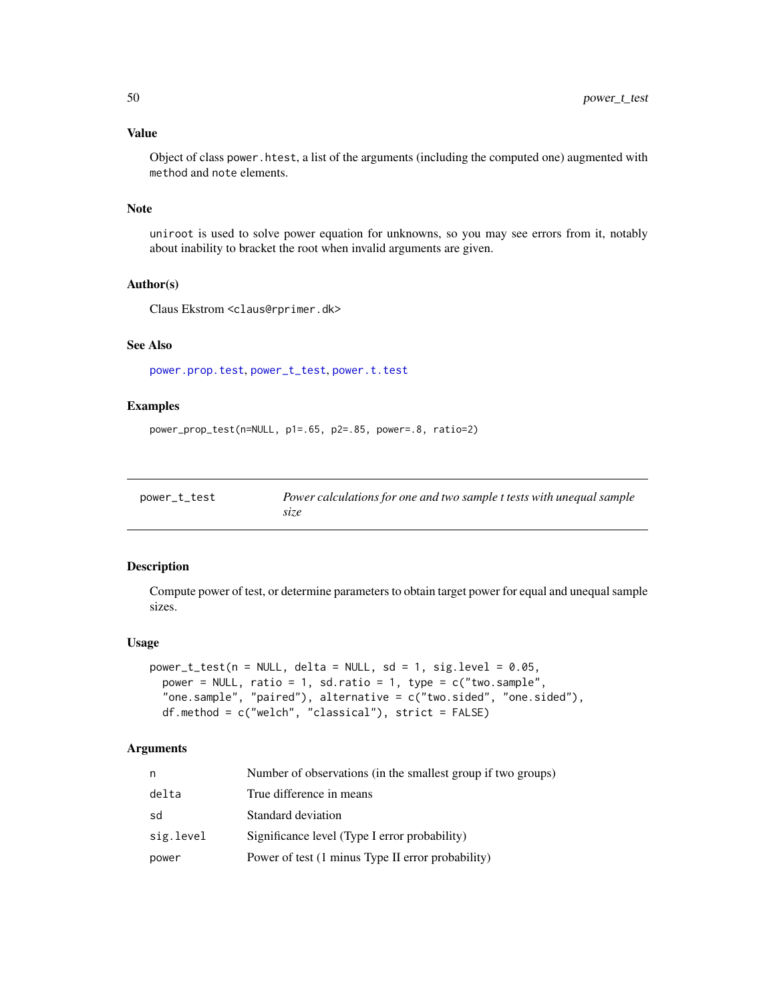# Value

Object of class power.htest, a list of the arguments (including the computed one) augmented with method and note elements.

## Note

uniroot is used to solve power equation for unknowns, so you may see errors from it, notably about inability to bracket the root when invalid arguments are given.

# Author(s)

Claus Ekstrom <claus@rprimer.dk>

# See Also

[power.prop.test](#page-0-0), [power\\_t\\_test](#page-49-0), [power.t.test](#page-0-0)

# Examples

```
power_prop_test(n=NULL, p1=.65, p2=.85, power=.8, ratio=2)
```
<span id="page-49-0"></span>

| power_t_test | Power calculations for one and two sample t tests with unequal sample |
|--------------|-----------------------------------------------------------------------|
|              | size                                                                  |

## Description

Compute power of test, or determine parameters to obtain target power for equal and unequal sample sizes.

## Usage

```
power_t_test(n = NULL, delta = NULL, sd = 1, sig.level = 0.05,
 power = NULL, ratio = 1, sd.ratio = 1, type = c("two.sample",
  "one.sample", "paired"), alternative = c("two.sided", "one.sided"),
 df.method = c("welch", "classical"), strict = FALSE)
```
## Arguments

| n         | Number of observations (in the smallest group if two groups) |
|-----------|--------------------------------------------------------------|
| delta     | True difference in means                                     |
| sd        | Standard deviation                                           |
| sig.level | Significance level (Type I error probability)                |
| power     | Power of test (1 minus Type II error probability)            |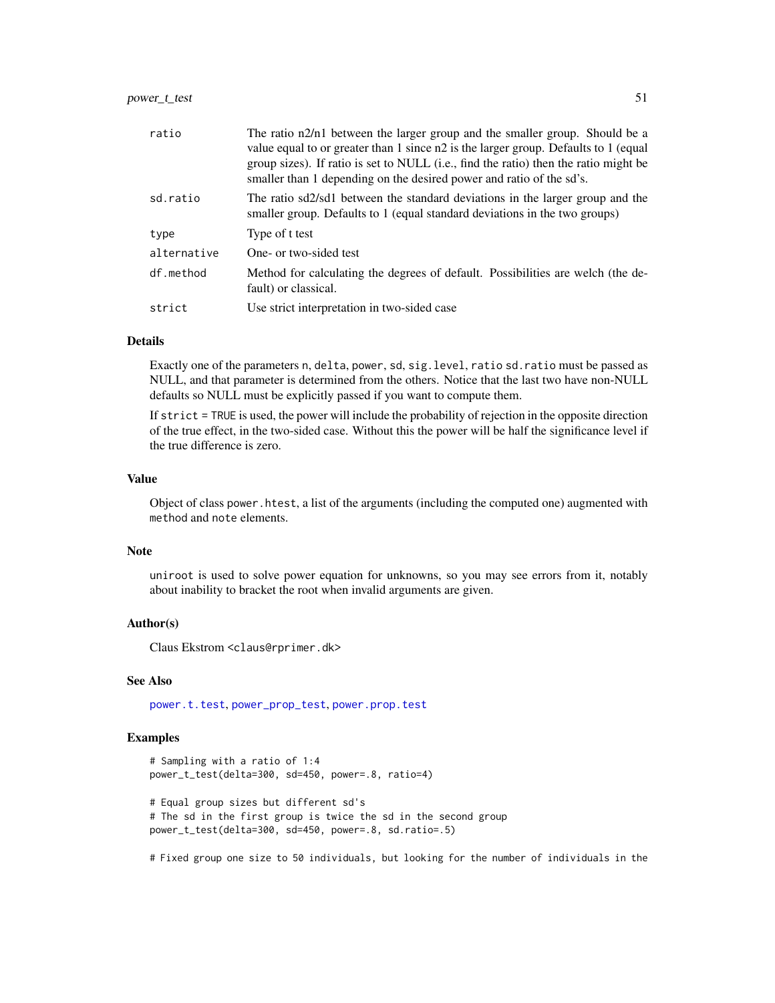| ratio       | The ratio n2/n1 between the larger group and the smaller group. Should be a<br>value equal to or greater than 1 since n2 is the larger group. Defaults to 1 (equal<br>group sizes). If ratio is set to NULL (i.e., find the ratio) then the ratio might be<br>smaller than 1 depending on the desired power and ratio of the sd's. |
|-------------|------------------------------------------------------------------------------------------------------------------------------------------------------------------------------------------------------------------------------------------------------------------------------------------------------------------------------------|
| sd.ratio    | The ratio sd2/sd1 between the standard deviations in the larger group and the<br>smaller group. Defaults to 1 (equal standard deviations in the two groups)                                                                                                                                                                        |
| type        | Type of t test                                                                                                                                                                                                                                                                                                                     |
| alternative | One- or two-sided test                                                                                                                                                                                                                                                                                                             |
| df.method   | Method for calculating the degrees of default. Possibilities are welch (the de-<br>fault) or classical.                                                                                                                                                                                                                            |
| strict      | Use strict interpretation in two-sided case                                                                                                                                                                                                                                                                                        |

# Details

Exactly one of the parameters n, delta, power, sd, sig.level, ratio sd.ratio must be passed as NULL, and that parameter is determined from the others. Notice that the last two have non-NULL defaults so NULL must be explicitly passed if you want to compute them.

If strict = TRUE is used, the power will include the probability of rejection in the opposite direction of the true effect, in the two-sided case. Without this the power will be half the significance level if the true difference is zero.

## Value

Object of class power.htest, a list of the arguments (including the computed one) augmented with method and note elements.

#### Note

uniroot is used to solve power equation for unknowns, so you may see errors from it, notably about inability to bracket the root when invalid arguments are given.

#### Author(s)

Claus Ekstrom <claus@rprimer.dk>

#### See Also

[power.t.test](#page-0-0), [power\\_prop\\_test](#page-48-0), [power.prop.test](#page-0-0)

## Examples

```
# Sampling with a ratio of 1:4
power_t_test(delta=300, sd=450, power=.8, ratio=4)
# Equal group sizes but different sd's
# The sd in the first group is twice the sd in the second group
power_t_test(delta=300, sd=450, power=.8, sd.ratio=.5)
```
# Fixed group one size to 50 individuals, but looking for the number of individuals in the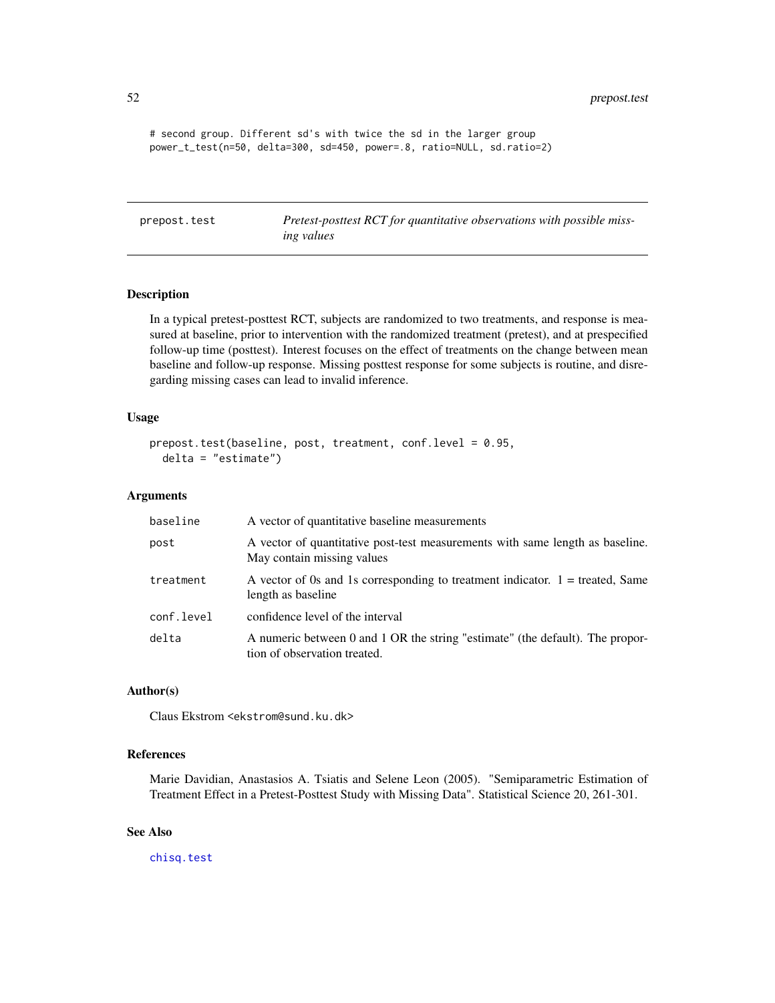52 prepost.test

```
# second group. Different sd's with twice the sd in the larger group
power_t_test(n=50, delta=300, sd=450, power=.8, ratio=NULL, sd.ratio=2)
```
prepost.test *Pretest-posttest RCT for quantitative observations with possible missing values*

#### Description

In a typical pretest-posttest RCT, subjects are randomized to two treatments, and response is measured at baseline, prior to intervention with the randomized treatment (pretest), and at prespecified follow-up time (posttest). Interest focuses on the effect of treatments on the change between mean baseline and follow-up response. Missing posttest response for some subjects is routine, and disregarding missing cases can lead to invalid inference.

#### Usage

```
prepost.test(baseline, post, treatment, conf.level = 0.95,
 delta = "estimate")
```
## Arguments

| baseline   | A vector of quantitative baseline measurements                                                                |
|------------|---------------------------------------------------------------------------------------------------------------|
| post       | A vector of quantitative post-test measurements with same length as baseline.<br>May contain missing values   |
| treatment  | A vector of 0s and 1s corresponding to treatment indicator. $1 =$ treated, Same<br>length as baseline         |
| conf.level | confidence level of the interval                                                                              |
| delta      | A numeric between 0 and 1 OR the string "estimate" (the default). The propor-<br>tion of observation treated. |

#### Author(s)

Claus Ekstrom <ekstrom@sund.ku.dk>

# References

Marie Davidian, Anastasios A. Tsiatis and Selene Leon (2005). "Semiparametric Estimation of Treatment Effect in a Pretest-Posttest Study with Missing Data". Statistical Science 20, 261-301.

## See Also

[chisq.test](#page-0-0)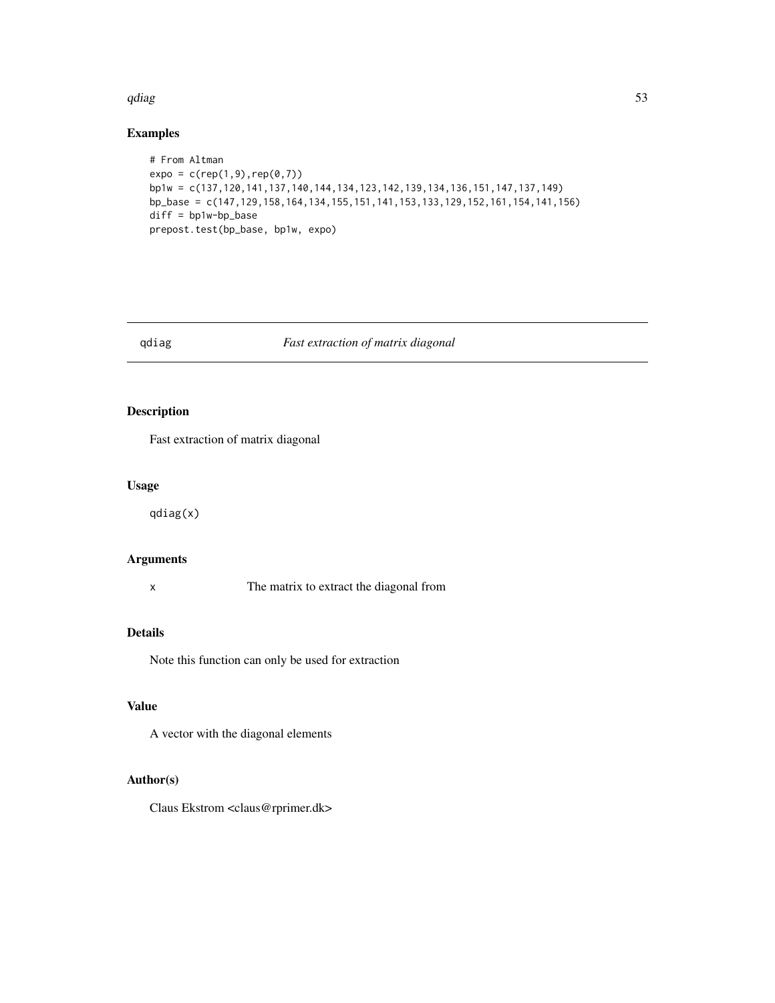#### qdiag 53

# Examples

```
# From Altman
expo = c(rep(1,9), rep(0,7))bp1w = c(137,120,141,137,140,144,134,123,142,139,134,136,151,147,137,149)
bp_base = c(147,129,158,164,134,155,151,141,153,133,129,152,161,154,141,156)
diff = bp1w-bp_base
prepost.test(bp_base, bp1w, expo)
```
# qdiag *Fast extraction of matrix diagonal*

# Description

Fast extraction of matrix diagonal

#### Usage

qdiag(x)

# Arguments

x The matrix to extract the diagonal from

#### Details

Note this function can only be used for extraction

# Value

A vector with the diagonal elements

# Author(s)

Claus Ekstrom <claus@rprimer.dk>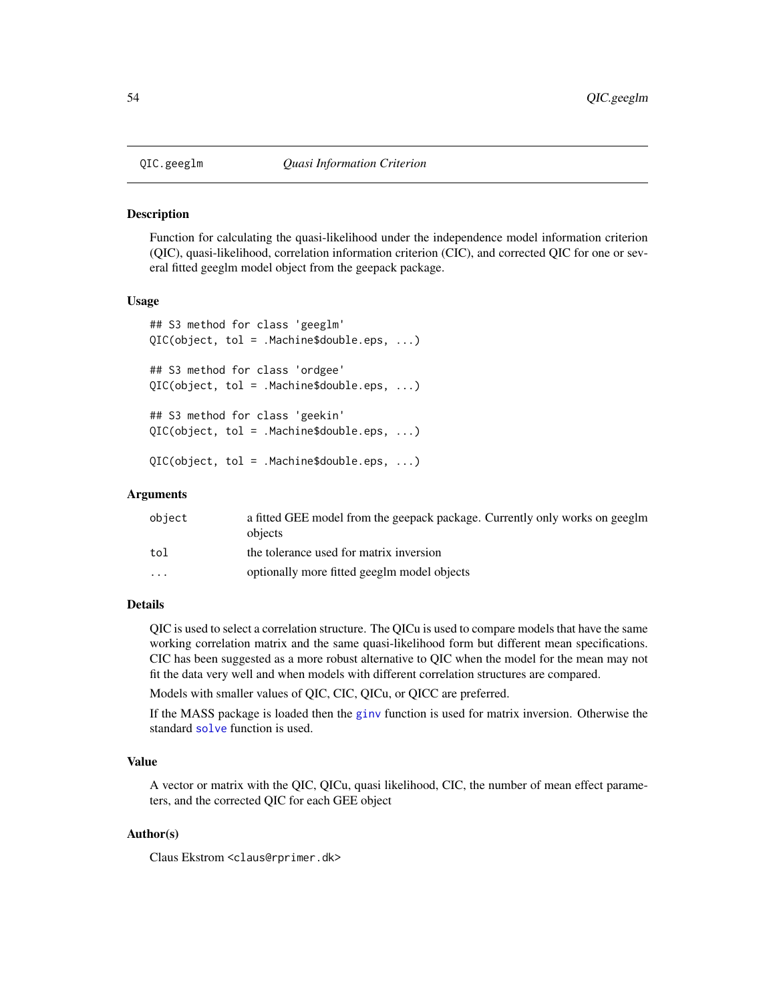Function for calculating the quasi-likelihood under the independence model information criterion (QIC), quasi-likelihood, correlation information criterion (CIC), and corrected QIC for one or several fitted geeglm model object from the geepack package.

#### Usage

```
## S3 method for class 'geeglm'
QIC(object, tol = .Machine$double.eps, ...)
## S3 method for class 'ordgee'
QIC(object, tol = .Machine$double.eps, ...)
## S3 method for class 'geekin'
QIC(object, tol = .Machine$double.eps, ...)
QIC(object, tol = .Machine$double.eps, ...)
```
#### Arguments

| object                  | a fitted GEE model from the geepack package. Currently only works on geeglm<br>objects |
|-------------------------|----------------------------------------------------------------------------------------|
| tol                     | the tolerance used for matrix inversion                                                |
| $\cdot$ $\cdot$ $\cdot$ | optionally more fitted geeglm model objects                                            |

## Details

QIC is used to select a correlation structure. The QICu is used to compare models that have the same working correlation matrix and the same quasi-likelihood form but different mean specifications. CIC has been suggested as a more robust alternative to QIC when the model for the mean may not fit the data very well and when models with different correlation structures are compared.

Models with smaller values of QIC, CIC, QICu, or QICC are preferred.

If the MASS package is loaded then the [ginv](#page-0-0) function is used for matrix inversion. Otherwise the standard [solve](#page-0-0) function is used.

#### Value

A vector or matrix with the QIC, QICu, quasi likelihood, CIC, the number of mean effect parameters, and the corrected QIC for each GEE object

## Author(s)

Claus Ekstrom <claus@rprimer.dk>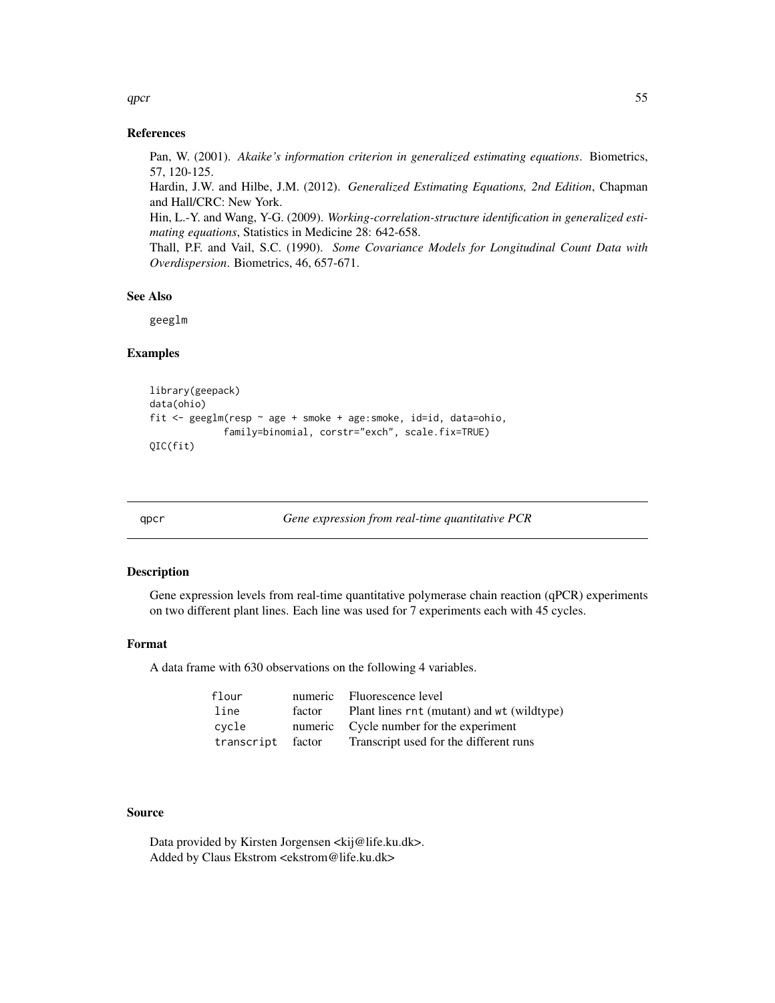#### References

Pan, W. (2001). *Akaike's information criterion in generalized estimating equations*. Biometrics, 57, 120-125.

Hardin, J.W. and Hilbe, J.M. (2012). *Generalized Estimating Equations, 2nd Edition*, Chapman and Hall/CRC: New York.

Hin, L.-Y. and Wang, Y-G. (2009). *Working-correlation-structure identification in generalized estimating equations*, Statistics in Medicine 28: 642-658.

Thall, P.F. and Vail, S.C. (1990). *Some Covariance Models for Longitudinal Count Data with Overdispersion*. Biometrics, 46, 657-671.

#### See Also

geeglm

# Examples

```
library(geepack)
data(ohio)
fit <- geeglm(resp ~ age + smoke + age:smoke, id=id, data=ohio,
             family=binomial, corstr="exch", scale.fix=TRUE)
QIC(fit)
```
qpcr *Gene expression from real-time quantitative PCR*

# **Description**

Gene expression levels from real-time quantitative polymerase chain reaction (qPCR) experiments on two different plant lines. Each line was used for 7 experiments each with 45 cycles.

## Format

A data frame with 630 observations on the following 4 variables.

| flour             |        | numeric Fluorescence level                 |
|-------------------|--------|--------------------------------------------|
| line              | factor | Plant lines rnt (mutant) and wt (wildtype) |
| cvcle             |        | numeric Cycle number for the experiment    |
| transcript factor |        | Transcript used for the different runs     |

# Source

Data provided by Kirsten Jorgensen <kij@life.ku.dk>. Added by Claus Ekstrom <ekstrom@life.ku.dk>

 $qper$  55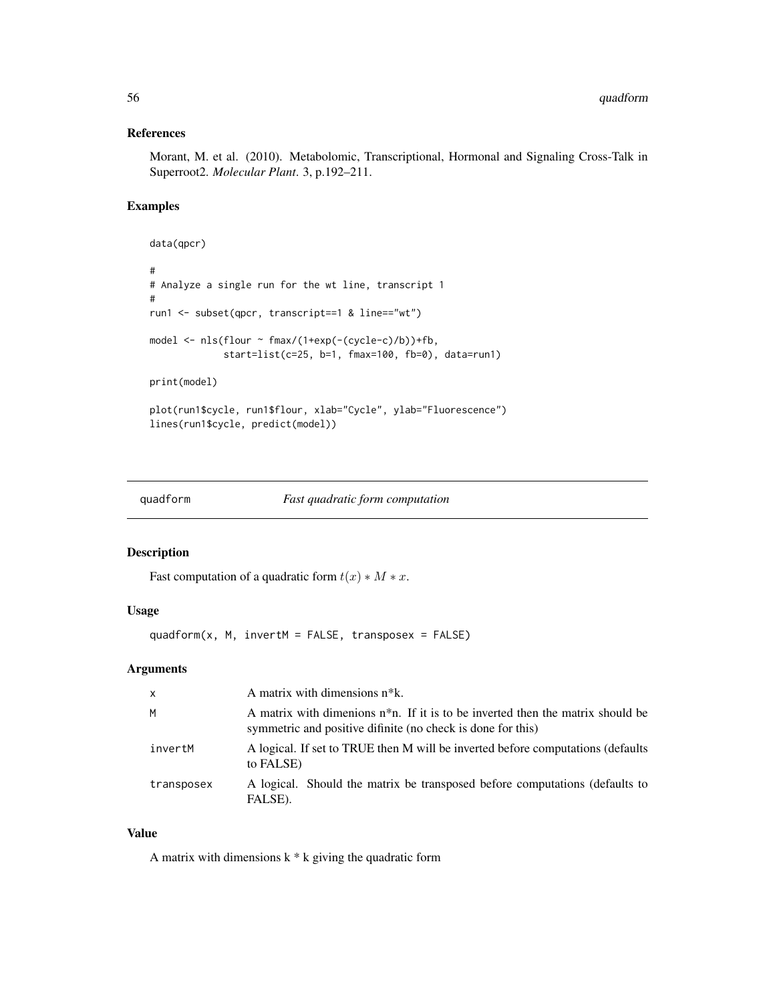## References

Morant, M. et al. (2010). Metabolomic, Transcriptional, Hormonal and Signaling Cross-Talk in Superroot2. *Molecular Plant*. 3, p.192–211.

## Examples

```
data(qpcr)
#
# Analyze a single run for the wt line, transcript 1
#
run1 <- subset(qpcr, transcript==1 & line=="wt")
model <- nls(flour ~ fmax/(1+exp(-(cycle-c)/b))+fb,
             start=list(c=25, b=1, fmax=100, fb=0), data=run1)
print(model)
plot(run1$cycle, run1$flour, xlab="Cycle", ylab="Fluorescence")
lines(run1$cycle, predict(model))
```

```
quadform Fast quadratic form computation
```
## Description

Fast computation of a quadratic form  $t(x) * M * x$ .

## Usage

 $quadform(x, M, invert M = FALSE, transpose = FALSE)$ 

# Arguments

| $\mathsf{x}$ | A matrix with dimensions n <sup>*</sup> k.                                                                                                        |
|--------------|---------------------------------------------------------------------------------------------------------------------------------------------------|
| M            | A matrix with dimenions $n^*n$ . If it is to be inverted then the matrix should be<br>symmetric and positive difinite (no check is done for this) |
| invertM      | A logical. If set to TRUE then M will be inverted before computations (defaults<br>to FALSE)                                                      |
| transposex   | A logical. Should the matrix be transposed before computations (defaults to<br>FALSE).                                                            |

# Value

A matrix with dimensions  $k * k$  giving the quadratic form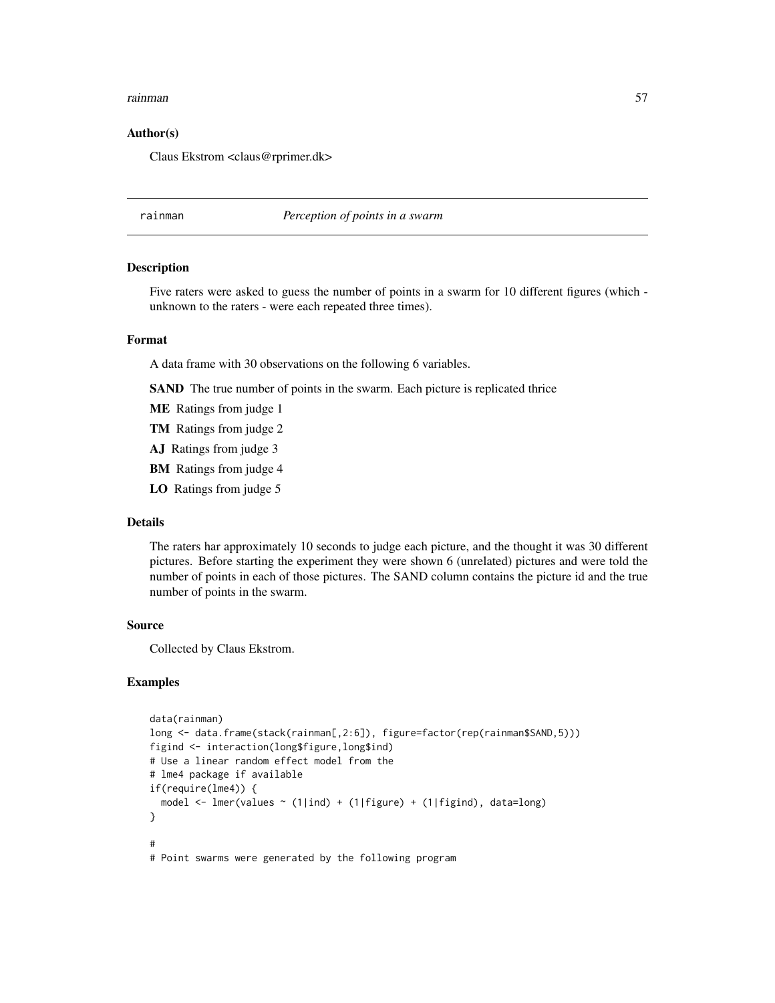#### rainman 57

## Author(s)

Claus Ekstrom <claus@rprimer.dk>

rainman *Perception of points in a swarm*

#### **Description**

Five raters were asked to guess the number of points in a swarm for 10 different figures (which unknown to the raters - were each repeated three times).

#### Format

A data frame with 30 observations on the following 6 variables.

SAND The true number of points in the swarm. Each picture is replicated thrice

- ME Ratings from judge 1
- TM Ratings from judge 2
- AJ Ratings from judge 3
- BM Ratings from judge 4
- LO Ratings from judge 5

## Details

The raters har approximately 10 seconds to judge each picture, and the thought it was 30 different pictures. Before starting the experiment they were shown 6 (unrelated) pictures and were told the number of points in each of those pictures. The SAND column contains the picture id and the true number of points in the swarm.

# Source

Collected by Claus Ekstrom.

```
data(rainman)
long <- data.frame(stack(rainman[,2:6]), figure=factor(rep(rainman$SAND,5)))
figind <- interaction(long$figure,long$ind)
# Use a linear random effect model from the
# lme4 package if available
if(require(lme4)) {
 model <- lmer(values ~ (1|ind) + (1|figure) + (1|figind), data=long)
}
#
# Point swarms were generated by the following program
```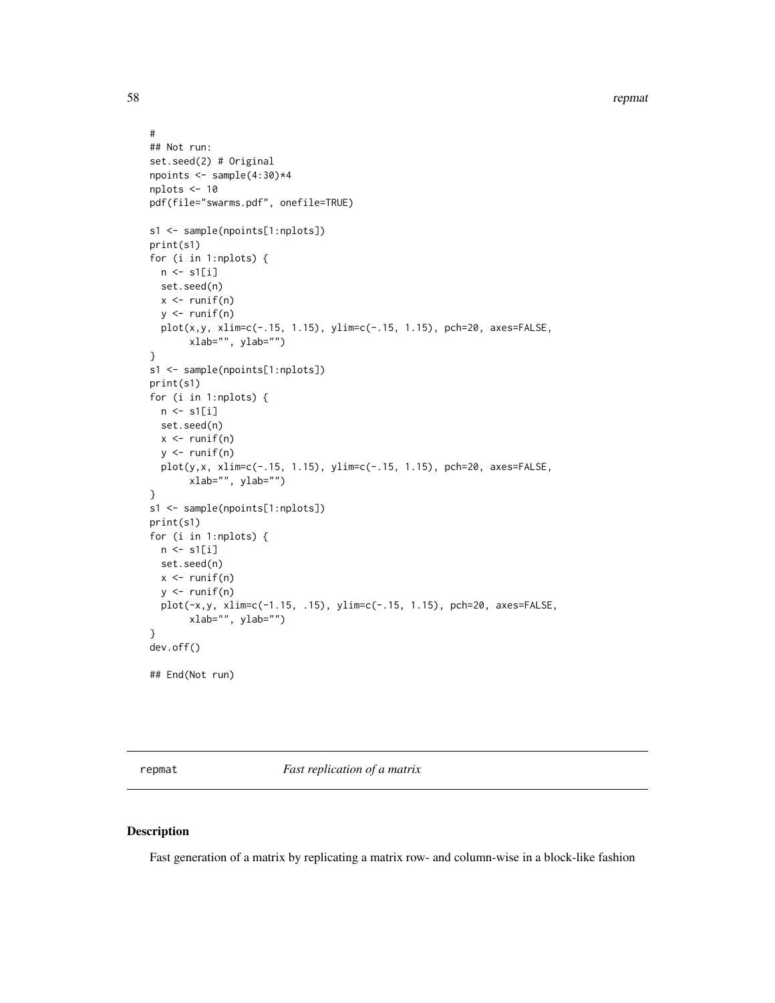```
#
## Not run:
set.seed(2) # Original
npoints \leq sample(4:30)*4
nplots <- 10
pdf(file="swarms.pdf", onefile=TRUE)
s1 <- sample(npoints[1:nplots])
print(s1)
for (i in 1:nplots) {
  n \leftarrow s1[i]set.seed(n)
  x \leftarrow runif(n)y \leftarrow runif(n)plot(x,y, xlim=c(-.15, 1.15), ylim=c(-.15, 1.15), pch=20, axes=FALSE,
       xlab="", ylab="")
}
s1 <- sample(npoints[1:nplots])
print(s1)
for (i in 1:nplots) {
  n \leftarrow s1[i]set.seed(n)
 x \leftarrow runif(n)y \leftarrow runif(n)plot(y,x, xlim=c(-.15, 1.15), ylim=c(-.15, 1.15), pch=20, axes=FALSE,
       xlab="", ylab="")
}
s1 <- sample(npoints[1:nplots])
print(s1)
for (i in 1:nplots) {
 n \leftarrow s1[i]set.seed(n)
  x \leftarrow runif(n)y \leftarrow runif(n)plot(-x,y, xlim=c(-1.15, .15), ylim=c(-.15, 1.15), pch=20, axes=FALSE,
       xlab="", ylab="")
}
dev.off()
## End(Not run)
```
repmat *Fast replication of a matrix*

#### Description

Fast generation of a matrix by replicating a matrix row- and column-wise in a block-like fashion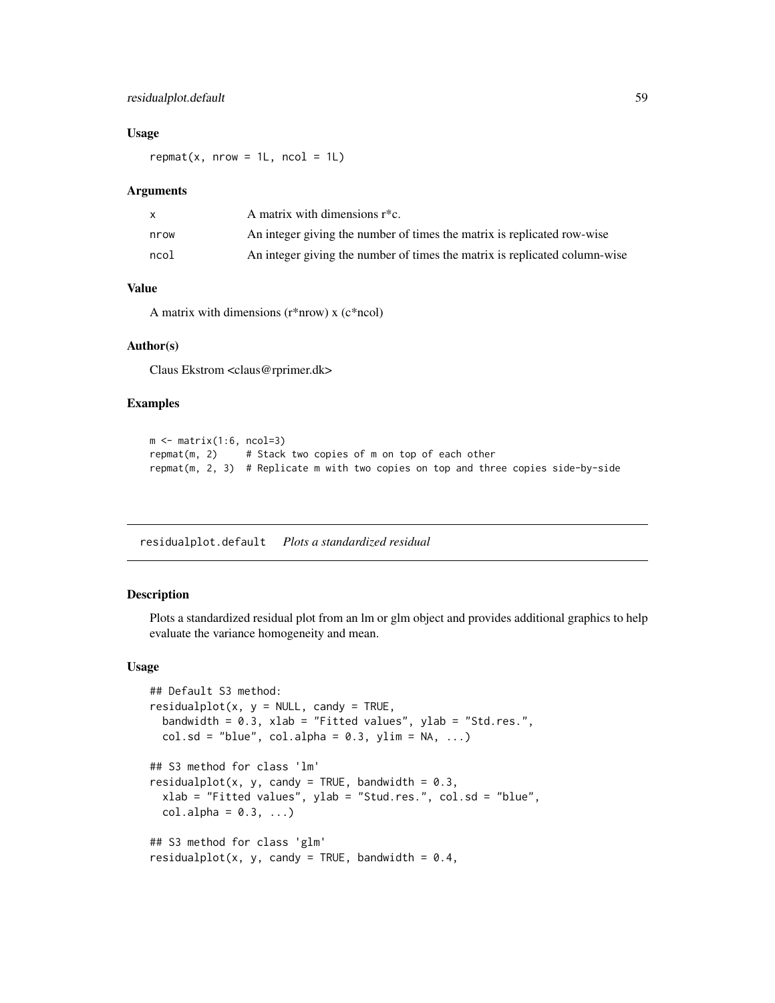# residualplot.default 59

#### Usage

 $repmat(x, nrow = 1L, ncol = 1L)$ 

#### Arguments

|      | A matrix with dimensions $r^*c$ .                                          |
|------|----------------------------------------------------------------------------|
| nrow | An integer giving the number of times the matrix is replicated row-wise    |
| ncol | An integer giving the number of times the matrix is replicated column-wise |

# Value

A matrix with dimensions (r\*nrow) x (c\*ncol)

#### Author(s)

Claus Ekstrom <claus@rprimer.dk>

## Examples

```
m \le matrix(1:6, ncol=3)
repmat(m, 2) # Stack two copies of m on top of each other
repmat(m, 2, 3) # Replicate m with two copies on top and three copies side-by-side
```
residualplot.default *Plots a standardized residual*

## Description

Plots a standardized residual plot from an lm or glm object and provides additional graphics to help evaluate the variance homogeneity and mean.

#### Usage

```
## Default S3 method:
residualplot(x, y = NULL, candy = TRUE,
 bandwidth = 0.3, xlab = "Fitted values", ylab = "Std.res.",
 col.sd = "blue", col.alpha = 0.3, ylim = NA, ...)## S3 method for class 'lm'
residualplot(x, y, candy = TRUE, bandwidth = 0.3,
 xlab = "Fitted values", ylab = "Stud.res.", col.sd = "blue",
 col.alpha = 0.3, ...## S3 method for class 'glm'
residualplot(x, y, candy = TRUE, bandwidth = 0.4,
```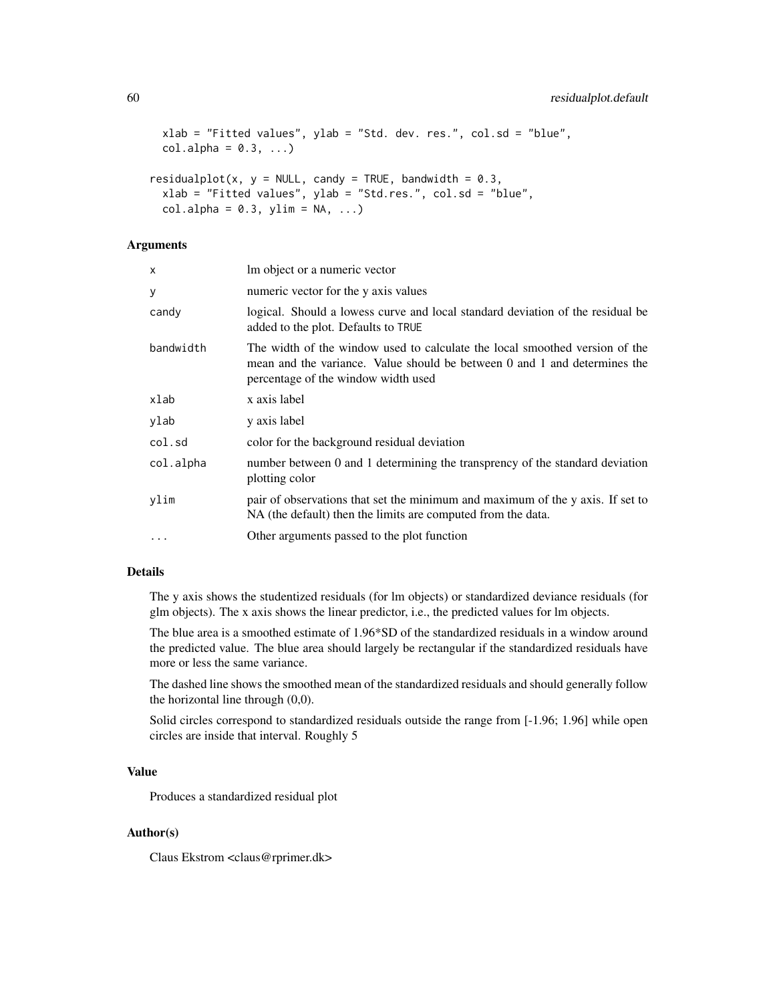```
xlab = "Fitted values", ylab = "Std. dev. res.", col.sd = "blue",col.alpha = 0.3, ...residualplot(x, y = NULL, candy = TRUE, bandwidth = 0.3,
  xlab = "Fitted values", ylab = "Std.res.", col.sd = "blue",
  col.alpha = 0.3, ylim = NA, ...)
```
# Arguments

| X         | Im object or a numeric vector                                                                                                                                                                   |
|-----------|-------------------------------------------------------------------------------------------------------------------------------------------------------------------------------------------------|
| У         | numeric vector for the y axis values                                                                                                                                                            |
| candy     | logical. Should a lowess curve and local standard deviation of the residual be<br>added to the plot. Defaults to TRUE                                                                           |
| bandwidth | The width of the window used to calculate the local smoothed version of the<br>mean and the variance. Value should be between 0 and 1 and determines the<br>percentage of the window width used |
| xlab      | x axis label                                                                                                                                                                                    |
| ylab      | y axis label                                                                                                                                                                                    |
| col.sd    | color for the background residual deviation                                                                                                                                                     |
| col.alpha | number between 0 and 1 determining the transprency of the standard deviation<br>plotting color                                                                                                  |
| ylim      | pair of observations that set the minimum and maximum of the y axis. If set to<br>NA (the default) then the limits are computed from the data.                                                  |
| $\ddotsc$ | Other arguments passed to the plot function                                                                                                                                                     |

# Details

The y axis shows the studentized residuals (for lm objects) or standardized deviance residuals (for glm objects). The x axis shows the linear predictor, i.e., the predicted values for lm objects.

The blue area is a smoothed estimate of 1.96\*SD of the standardized residuals in a window around the predicted value. The blue area should largely be rectangular if the standardized residuals have more or less the same variance.

The dashed line shows the smoothed mean of the standardized residuals and should generally follow the horizontal line through (0,0).

Solid circles correspond to standardized residuals outside the range from [-1.96; 1.96] while open circles are inside that interval. Roughly 5

## Value

Produces a standardized residual plot

### Author(s)

Claus Ekstrom <claus@rprimer.dk>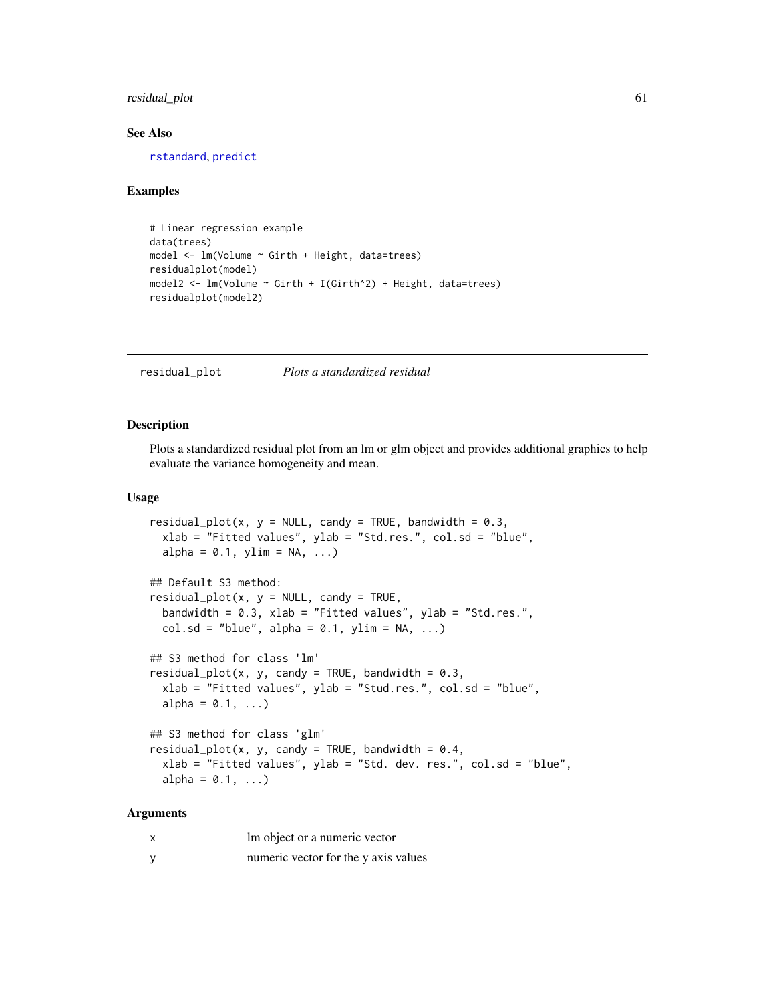# residual\_plot 61

#### See Also

[rstandard](#page-0-0), [predict](#page-0-0)

#### Examples

```
# Linear regression example
data(trees)
model <- lm(Volume ~ Girth + Height, data=trees)
residualplot(model)
model2 <- lm(Volume ~ Girth + I(Girth^2) + Height, data=trees)residualplot(model2)
```
residual\_plot *Plots a standardized residual*

### Description

Plots a standardized residual plot from an lm or glm object and provides additional graphics to help evaluate the variance homogeneity and mean.

#### Usage

```
residual_plot(x, y = NULL, candy = TRUE, bandwidth = 0.3,
  xlab = "Fitted values", ylab = "Std.res.", col.sd = "blue",
 alpha = 0.1, ylim = NA, ...)
## Default S3 method:
residual_plot(x, y = NULL, candy = TRUE,bandwidth = 0.3, xlab = "Fitted values", ylab = "Std.res.",
 col.sd = "blue", alpha = 0.1, ylim = NA, ...)## S3 method for class 'lm'
residual_plot(x, y, candy = TRUE, bandwidth = 0.3,
  xlab = "Fitted values", ylab = "Stud.res.", col.sd = "blue",
 alpha = 0.1, ...## S3 method for class 'glm'
residual_plot(x, y, candy = TRUE, bandwidth = 0.4,
 xlab = "Fitted values", ylab = "Std. dev. res.", col.sd = "blue",
 alpha = 0.1, ...)
```
# Arguments

| x | Im object or a numeric vector        |
|---|--------------------------------------|
| у | numeric vector for the y axis values |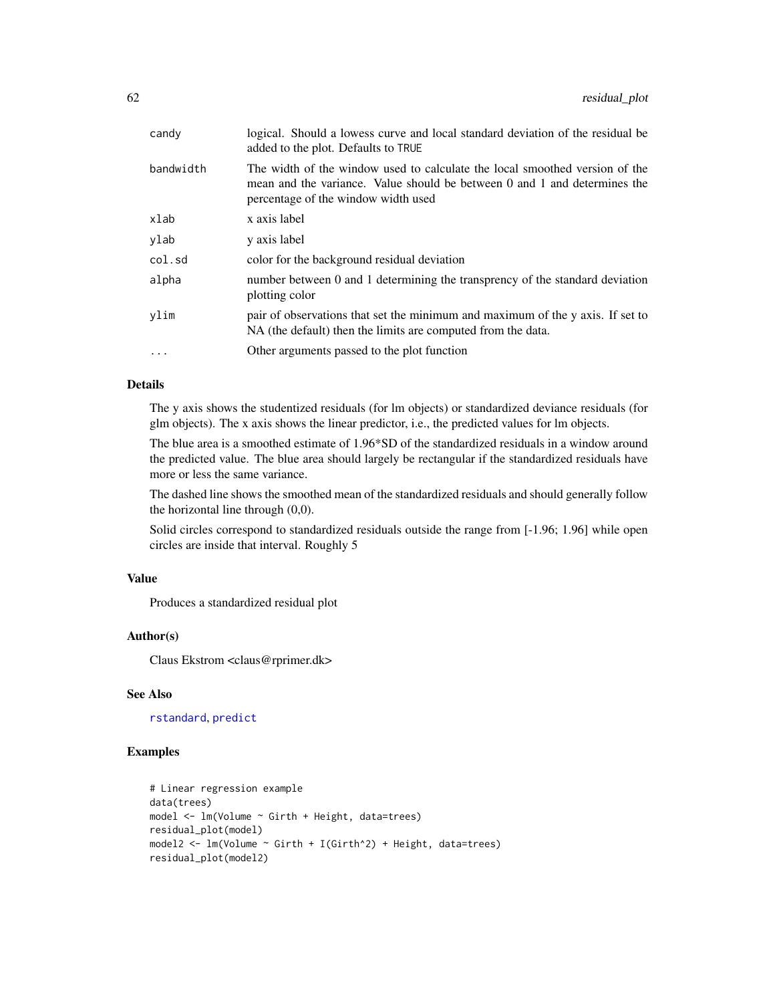| candy     | logical. Should a lowess curve and local standard deviation of the residual be<br>added to the plot. Defaults to TRUE                                                                           |
|-----------|-------------------------------------------------------------------------------------------------------------------------------------------------------------------------------------------------|
| bandwidth | The width of the window used to calculate the local smoothed version of the<br>mean and the variance. Value should be between 0 and 1 and determines the<br>percentage of the window width used |
| xlab      | x axis label                                                                                                                                                                                    |
| ylab      | y axis label                                                                                                                                                                                    |
| col.sd    | color for the background residual deviation                                                                                                                                                     |
| alpha     | number between 0 and 1 determining the transprency of the standard deviation<br>plotting color                                                                                                  |
| vlim      | pair of observations that set the minimum and maximum of the y axis. If set to<br>NA (the default) then the limits are computed from the data.                                                  |
|           | Other arguments passed to the plot function                                                                                                                                                     |
|           |                                                                                                                                                                                                 |

# Details

The y axis shows the studentized residuals (for lm objects) or standardized deviance residuals (for glm objects). The x axis shows the linear predictor, i.e., the predicted values for lm objects.

The blue area is a smoothed estimate of 1.96\*SD of the standardized residuals in a window around the predicted value. The blue area should largely be rectangular if the standardized residuals have more or less the same variance.

The dashed line shows the smoothed mean of the standardized residuals and should generally follow the horizontal line through (0,0).

Solid circles correspond to standardized residuals outside the range from [-1.96; 1.96] while open circles are inside that interval. Roughly 5

# Value

Produces a standardized residual plot

## Author(s)

Claus Ekstrom <claus@rprimer.dk>

## See Also

[rstandard](#page-0-0), [predict](#page-0-0)

```
# Linear regression example
data(trees)
model <- lm(Volume ~ Girth + Height, data=trees)
residual_plot(model)
model2 <- lm(Volume ~ Girth + I(Girth^2) + Height, data=trees)
residual_plot(model2)
```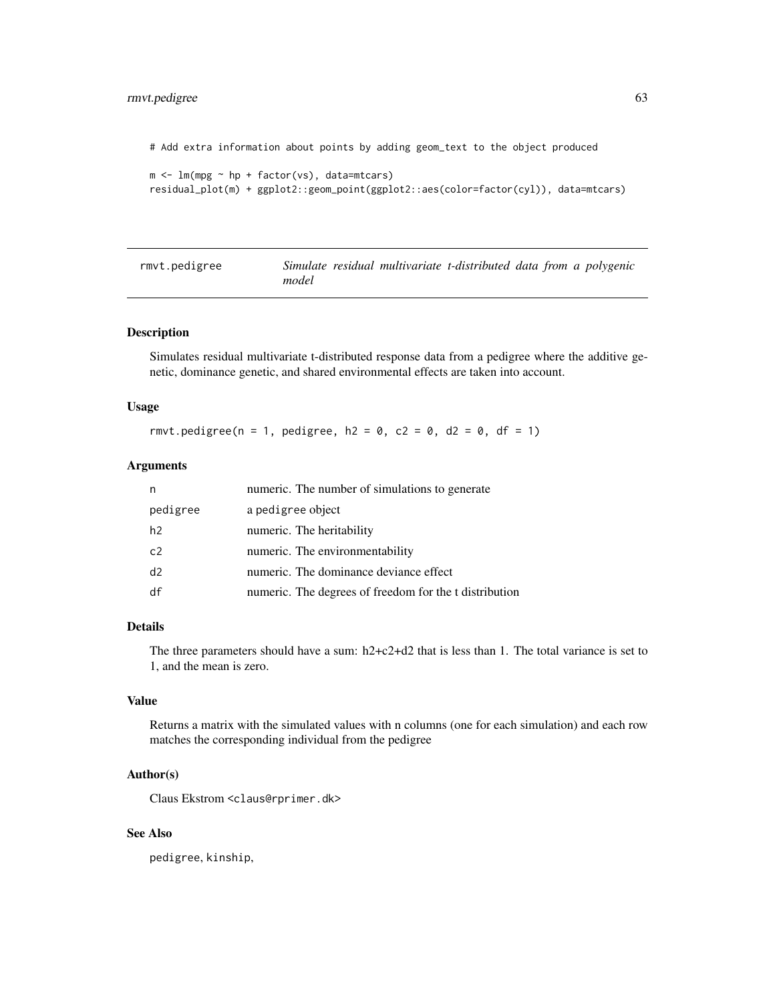# rmvt.pedigree 63

# Add extra information about points by adding geom\_text to the object produced

```
m \leq -\ln(mpg \sim hp + factor(vs), data=mtcars)residual_plot(m) + ggplot2::geom_point(ggplot2::aes(color=factor(cyl)), data=mtcars)
```

| rmvt.pedigree |       |  |  | Simulate residual multivariate t-distributed data from a polygenic |
|---------------|-------|--|--|--------------------------------------------------------------------|
|               | model |  |  |                                                                    |

# Description

Simulates residual multivariate t-distributed response data from a pedigree where the additive genetic, dominance genetic, and shared environmental effects are taken into account.

#### Usage

rmvt.pedigree(n = 1, pedigree, h2 = 0, c2 = 0, d2 = 0, df = 1)

## Arguments

| n              | numeric. The number of simulations to generate         |
|----------------|--------------------------------------------------------|
| pedigree       | a pedigree object                                      |
| h <sub>2</sub> | numeric. The heritability                              |
| c2             | numeric. The environmentability                        |
| d2             | numeric. The dominance deviance effect                 |
| df             | numeric. The degrees of freedom for the t distribution |

# Details

The three parameters should have a sum: h2+c2+d2 that is less than 1. The total variance is set to 1, and the mean is zero.

# Value

Returns a matrix with the simulated values with n columns (one for each simulation) and each row matches the corresponding individual from the pedigree

## Author(s)

Claus Ekstrom <claus@rprimer.dk>

# See Also

pedigree, kinship,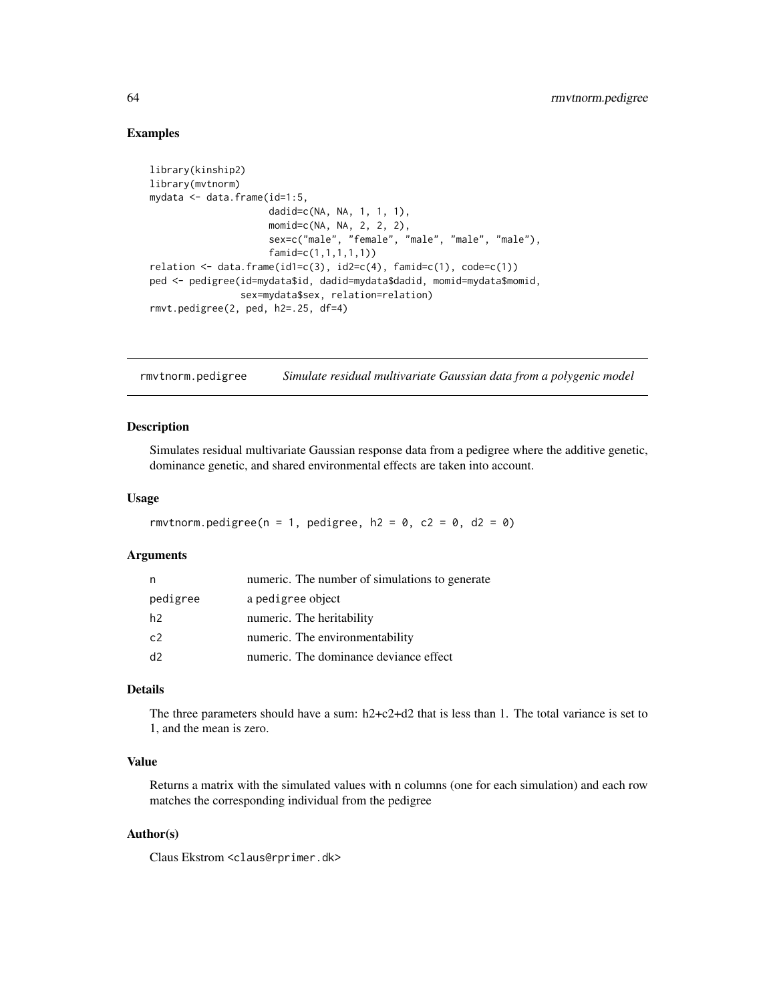## Examples

```
library(kinship2)
library(mvtnorm)
mydata <- data.frame(id=1:5,
                     dadid=c(NA, NA, 1, 1, 1),
                     momid=c(NA, NA, 2, 2, 2),
                     sex=c("male", "female", "male", "male", "male"),
                     famid=c(1,1,1,1,1))
relation \le data.frame(id1=c(3), id2=c(4), famid=c(1), code=c(1))
ped <- pedigree(id=mydata$id, dadid=mydata$dadid, momid=mydata$momid,
                sex=mydata$sex, relation=relation)
rmvt.pedigree(2, ped, h2=.25, df=4)
```
rmvtnorm.pedigree *Simulate residual multivariate Gaussian data from a polygenic model*

#### Description

Simulates residual multivariate Gaussian response data from a pedigree where the additive genetic, dominance genetic, and shared environmental effects are taken into account.

#### Usage

```
rmvtnorm.pedigree(n = 1, pedigree, h2 = 0, c2 = 0, d2 = 0)
```
## Arguments

| n              | numeric. The number of simulations to generate |
|----------------|------------------------------------------------|
| pedigree       | a pedigree object                              |
| h <sub>2</sub> | numeric. The heritability                      |
| c2             | numeric. The environmentability                |
| d2             | numeric. The dominance deviance effect         |

## Details

The three parameters should have a sum: h2+c2+d2 that is less than 1. The total variance is set to 1, and the mean is zero.

#### Value

Returns a matrix with the simulated values with n columns (one for each simulation) and each row matches the corresponding individual from the pedigree

## Author(s)

Claus Ekstrom <claus@rprimer.dk>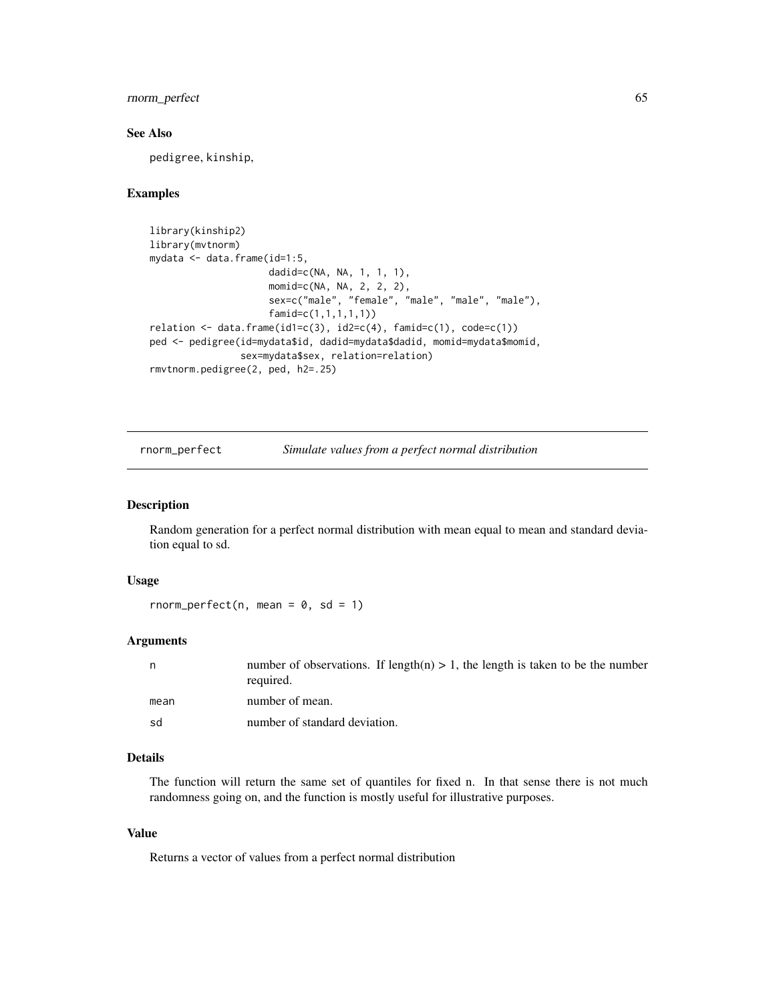# rnorm\_perfect 65

## See Also

pedigree, kinship,

## Examples

```
library(kinship2)
library(mvtnorm)
mydata <- data.frame(id=1:5,
                     dadid=c(NA, NA, 1, 1, 1),
                     momid=c(NA, NA, 2, 2, 2),
                     sex=c("male", "female", "male", "male", "male"),
                     famid=c(1,1,1,1,1))
relation \leftarrow data-frame(id1=c(3), id2=c(4), famil=c(1), code=c(1))ped <- pedigree(id=mydata$id, dadid=mydata$dadid, momid=mydata$momid,
                sex=mydata$sex, relation=relation)
rmvtnorm.pedigree(2, ped, h2=.25)
```
rnorm\_perfect *Simulate values from a perfect normal distribution*

#### Description

Random generation for a perfect normal distribution with mean equal to mean and standard deviation equal to sd.

#### Usage

rnorm\_perfect(n, mean =  $0$ , sd = 1)

## Arguments

|      | number of observations. If length(n) $> 1$ , the length is taken to be the number<br>required. |
|------|------------------------------------------------------------------------------------------------|
| mean | number of mean.                                                                                |
| sd   | number of standard deviation.                                                                  |

# Details

The function will return the same set of quantiles for fixed n. In that sense there is not much randomness going on, and the function is mostly useful for illustrative purposes.

#### Value

Returns a vector of values from a perfect normal distribution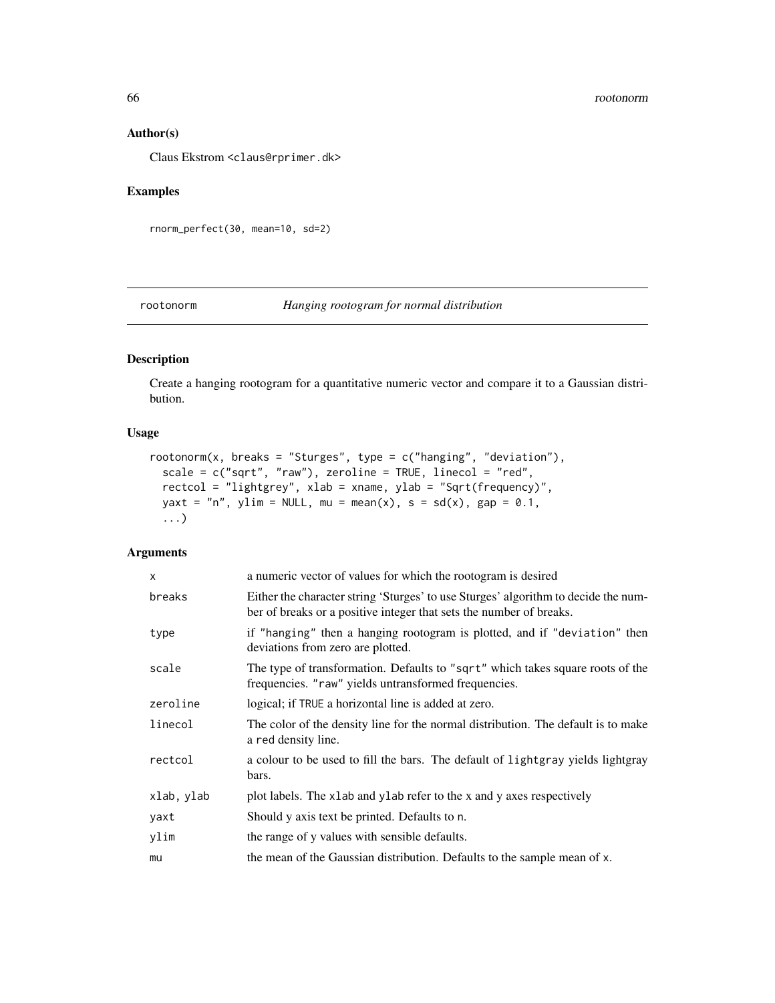#### 66 rootonorm

## Author(s)

Claus Ekstrom <claus@rprimer.dk>

# Examples

rnorm\_perfect(30, mean=10, sd=2)

## rootonorm *Hanging rootogram for normal distribution*

# Description

Create a hanging rootogram for a quantitative numeric vector and compare it to a Gaussian distribution.

# Usage

```
rootonorm(x, breaks = "Sturges", type = c("hanging", "deviation"),scale = c("sqrt", "raw"), zeroline = TRUE, linecol = "red",rectcol = "lightgrey", xlab = xname, ylab = "Sqrt(frequency)",
 yaxt = "n", ylim = NULL, mu = mean(x), s = sd(x), gap = 0.1,
  ...)
```
# Arguments

| X          | a numeric vector of values for which the rootogram is desired                                                                                             |
|------------|-----------------------------------------------------------------------------------------------------------------------------------------------------------|
| breaks     | Either the character string 'Sturges' to use Sturges' algorithm to decide the num-<br>ber of breaks or a positive integer that sets the number of breaks. |
| type       | if "hanging" then a hanging rootogram is plotted, and if "deviation" then<br>deviations from zero are plotted.                                            |
| scale      | The type of transformation. Defaults to "sqrt" which takes square roots of the<br>frequencies. "raw" yields untransformed frequencies.                    |
| zeroline   | logical; if TRUE a horizontal line is added at zero.                                                                                                      |
| linecol    | The color of the density line for the normal distribution. The default is to make<br>a red density line.                                                  |
| rectcol    | a colour to be used to fill the bars. The default of lightgray yields lightgray<br>bars.                                                                  |
| xlab, ylab | plot labels. The x1ab and y1ab refer to the x and y axes respectively                                                                                     |
| yaxt       | Should y axis text be printed. Defaults to n.                                                                                                             |
| ylim       | the range of y values with sensible defaults.                                                                                                             |
| mu         | the mean of the Gaussian distribution. Defaults to the sample mean of x.                                                                                  |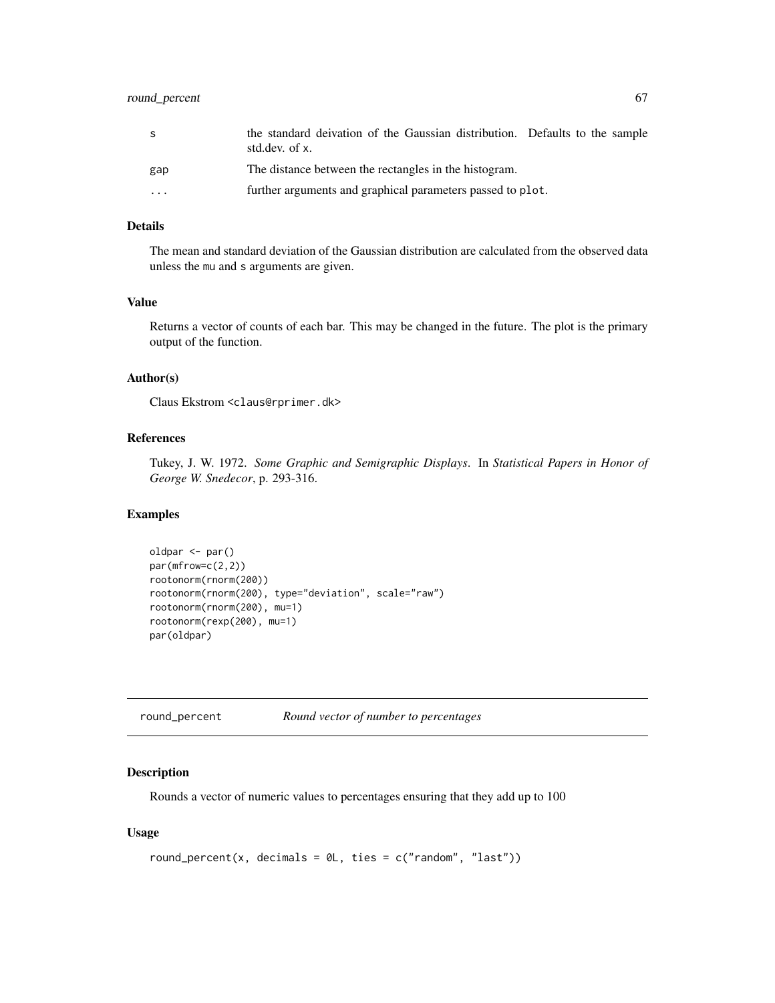# round\_percent 67

| S                 | the standard deivation of the Gaussian distribution. Defaults to the sample<br>std.dev. of x. |
|-------------------|-----------------------------------------------------------------------------------------------|
| gap               | The distance between the rectangles in the histogram.                                         |
| $\cdot\cdot\cdot$ | further arguments and graphical parameters passed to plot.                                    |

## Details

The mean and standard deviation of the Gaussian distribution are calculated from the observed data unless the mu and s arguments are given.

## Value

Returns a vector of counts of each bar. This may be changed in the future. The plot is the primary output of the function.

#### Author(s)

Claus Ekstrom <claus@rprimer.dk>

# References

Tukey, J. W. 1972. *Some Graphic and Semigraphic Displays*. In *Statistical Papers in Honor of George W. Snedecor*, p. 293-316.

# Examples

```
oldpar <- par()
par(mfrow=c(2,2))
rootonorm(rnorm(200))
rootonorm(rnorm(200), type="deviation", scale="raw")
rootonorm(rnorm(200), mu=1)
rootonorm(rexp(200), mu=1)
par(oldpar)
```

| round_percent | Round vector of number to percentages |  |
|---------------|---------------------------------------|--|
|---------------|---------------------------------------|--|

# Description

Rounds a vector of numeric values to percentages ensuring that they add up to 100

### Usage

```
round_percent(x, decimals = 0L, ties = c("random", "last"))
```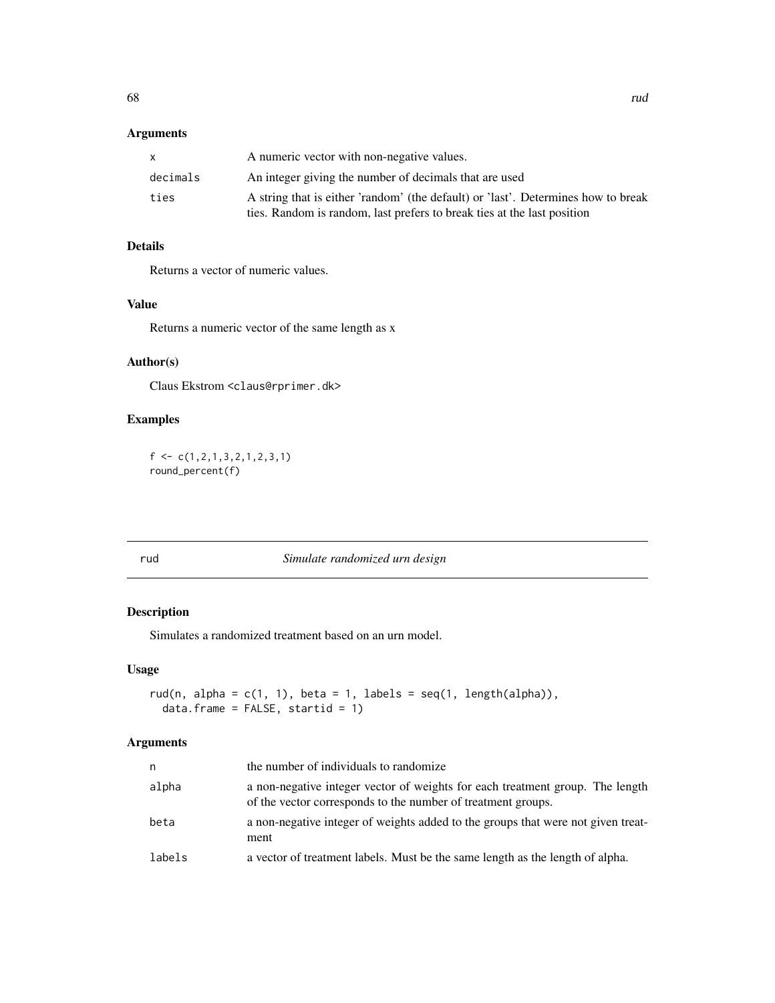# Arguments

|          | A numeric vector with non-negative values.                                                                                                                   |
|----------|--------------------------------------------------------------------------------------------------------------------------------------------------------------|
| decimals | An integer giving the number of decimals that are used                                                                                                       |
| ties     | A string that is either 'random' (the default) or 'last'. Determines how to break<br>ties. Random is random, last prefers to break ties at the last position |

# Details

Returns a vector of numeric values.

# Value

Returns a numeric vector of the same length as x

# Author(s)

Claus Ekstrom <claus@rprimer.dk>

# Examples

```
f <- c(1,2,1,3,2,1,2,3,1)
round_percent(f)
```
rud *Simulate randomized urn design*

# Description

Simulates a randomized treatment based on an urn model.

## Usage

```
rud(n, alpha = c(1, 1), beta = 1, labels = seq(1, length(alpha)),
 data.frame = FALSE, stratid = 1)
```
# Arguments

| n      | the number of individuals to randomize                                                                                                        |
|--------|-----------------------------------------------------------------------------------------------------------------------------------------------|
| alpha  | a non-negative integer vector of weights for each treatment group. The length<br>of the vector corresponds to the number of treatment groups. |
| beta   | a non-negative integer of weights added to the groups that were not given treat-<br>ment                                                      |
| labels | a vector of treatment labels. Must be the same length as the length of alpha.                                                                 |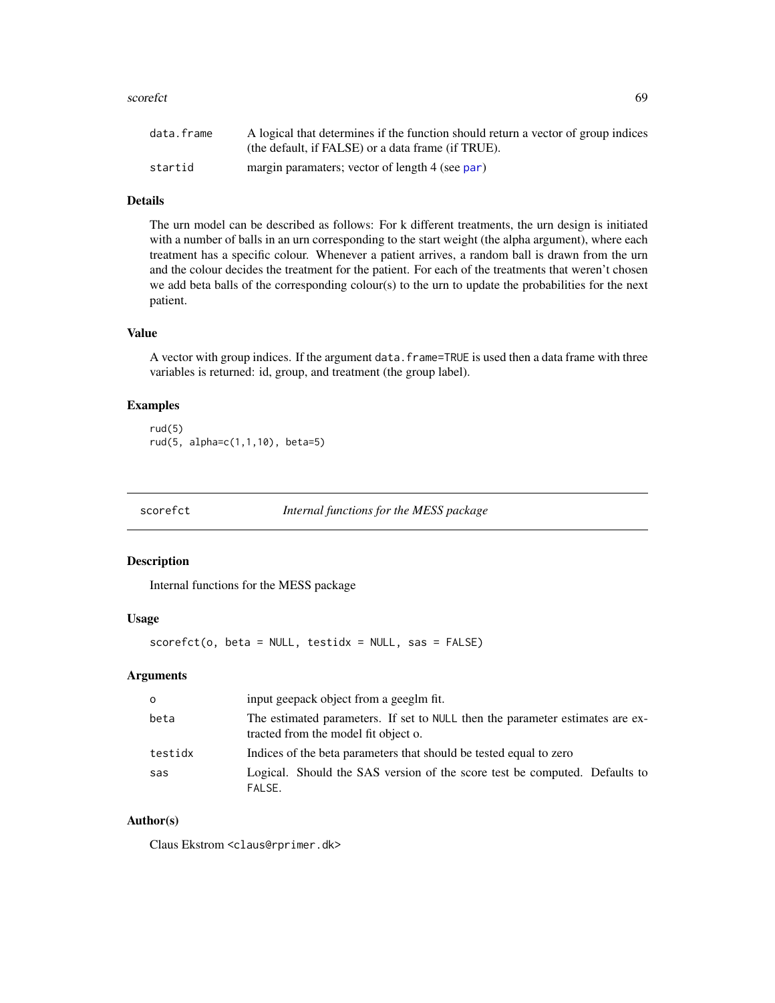#### scorefct 69

| data.frame | A logical that determines if the function should return a vector of group indices |
|------------|-----------------------------------------------------------------------------------|
|            | (the default, if FALSE) or a data frame (if TRUE).                                |
| startid    | margin paramaters; vector of length 4 (see par)                                   |

## Details

The urn model can be described as follows: For k different treatments, the urn design is initiated with a number of balls in an urn corresponding to the start weight (the alpha argument), where each treatment has a specific colour. Whenever a patient arrives, a random ball is drawn from the urn and the colour decides the treatment for the patient. For each of the treatments that weren't chosen we add beta balls of the corresponding colour(s) to the urn to update the probabilities for the next patient.

# Value

A vector with group indices. If the argument data.frame=TRUE is used then a data frame with three variables is returned: id, group, and treatment (the group label).

# Examples

rud(5) rud(5, alpha=c(1,1,10), beta=5)

scorefct *Internal functions for the MESS package*

#### Description

Internal functions for the MESS package

## Usage

 $scorefct(o, beta = NULL, testidx = NULL, sas = FALSE)$ 

# Arguments

| $\circ$ | input geepack object from a geeglm fit.                                                                               |
|---------|-----------------------------------------------------------------------------------------------------------------------|
| beta    | The estimated parameters. If set to NULL then the parameter estimates are ex-<br>tracted from the model fit object o. |
| testidx | Indices of the beta parameters that should be tested equal to zero                                                    |
| sas     | Logical. Should the SAS version of the score test be computed. Defaults to<br>FALSE.                                  |

## Author(s)

Claus Ekstrom <claus@rprimer.dk>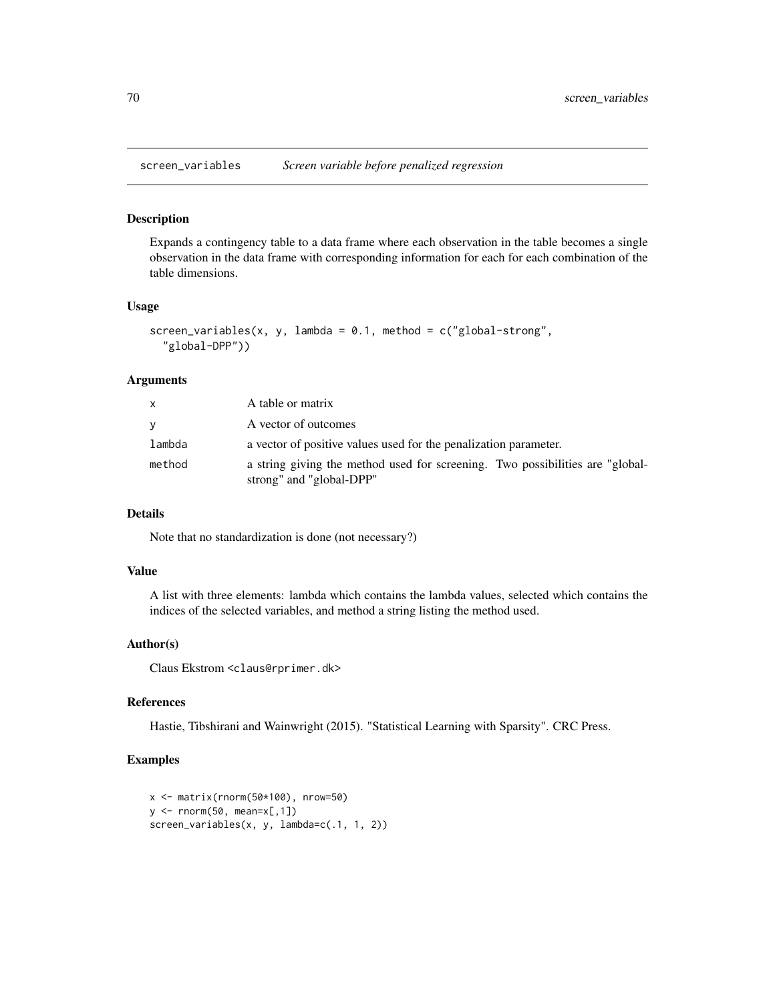Expands a contingency table to a data frame where each observation in the table becomes a single observation in the data frame with corresponding information for each for each combination of the table dimensions.

## Usage

```
screen_variables(x, y, lambda = 0.1, method = c("global-streamg","global-DPP"))
```
#### Arguments

|        | A table or matrix                                                                                         |
|--------|-----------------------------------------------------------------------------------------------------------|
| V      | A vector of outcomes                                                                                      |
| lambda | a vector of positive values used for the penalization parameter.                                          |
| method | a string giving the method used for screening. Two possibilities are "global-<br>strong" and "global-DPP" |

# Details

Note that no standardization is done (not necessary?)

## Value

A list with three elements: lambda which contains the lambda values, selected which contains the indices of the selected variables, and method a string listing the method used.

## Author(s)

Claus Ekstrom <claus@rprimer.dk>

# References

Hastie, Tibshirani and Wainwright (2015). "Statistical Learning with Sparsity". CRC Press.

```
x <- matrix(rnorm(50*100), nrow=50)
y \leftarrow \text{norm}(50, \text{mean}=\times[, 1])screen_variables(x, y, lambda=c(.1, 1, 2))
```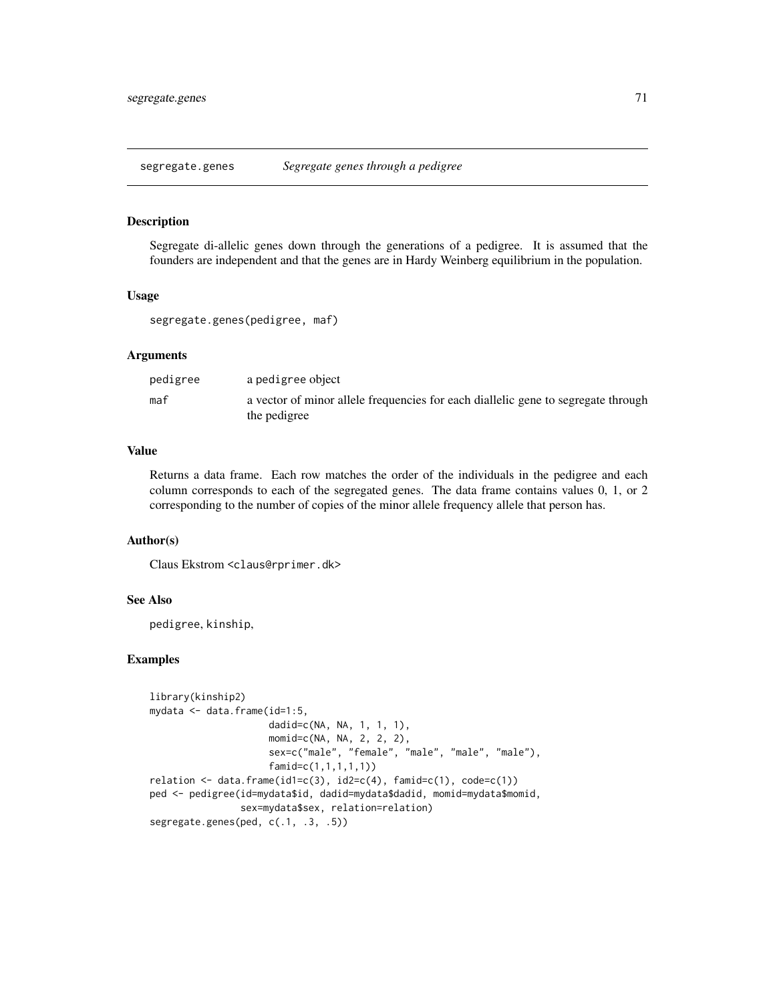segregate.genes *Segregate genes through a pedigree*

#### Description

Segregate di-allelic genes down through the generations of a pedigree. It is assumed that the founders are independent and that the genes are in Hardy Weinberg equilibrium in the population.

#### Usage

```
segregate.genes(pedigree, maf)
```
# Arguments

| pedigree | a pedigree object                                                                                 |
|----------|---------------------------------------------------------------------------------------------------|
| maf      | a vector of minor allele frequencies for each diallelic gene to segregate through<br>the pedigree |

#### Value

Returns a data frame. Each row matches the order of the individuals in the pedigree and each column corresponds to each of the segregated genes. The data frame contains values 0, 1, or 2 corresponding to the number of copies of the minor allele frequency allele that person has.

## Author(s)

Claus Ekstrom <claus@rprimer.dk>

# See Also

pedigree, kinship,

```
library(kinship2)
mydata <- data.frame(id=1:5,
                     dadid=c(NA, NA, 1, 1, 1),
                     momid=c(NA, NA, 2, 2, 2),
                     sex=c("male", "female", "male", "male", "male"),
                     famid=c(1,1,1,1,1))
relation \leftarrow data-frame(id1=c(3), id2=c(4), famil=c(1), code=c(1))ped <- pedigree(id=mydata$id, dadid=mydata$dadid, momid=mydata$momid,
                sex=mydata$sex, relation=relation)
segregate.genes(ped, c(.1, .3, .5))
```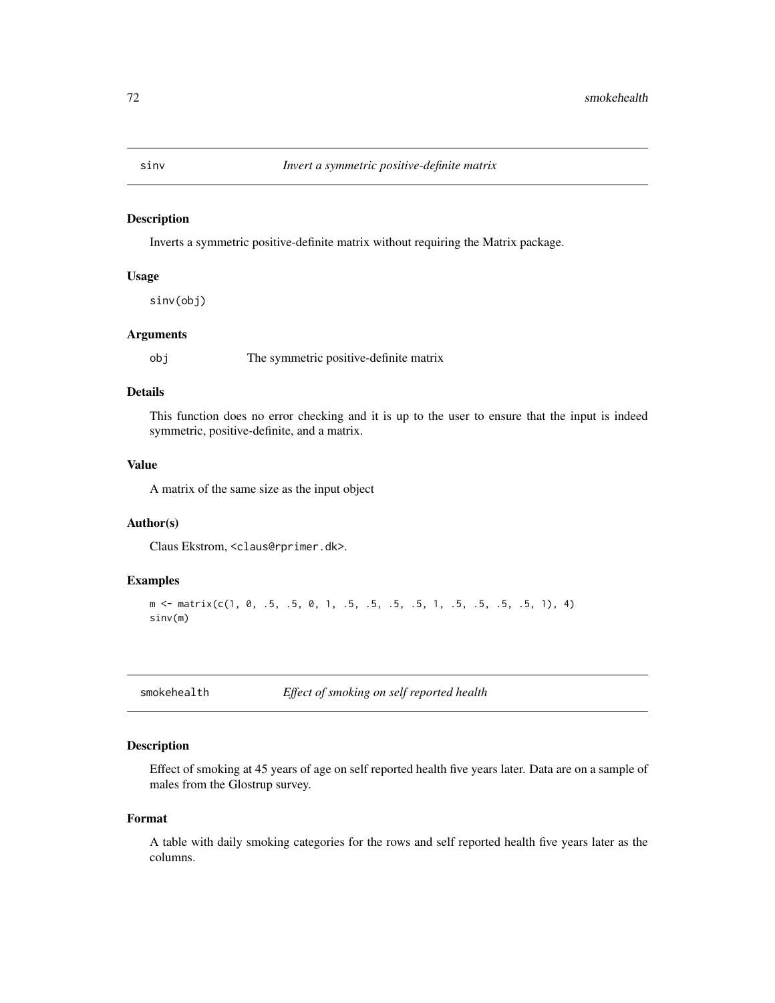Inverts a symmetric positive-definite matrix without requiring the Matrix package.

## Usage

sinv(obj)

## Arguments

obj The symmetric positive-definite matrix

# Details

This function does no error checking and it is up to the user to ensure that the input is indeed symmetric, positive-definite, and a matrix.

# Value

A matrix of the same size as the input object

## Author(s)

Claus Ekstrom, <claus@rprimer.dk>.

#### Examples

```
m <- matrix(c(1, 0, .5, .5, 0, 1, .5, .5, .5, .5, 1, .5, .5, .5, .5, 1), 4)
sinv(m)
```
smokehealth *Effect of smoking on self reported health*

## Description

Effect of smoking at 45 years of age on self reported health five years later. Data are on a sample of males from the Glostrup survey.

#### Format

A table with daily smoking categories for the rows and self reported health five years later as the columns.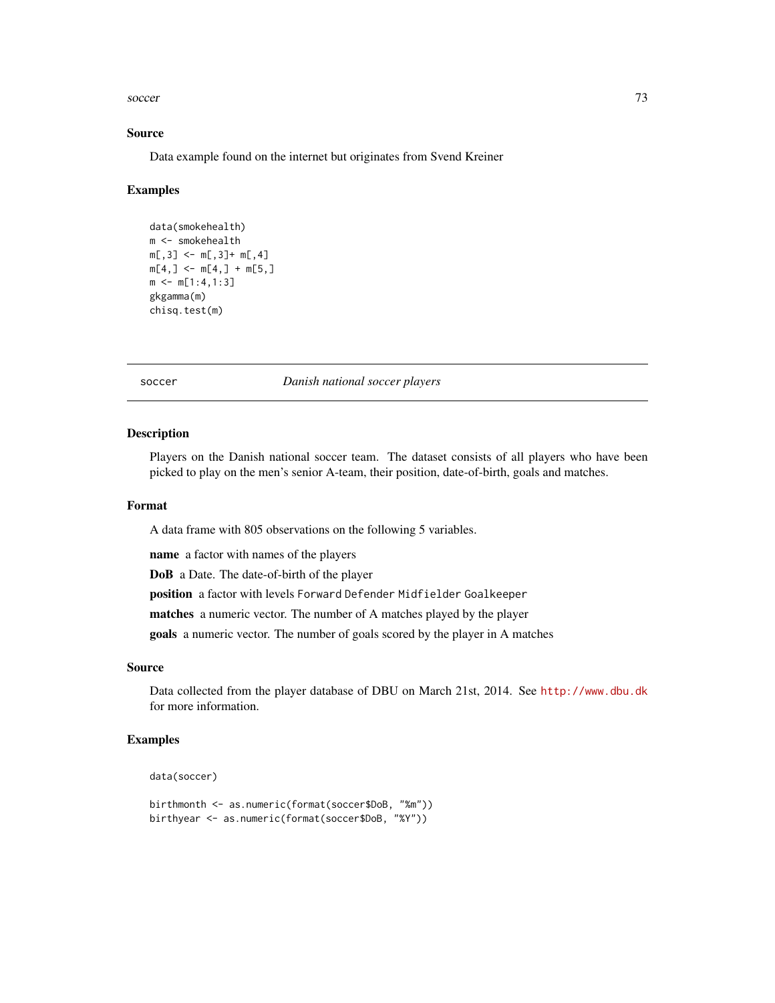#### <span id="page-72-0"></span>soccer 73

#### Source

Data example found on the internet but originates from Svend Kreiner

#### Examples

```
data(smokehealth)
m <- smokehealth
m[, 3] <- m[, 3]+ m[, 4]m[4, ] \leq m[4, ] + m[5, ]m \le m[1:4,1:3]gkgamma(m)
chisq.test(m)
```
soccer *Danish national soccer players*

#### Description

Players on the Danish national soccer team. The dataset consists of all players who have been picked to play on the men's senior A-team, their position, date-of-birth, goals and matches.

#### Format

A data frame with 805 observations on the following 5 variables.

name a factor with names of the players

DoB a Date. The date-of-birth of the player

position a factor with levels Forward Defender Midfielder Goalkeeper

matches a numeric vector. The number of A matches played by the player

goals a numeric vector. The number of goals scored by the player in A matches

#### Source

Data collected from the player database of DBU on March 21st, 2014. See <http://www.dbu.dk> for more information.

# Examples

```
data(soccer)
```

```
birthmonth <- as.numeric(format(soccer$DoB, "%m"))
birthyear <- as.numeric(format(soccer$DoB, "%Y"))
```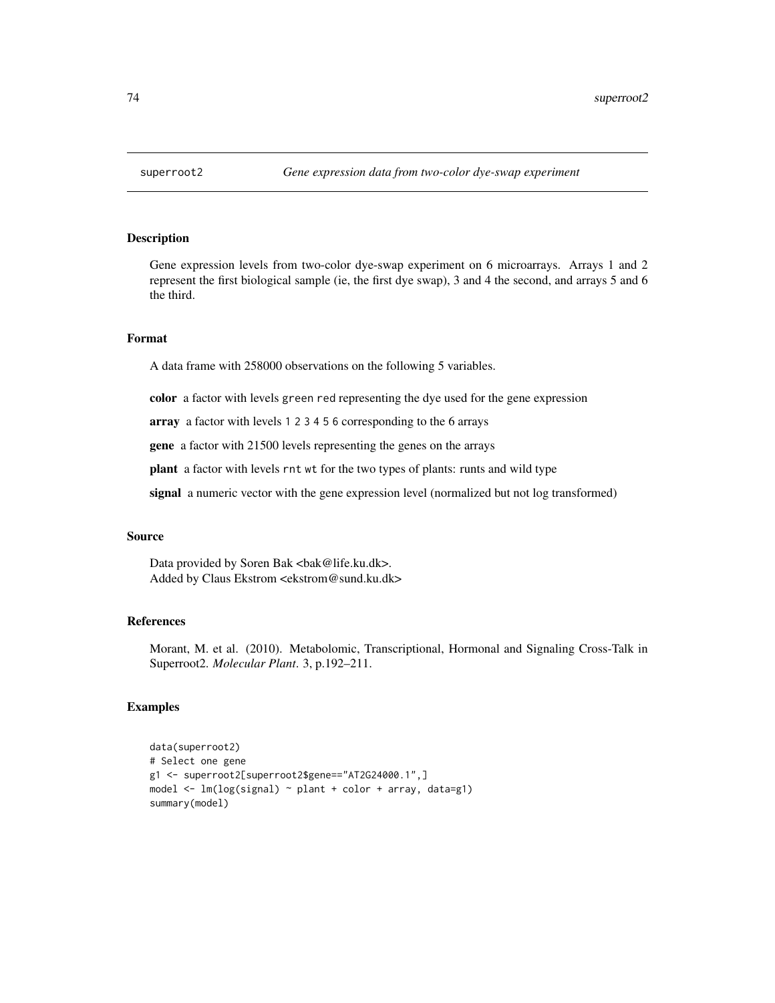<span id="page-73-0"></span>

### Description

Gene expression levels from two-color dye-swap experiment on 6 microarrays. Arrays 1 and 2 represent the first biological sample (ie, the first dye swap), 3 and 4 the second, and arrays 5 and 6 the third.

#### Format

A data frame with 258000 observations on the following 5 variables.

color a factor with levels green red representing the dye used for the gene expression

array a factor with levels 1 2 3 4 5 6 corresponding to the 6 arrays

gene a factor with 21500 levels representing the genes on the arrays

plant a factor with levels rnt wt for the two types of plants: runts and wild type

signal a numeric vector with the gene expression level (normalized but not log transformed)

#### Source

Data provided by Soren Bak <br/> <br/>bak@life.ku.dk>. Added by Claus Ekstrom <ekstrom@sund.ku.dk>

#### References

Morant, M. et al. (2010). Metabolomic, Transcriptional, Hormonal and Signaling Cross-Talk in Superroot2. *Molecular Plant*. 3, p.192–211.

#### Examples

```
data(superroot2)
# Select one gene
g1 <- superroot2[superroot2$gene=="AT2G24000.1",]
model \leq lm(log(signal) \sim plant + color + array, data=g1)
summary(model)
```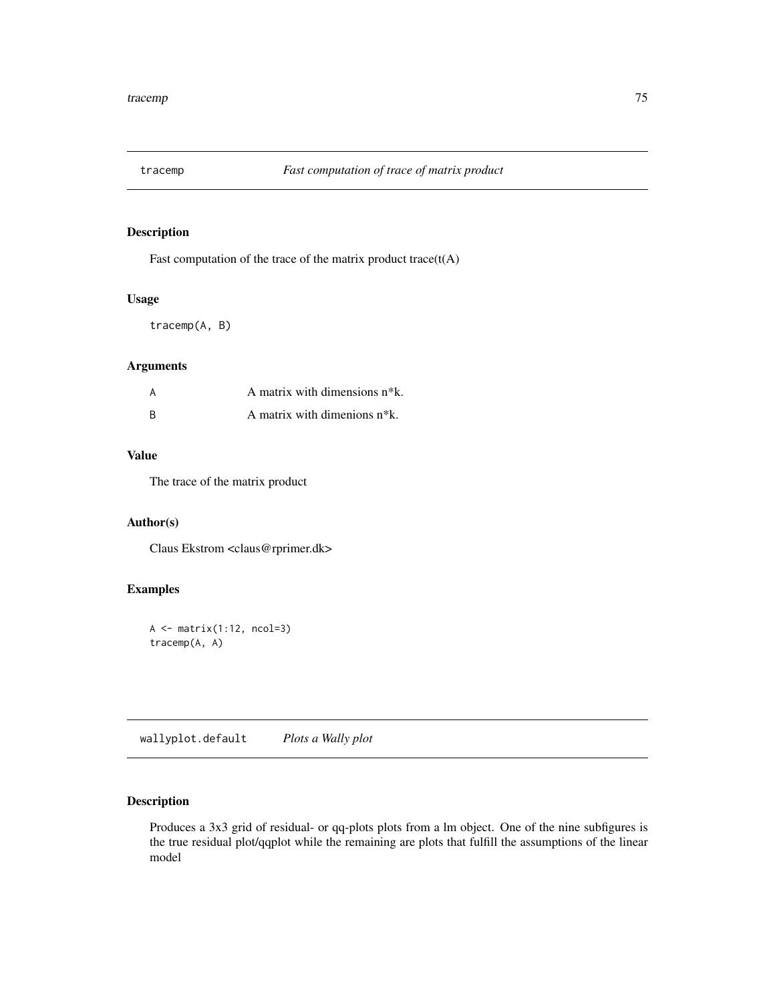<span id="page-74-0"></span>

# Description

Fast computation of the trace of the matrix product trace $(t(A))$ 

#### Usage

tracemp(A, B)

# Arguments

|    | A matrix with dimensions $n*k$ . |
|----|----------------------------------|
| -R | A matrix with dimenions $n*k$ .  |

#### Value

The trace of the matrix product

# Author(s)

Claus Ekstrom <claus@rprimer.dk>

# Examples

```
A \leftarrow matrix(1:12, ncol=3)tracemp(A, A)
```
wallyplot.default *Plots a Wally plot*

# Description

Produces a 3x3 grid of residual- or qq-plots plots from a lm object. One of the nine subfigures is the true residual plot/qqplot while the remaining are plots that fulfill the assumptions of the linear model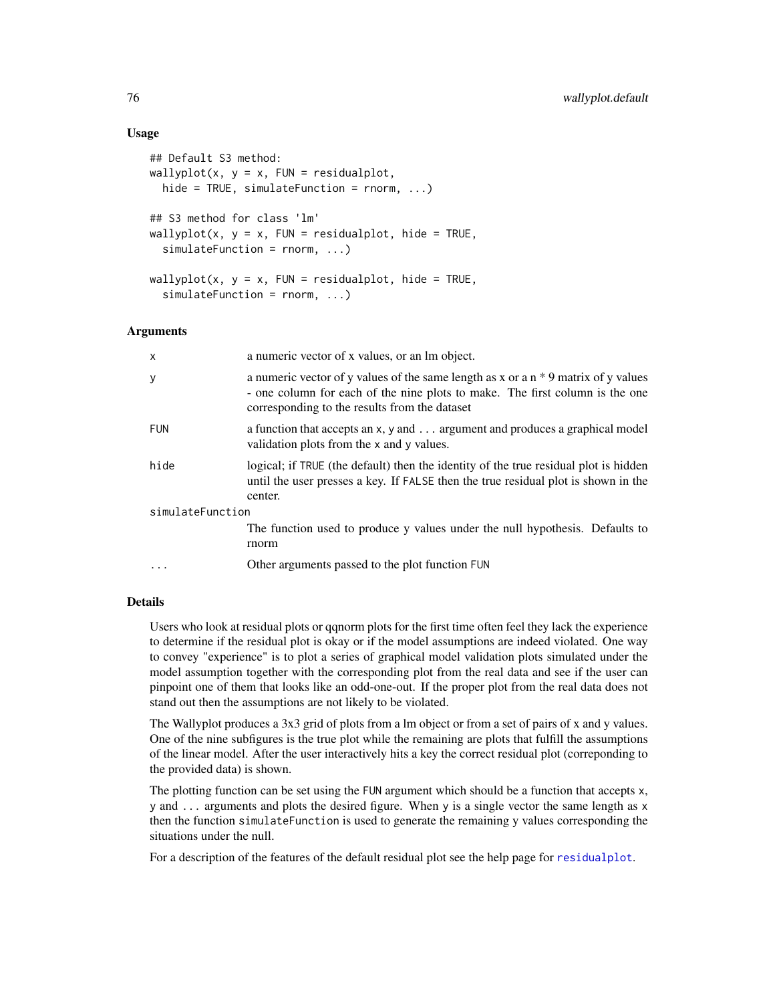#### Usage

```
## Default S3 method:
wallyplot(x, y = x, FUN = residualplot,hide = TRUE, simulateFunction = rnorm, ...)
## S3 method for class 'lm'
wallyplot(x, y = x, FUN = residualplot, hide = TRUE,
  simulateFunction = rnorm, ...)
wallyplot(x, y = x, FUN = residualplot, hide = TRUE,
  simulateFunction = rnorm, ...)
```
#### Arguments

| $\times$         | a numeric vector of x values, or an lm object.                                                                                                                                                                        |
|------------------|-----------------------------------------------------------------------------------------------------------------------------------------------------------------------------------------------------------------------|
| y                | a numeric vector of y values of the same length as x or a $n * 9$ matrix of y values<br>- one column for each of the nine plots to make. The first column is the one<br>corresponding to the results from the dataset |
| <b>FUN</b>       | a function that accepts an x, y and argument and produces a graphical model<br>validation plots from the x and y values.                                                                                              |
| hide             | logical; if TRUE (the default) then the identity of the true residual plot is hidden<br>until the user presses a key. If FALSE then the true residual plot is shown in the<br>center.                                 |
| simulateFunction |                                                                                                                                                                                                                       |
|                  | The function used to produce y values under the null hypothesis. Defaults to<br>rnorm                                                                                                                                 |
| $\cdot$          | Other arguments passed to the plot function FUN                                                                                                                                                                       |
|                  |                                                                                                                                                                                                                       |

#### Details

Users who look at residual plots or qqnorm plots for the first time often feel they lack the experience to determine if the residual plot is okay or if the model assumptions are indeed violated. One way to convey "experience" is to plot a series of graphical model validation plots simulated under the model assumption together with the corresponding plot from the real data and see if the user can pinpoint one of them that looks like an odd-one-out. If the proper plot from the real data does not stand out then the assumptions are not likely to be violated.

The Wallyplot produces a 3x3 grid of plots from a lm object or from a set of pairs of x and y values. One of the nine subfigures is the true plot while the remaining are plots that fulfill the assumptions of the linear model. After the user interactively hits a key the correct residual plot (correponding to the provided data) is shown.

The plotting function can be set using the FUN argument which should be a function that accepts x, y and ... arguments and plots the desired figure. When y is a single vector the same length as x then the function simulateFunction is used to generate the remaining y values corresponding the situations under the null.

For a description of the features of the default residual plot see the help page for [residualplot](#page-58-0).

<span id="page-75-0"></span>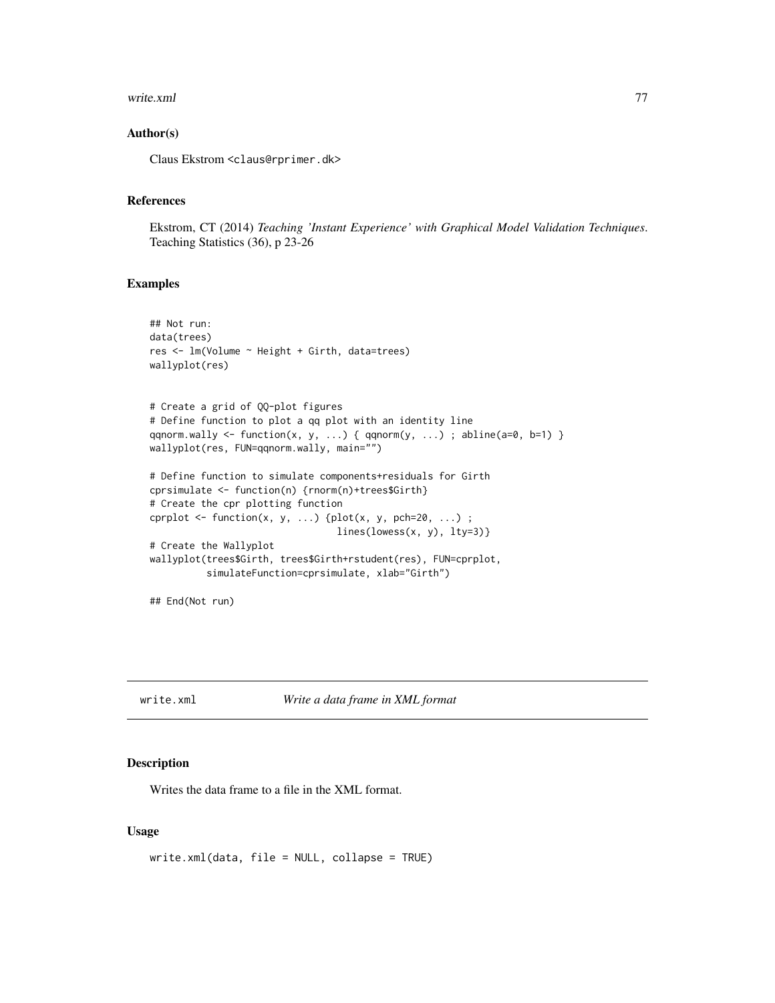#### <span id="page-76-0"></span>write.xml 277

#### Author(s)

Claus Ekstrom <claus@rprimer.dk>

#### References

Ekstrom, CT (2014) *Teaching 'Instant Experience' with Graphical Model Validation Techniques*. Teaching Statistics (36), p 23-26

#### Examples

```
## Not run:
data(trees)
res <- lm(Volume ~ Height + Girth, data=trees)
wallyplot(res)
# Create a grid of QQ-plot figures
# Define function to plot a qq plot with an identity line
qqnorm.wally <- function(x, y, ...) { qqnorm(y, ...) ; abline(a=0, b=1) }
wallyplot(res, FUN=qqnorm.wally, main="")
# Define function to simulate components+residuals for Girth
cprsimulate <- function(n) {rnorm(n)+trees$Girth}
# Create the cpr plotting function
cprplot \leq function(x, y, ...) {plot(x, y, pch=20, ...) ;
                                 lines(lowess(x, y), lty=3)# Create the Wallyplot
wallyplot(trees$Girth, trees$Girth+rstudent(res), FUN=cprplot,
          simulateFunction=cprsimulate, xlab="Girth")
## End(Not run)
```
write.xml *Write a data frame in XML format*

#### Description

Writes the data frame to a file in the XML format.

#### Usage

write.xml(data, file = NULL, collapse = TRUE)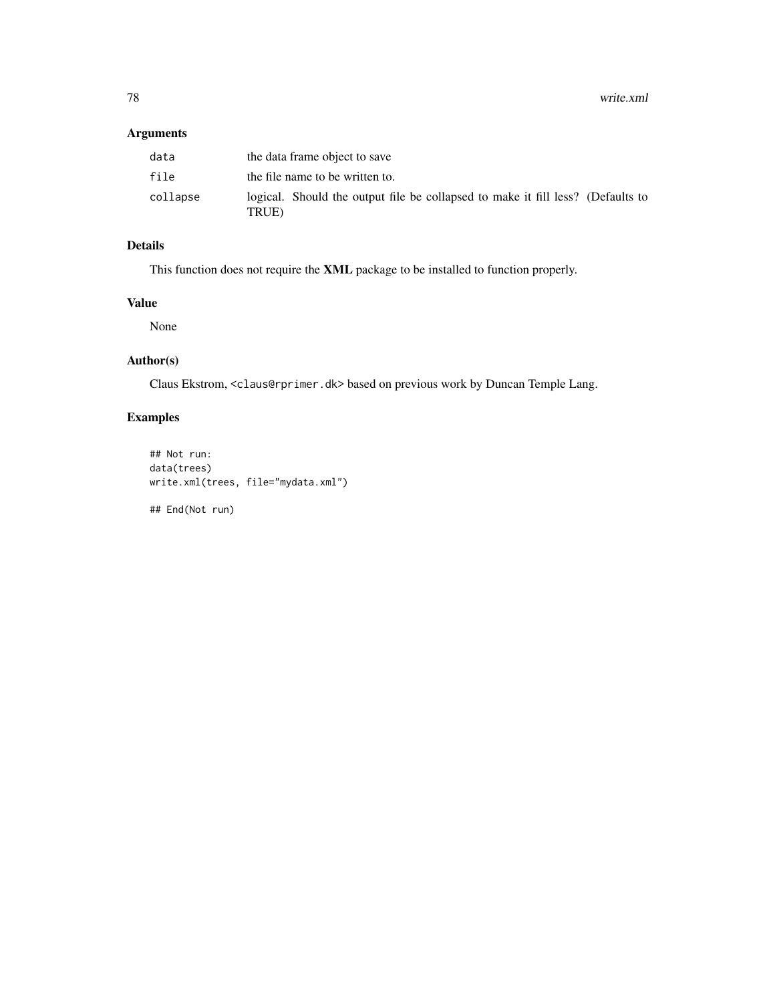78 write.xml

# Arguments

| data     | the data frame object to save                                                             |
|----------|-------------------------------------------------------------------------------------------|
| file     | the file name to be written to.                                                           |
| collapse | logical. Should the output file be collapsed to make it fill less? (Defaults to<br>TRUE). |

# Details

This function does not require the XML package to be installed to function properly.

# Value

None

# Author(s)

Claus Ekstrom, <claus@rprimer.dk> based on previous work by Duncan Temple Lang.

# Examples

```
## Not run:
data(trees)
write.xml(trees, file="mydata.xml")
```
## End(Not run)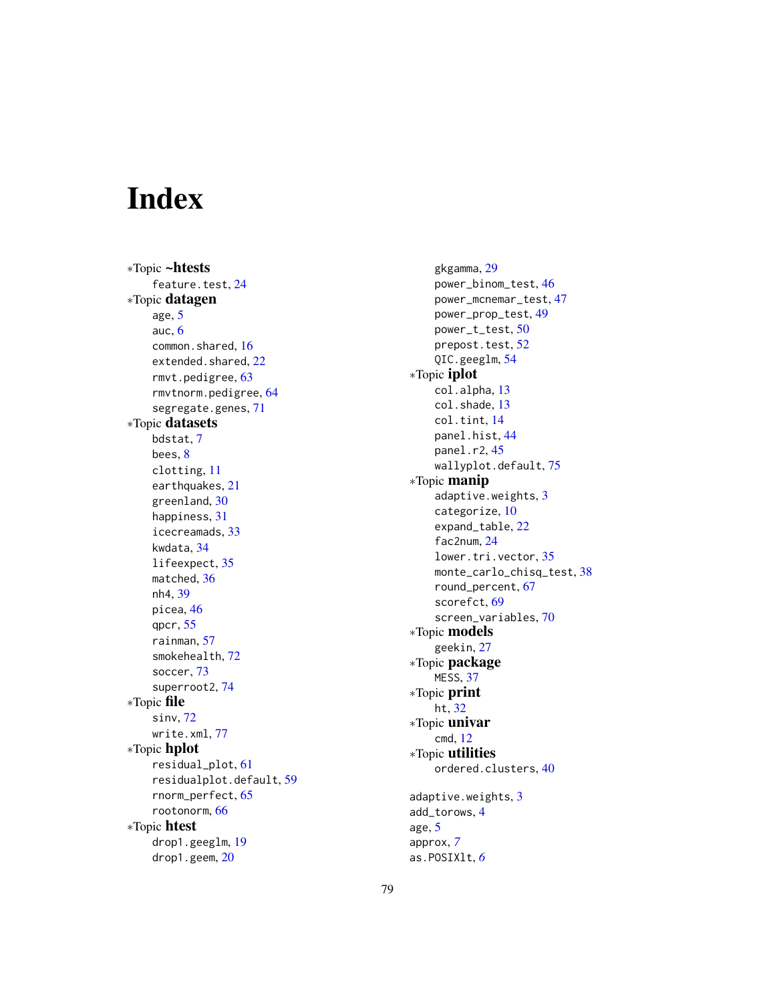# Index

∗Topic ~htests feature.test, [24](#page-23-0) ∗Topic datagen age , [5](#page-4-0) auc , [6](#page-5-0) common.shared, [16](#page-15-0) extended.shared, [22](#page-21-0) rmvt.pedigree , [63](#page-62-0) rmvtnorm.pedigree , [64](#page-63-0) segregate.genes , [71](#page-70-0) ∗Topic datasets bdstat , [7](#page-6-0) bees , [8](#page-7-0) clotting , [11](#page-10-0) earthquakes , [21](#page-20-0) greenland, [30](#page-29-0) happiness , [31](#page-30-0) icecreamads , [33](#page-32-0) kwdata , [34](#page-33-0) lifeexpect , [35](#page-34-0) matched, [36](#page-35-0) nh4 , [39](#page-38-0) picea , [46](#page-45-0) qpcr , [55](#page-54-0) rainman , [57](#page-56-0) smokehealth , [72](#page-71-0) soccer , [73](#page-72-0) superroot2 , [74](#page-73-0) ∗Topic file sinv , [72](#page-71-0) write.xml , [77](#page-76-0) ∗Topic hplot residual\_plot , [61](#page-60-0) residualplot.default , [59](#page-58-1) rnorm\_perfect , [65](#page-64-0) rootonorm , [66](#page-65-0) ∗Topic htest drop1.geeglm , [19](#page-18-0) drop1.geem , [20](#page-19-0)

gkgamma, [29](#page-28-0) power\_binom\_test , [46](#page-45-0) power\_mcnemar\_test , [47](#page-46-0) power\_prop\_test , [49](#page-48-0) power\_t\_test , [50](#page-49-0) prepost.test, <mark>[52](#page-51-0)</mark> QIC.geeglm , [54](#page-53-0) ∗Topic iplot col.alpha , [13](#page-12-0) col.shade , [13](#page-12-0) col.tint , [14](#page-13-0) panel.hist , [44](#page-43-0) panel.r2 , [45](#page-44-0) wallyplot.default , [75](#page-74-0) ∗Topic manip adaptive.weights , [3](#page-2-0) categorize, [10](#page-9-0) expand\_table, [22](#page-21-0) fac2num , [24](#page-23-0) lower.tri.vector , [35](#page-34-0) monte\_carlo\_chisq\_test , [38](#page-37-0) round\_percent , [67](#page-66-0) scorefct , [69](#page-68-0) screen\_variables , [70](#page-69-0) ∗Topic models geekin , [27](#page-26-0) ∗Topic package MESS , [37](#page-36-0) ∗Topic print ht , [32](#page-31-0) ∗Topic univar cmd , [12](#page-11-0) ∗Topic utilities ordered.clusters , [40](#page-39-0) adaptive.weights, [3](#page-2-0) add\_torows , [4](#page-3-0) age , [5](#page-4-0) approx , *[7](#page-6-0)*

as.POSIXlt , *[6](#page-5-0)*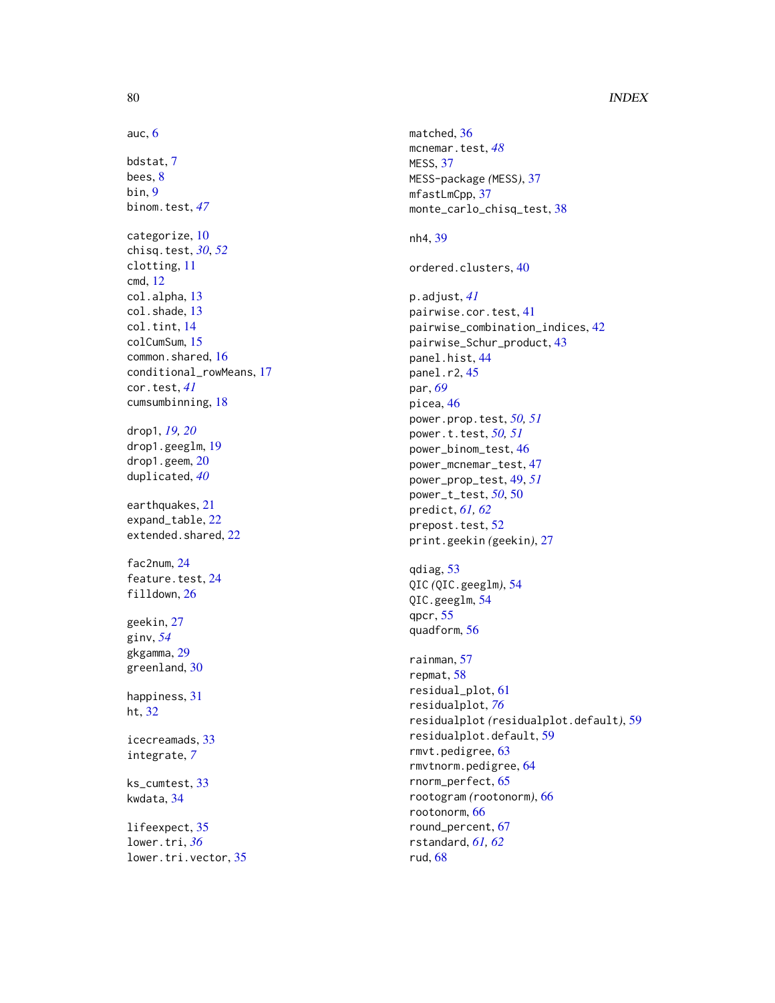### 80 INDEX

# auc , [6](#page-5-0) bdstat , [7](#page-6-0) bees, <mark>[8](#page-7-0)</mark> bin , [9](#page-8-0) binom.test , *[47](#page-46-0)* categorize , [10](#page-9-0) chisq.test , *[30](#page-29-0)* , *[52](#page-51-0)* clotting , [11](#page-10-0) cmd , [12](#page-11-0) col.alpha , [13](#page-12-0) col.shade , [13](#page-12-0) col.tint , [14](#page-13-0) colCumSum , [15](#page-14-0) common.shared, [16](#page-15-0) conditional\_rowMeans , [17](#page-16-0) cor.test , *[41](#page-40-0)* cumsumbinning , [18](#page-17-0) drop1 , *[19](#page-18-0) , [20](#page-19-0)* drop1.geeglm , [19](#page-18-0) drop1.geem, [20](#page-19-0) duplicated , *[40](#page-39-0)* earthquakes , [21](#page-20-0) expand\_table, [22](#page-21-0) extended.shared, [22](#page-21-0) fac2num , [24](#page-23-0) feature.test, [24](#page-23-0) filldown , [26](#page-25-0) geekin , [27](#page-26-0) ginv , *[54](#page-53-0)* gkgamma , [29](#page-28-0) greenland , [30](#page-29-0) happiness , [31](#page-30-0) ht , [32](#page-31-0) icecreamads , [33](#page-32-0) integrate , *[7](#page-6-0)* ks\_cumtest , [33](#page-32-0) kwdata , [34](#page-33-0) lifeexpect , [35](#page-34-0) lower.tri , *[36](#page-35-0)* lower.tri.vector , [35](#page-34-0)

matched, [36](#page-35-0) mcnemar.test , *[48](#page-47-0)* MESS , [37](#page-36-0) MESS-package *(*MESS *)* , [37](#page-36-0) mfastLmCpp , [37](#page-36-0) monte\_carlo\_chisq\_test , [38](#page-37-0) nh4 , [39](#page-38-0) ordered.clusters , [40](#page-39-0) p.adjust , *[41](#page-40-0)* pairwise.cor.test , [41](#page-40-0) pairwise\_combination\_indices , [42](#page-41-0) pairwise\_Schur\_product , [43](#page-42-0) panel.hist , [44](#page-43-0) panel.r2,[45](#page-44-0) par , *[69](#page-68-0)* picea, [46](#page-45-0) power.prop.test , *[50](#page-49-0) , [51](#page-50-0)* power.t.test , *[50](#page-49-0) , [51](#page-50-0)* power\_binom\_test , [46](#page-45-0) power\_mcnemar\_test , [47](#page-46-0) power\_prop\_test , [49](#page-48-0) , *[51](#page-50-0)* power\_t\_test , *[50](#page-49-0)* , [50](#page-49-0) predict , *[61](#page-60-0) , [62](#page-61-0)* prepost.test, <mark>5</mark>2 print.geekin *(*geekin *)* , [27](#page-26-0) qdiag , [53](#page-52-0) QIC *(*QIC.geeglm *)* , [54](#page-53-0) QIC.geeglm , [54](#page-53-0) qpcr , [55](#page-54-0) quadform , [56](#page-55-0) rainman , [57](#page-56-0) repmat , [58](#page-57-0) residual\_plot , [61](#page-60-0) residualplot , *[76](#page-75-0)* residualplot *(*residualplot.default *)* , [59](#page-58-1) residualplot.default , [59](#page-58-1) rmvt.pedigree , [63](#page-62-0) rmvtnorm.pedigree , [64](#page-63-0) rnorm\_perfect , [65](#page-64-0) rootogram *(*rootonorm *)* , [66](#page-65-0) rootonorm , [66](#page-65-0) round\_percent , [67](#page-66-0) rstandard , *[61](#page-60-0) , [62](#page-61-0)* rud , [68](#page-67-0)